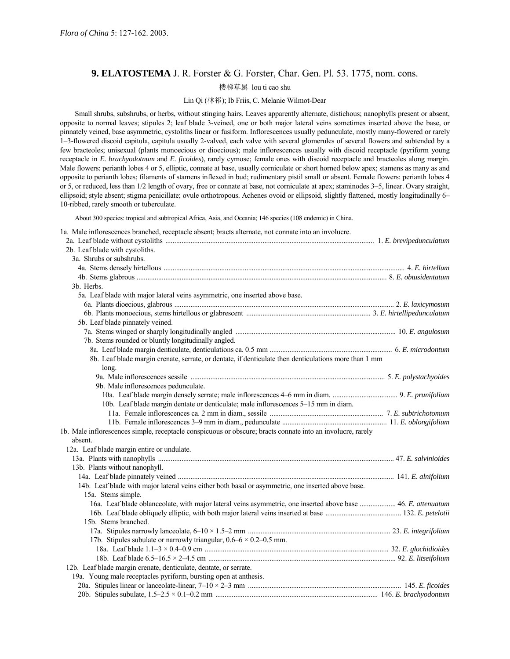# **9. ELATOSTEMA** J. R. Forster & G. Forster, Char. Gen. Pl. 53. 1775, nom. cons.

# 楼梯草属 lou ti cao shu

# Lin Qi (林祁); Ib Friis, C. Melanie Wilmot-Dear

Small shrubs, subshrubs, or herbs, without stinging hairs. Leaves apparently alternate, distichous; nanophylls present or absent, opposite to normal leaves; stipules 2; leaf blade 3-veined, one or both major lateral veins sometimes inserted above the base, or pinnately veined, base asymmetric, cystoliths linear or fusiform. Inflorescences usually pedunculate, mostly many-flowered or rarely 1–3-flowered discoid capitula, capitula usually 2-valved, each valve with several glomerules of several flowers and subtended by a few bracteoles; unisexual (plants monoecious or dioecious); male inflorescences usually with discoid receptacle (pyriform young receptacle in *E. brachyodotnum* and *E. ficoides*), rarely cymose; female ones with discoid receptacle and bracteoles along margin. Male flowers: perianth lobes 4 or 5, elliptic, connate at base, usually corniculate or short horned below apex; stamens as many as and opposite to perianth lobes; filaments of stamens inflexed in bud; rudimentary pistil small or absent. Female flowers: perianth lobes 4 or 5, or reduced, less than 1/2 length of ovary, free or connate at base, not corniculate at apex; staminodes 3–5, linear. Ovary straight, ellipsoid; style absent; stigma penicillate; ovule orthotropous. Achenes ovoid or ellipsoid, slightly flattened, mostly longitudinally 6– 10-ribbed, rarely smooth or tuberculate.

About 300 species: tropical and subtropical Africa, Asia, and Oceania; 146 species (108 endemic) in China.

| 1a. Male inflorescences branched, receptacle absent; bracts alternate, not connate into an involucre. |  |  |  |  |  |  |  |  |  |
|-------------------------------------------------------------------------------------------------------|--|--|--|--|--|--|--|--|--|
|-------------------------------------------------------------------------------------------------------|--|--|--|--|--|--|--|--|--|

| 2b. Leaf blade with cystoliths.                                                                               |  |
|---------------------------------------------------------------------------------------------------------------|--|
| 3a. Shrubs or subshrubs.                                                                                      |  |
|                                                                                                               |  |
|                                                                                                               |  |
| 3b. Herbs.                                                                                                    |  |
| 5a. Leaf blade with major lateral veins asymmetric, one inserted above base.                                  |  |
|                                                                                                               |  |
|                                                                                                               |  |
| 5b. Leaf blade pinnately veined.                                                                              |  |
|                                                                                                               |  |
| 7b. Stems rounded or bluntly longitudinally angled.                                                           |  |
|                                                                                                               |  |
| 8b. Leaf blade margin crenate, serrate, or dentate, if denticulate then denticulations more than 1 mm         |  |
| long.                                                                                                         |  |
|                                                                                                               |  |
| 9b. Male inflorescences pedunculate.                                                                          |  |
|                                                                                                               |  |
| 10b. Leaf blade margin dentate or denticulate; male inflorescences 5-15 mm in diam.                           |  |
|                                                                                                               |  |
|                                                                                                               |  |
| 1b. Male inflorescences simple, receptacle conspicuous or obscure; bracts connate into an involucre, rarely   |  |
| absent.                                                                                                       |  |
| 12a. Leaf blade margin entire or undulate.                                                                    |  |
|                                                                                                               |  |
| 13b. Plants without nanophyll.                                                                                |  |
|                                                                                                               |  |
| 14b. Leaf blade with major lateral veins either both basal or asymmetric, one inserted above base.            |  |
| 15a. Stems simple.                                                                                            |  |
| 16a. Leaf blade oblanceolate, with major lateral veins asymmetric, one inserted above base  46. E. attenuatum |  |
|                                                                                                               |  |
| 15b. Stems branched.                                                                                          |  |
|                                                                                                               |  |
| 17b. Stipules subulate or narrowly triangular, $0.6 - 6 \times 0.2 - 0.5$ mm.                                 |  |
|                                                                                                               |  |
|                                                                                                               |  |
| 12b. Leaf blade margin crenate, denticulate, dentate, or serrate.                                             |  |
| 19a. Young male receptacles pyriform, bursting open at anthesis.                                              |  |
|                                                                                                               |  |
|                                                                                                               |  |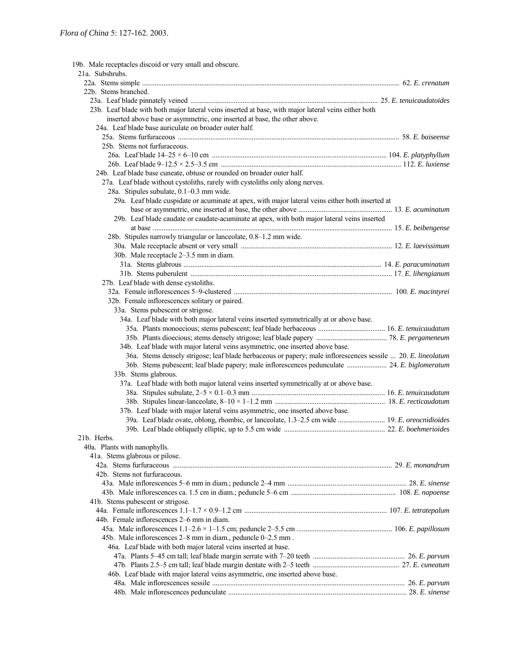| 19b. Male receptacles discoid or very small and obscure.                                                     |  |
|--------------------------------------------------------------------------------------------------------------|--|
| 21a. Subshrubs.                                                                                              |  |
|                                                                                                              |  |
| 22b. Stems branched.                                                                                         |  |
|                                                                                                              |  |
| 23b. Leaf blade with both major lateral veins inserted at base, with major lateral veins either both         |  |
| inserted above base or asymmetric, one inserted at base, the other above.                                    |  |
| 24a. Leaf blade base auriculate on broader outer half.                                                       |  |
|                                                                                                              |  |
| 25b. Stems not furfuraceous.                                                                                 |  |
|                                                                                                              |  |
|                                                                                                              |  |
| 24b. Leaf blade base cuneate, obtuse or rounded on broader outer half.                                       |  |
| 27a. Leaf blade without cystoliths, rarely with cystoliths only along nerves.                                |  |
| 28a. Stipules subulate, 0.1-0.3 mm wide.                                                                     |  |
| 29a. Leaf blade cuspidate or acuminate at apex, with major lateral veins either both inserted at             |  |
|                                                                                                              |  |
| 29b. Leaf blade caudate or caudate-acuminate at apex, with both major lateral veins inserted                 |  |
|                                                                                                              |  |
| 28b. Stipules narrowly triangular or lanceolate, 0.8-1.2 mm wide.                                            |  |
|                                                                                                              |  |
| 30b. Male receptacle 2-3.5 mm in diam.                                                                       |  |
|                                                                                                              |  |
|                                                                                                              |  |
| 27b. Leaf blade with dense cystoliths.                                                                       |  |
|                                                                                                              |  |
| 32b. Female inflorescences solitary or paired.                                                               |  |
| 33a. Stems pubescent or strigose.                                                                            |  |
| 34a. Leaf blade with both major lateral veins inserted symmetrically at or above base.                       |  |
|                                                                                                              |  |
|                                                                                                              |  |
| 34b. Leaf blade with major lateral veins asymmetric, one inserted above base.                                |  |
| 36a. Stems densely strigose; leaf blade herbaceous or papery; male inflorescences sessile  20. E. lineolatum |  |
| 36b. Stems pubescent; leaf blade papery; male inflorescences pedunculate  24. E. biglomeratum                |  |
| 33b. Stems glabrous.                                                                                         |  |
| 37a. Leaf blade with both major lateral veins inserted symmetrically at or above base.                       |  |
|                                                                                                              |  |
|                                                                                                              |  |
| 37b. Leaf blade with major lateral veins asymmetric, one inserted above base.                                |  |
| 39a. Leaf blade ovate, oblong, rhombic, or lanceolate, 1.3–2.5 cm wide  19. E. oreocnidioides                |  |
|                                                                                                              |  |
| 21b. Herbs.                                                                                                  |  |
| 40a. Plants with nanophylls.                                                                                 |  |
| 41a. Stems glabrous or pilose.                                                                               |  |
|                                                                                                              |  |
| 42b. Stems not furfuraceous.                                                                                 |  |
|                                                                                                              |  |
|                                                                                                              |  |
| 41b. Stems pubescent or strigose.                                                                            |  |
|                                                                                                              |  |
| 44b. Female inflorescences 2–6 mm in diam.                                                                   |  |
|                                                                                                              |  |
| 45b. Male inflorescences 2–8 mm in diam., peduncle 0–2.5 mm.                                                 |  |
| 46a. Leaf blade with both major lateral veins inserted at base.                                              |  |
|                                                                                                              |  |
|                                                                                                              |  |
|                                                                                                              |  |
| 46b. Leaf blade with major lateral veins asymmetric, one inserted above base.                                |  |
|                                                                                                              |  |
|                                                                                                              |  |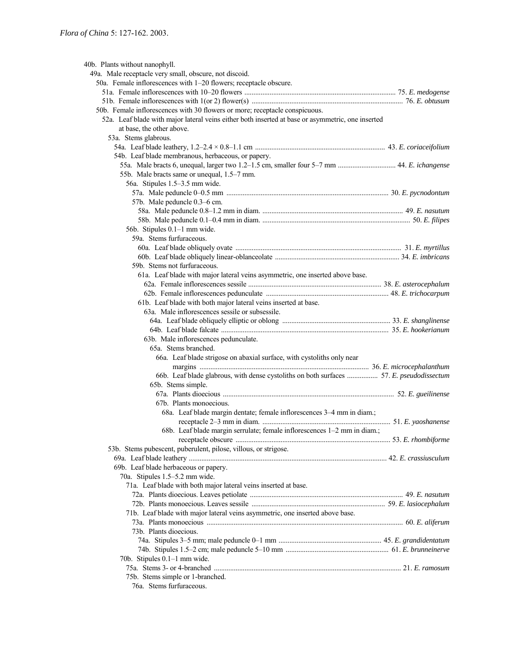| 40b. Plants without nanophyll.                                                                    |  |
|---------------------------------------------------------------------------------------------------|--|
| 49a. Male receptacle very small, obscure, not discoid.                                            |  |
| 50a. Female inflorescences with 1-20 flowers; receptacle obscure.                                 |  |
|                                                                                                   |  |
|                                                                                                   |  |
| 50b. Female inflorescences with 30 flowers or more; receptacle conspicuous.                       |  |
| 52a. Leaf blade with major lateral veins either both inserted at base or asymmetric, one inserted |  |
| at base, the other above.                                                                         |  |
| 53a. Stems glabrous.                                                                              |  |
|                                                                                                   |  |
| 54b. Leaf blade membranous, herbaceous, or papery.                                                |  |
| 55a. Male bracts 6, unequal, larger two 1.2-1.5 cm, smaller four 5-7 mm  44. E. ichangense        |  |
| 55b. Male bracts same or unequal, 1.5–7 mm.                                                       |  |
| 56a. Stipules 1.5–3.5 mm wide.                                                                    |  |
|                                                                                                   |  |
| 57b. Male peduncle 0.3–6 cm.                                                                      |  |
|                                                                                                   |  |
|                                                                                                   |  |
| 56b. Stipules 0.1-1 mm wide.                                                                      |  |
| 59a. Stems furfuraceous.                                                                          |  |
|                                                                                                   |  |
|                                                                                                   |  |
| 59b. Stems not furfuraceous.                                                                      |  |
|                                                                                                   |  |
| 61a. Leaf blade with major lateral veins asymmetric, one inserted above base.                     |  |
|                                                                                                   |  |
|                                                                                                   |  |
| 61b. Leaf blade with both major lateral veins inserted at base.                                   |  |
| 63a. Male inflorescences sessile or subsessile.                                                   |  |
|                                                                                                   |  |
|                                                                                                   |  |
| 63b. Male inflorescences pedunculate.                                                             |  |
| 65a. Stems branched.                                                                              |  |
| 66a. Leaf blade strigose on abaxial surface, with cystoliths only near                            |  |
|                                                                                                   |  |
| 66b. Leaf blade glabrous, with dense cystoliths on both surfaces  57. E. pseudodissectum          |  |
| 65b. Stems simple.                                                                                |  |
|                                                                                                   |  |
| 67b. Plants monoecious.                                                                           |  |
| 68a. Leaf blade margin dentate; female inflorescences 3–4 mm in diam.;                            |  |
|                                                                                                   |  |
| 68b. Leaf blade margin serrulate; female inflorescences 1-2 mm in diam.;                          |  |
|                                                                                                   |  |
| 53b. Stems pubescent, puberulent, pilose, villous, or strigose.                                   |  |
|                                                                                                   |  |
| 69b. Leaf blade herbaceous or papery.                                                             |  |
| 70a. Stipules 1.5-5.2 mm wide.                                                                    |  |
| 71a. Leaf blade with both major lateral veins inserted at base.                                   |  |
|                                                                                                   |  |
|                                                                                                   |  |
| 71b. Leaf blade with major lateral veins asymmetric, one inserted above base.                     |  |
|                                                                                                   |  |
| 73b. Plants dioecious.                                                                            |  |
|                                                                                                   |  |
|                                                                                                   |  |
| 70b. Stipules 0.1–1 mm wide.                                                                      |  |
|                                                                                                   |  |
| 75b. Stems simple or 1-branched.                                                                  |  |
| 76a. Stems furfuraceous.                                                                          |  |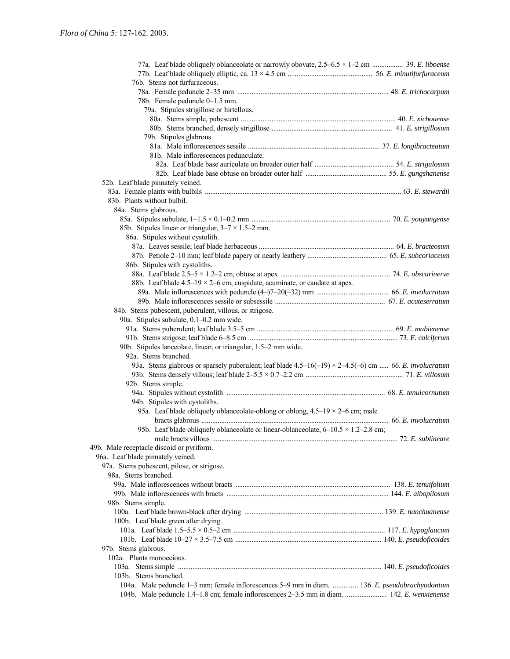| 77a. Leaf blade obliquely oblanceolate or narrowly obovate, 2.5–6.5 × 1–2 cm  39. E. liboense                 |  |
|---------------------------------------------------------------------------------------------------------------|--|
|                                                                                                               |  |
| 76b. Stems not furfuraceous.                                                                                  |  |
|                                                                                                               |  |
| 78b. Female peduncle 0-1.5 mm.                                                                                |  |
| 79a. Stipules strigillose or hirtellous.                                                                      |  |
|                                                                                                               |  |
|                                                                                                               |  |
| 79b. Stipules glabrous.                                                                                       |  |
|                                                                                                               |  |
| 81b. Male inflorescences pedunculate.                                                                         |  |
|                                                                                                               |  |
|                                                                                                               |  |
| 52b. Leaf blade pinnately veined.                                                                             |  |
|                                                                                                               |  |
| 83b. Plants without bulbil.                                                                                   |  |
| 84a. Stems glabrous.                                                                                          |  |
|                                                                                                               |  |
| 85b. Stipules linear or triangular, $3-7 \times 1.5-2$ mm.                                                    |  |
| 86a. Stipules without cystolith.                                                                              |  |
|                                                                                                               |  |
|                                                                                                               |  |
| 86b. Stipules with cystoliths.                                                                                |  |
|                                                                                                               |  |
|                                                                                                               |  |
| 88b. Leaf blade $4.5-19 \times 2-6$ cm, cuspidate, acuminate, or caudate at apex.                             |  |
|                                                                                                               |  |
|                                                                                                               |  |
| 84b. Stems pubescent, puberulent, villous, or strigose.                                                       |  |
| 90a. Stipules subulate, 0.1-0.2 mm wide.                                                                      |  |
|                                                                                                               |  |
|                                                                                                               |  |
| 90b. Stipules lanceolate, linear, or triangular, 1.5-2 mm wide.                                               |  |
| 92a. Stems branched.                                                                                          |  |
| 93a. Stems glabrous or sparsely puberulent; leaf blade $4.5-16(-19) \times 2-4.5(-6)$ cm  66. E. involucratum |  |
|                                                                                                               |  |
| 92b. Stems simple.                                                                                            |  |
|                                                                                                               |  |
| 94b. Stipules with cystoliths.                                                                                |  |
| 95a. Leaf blade obliquely oblanceolate-oblong or oblong, $4.5-19 \times 2-6$ cm; male                         |  |
|                                                                                                               |  |
| 95b. Leaf blade obliquely oblanceolate or linear-oblanceolate, $6-10.5 \times 1.2-2.8$ cm;                    |  |
|                                                                                                               |  |
| 49b. Male receptacle discoid or pyriform.                                                                     |  |
| 96a. Leaf blade pinnately veined.                                                                             |  |
| 97a. Stems pubescent, pilose, or strigose.                                                                    |  |
| 98a. Stems branched.                                                                                          |  |
|                                                                                                               |  |
|                                                                                                               |  |
| 98b. Stems simple.                                                                                            |  |
|                                                                                                               |  |
| 100b. Leaf blade green after drying.                                                                          |  |
|                                                                                                               |  |
|                                                                                                               |  |
|                                                                                                               |  |
| 97b. Stems glabrous.                                                                                          |  |
| 102a. Plants monoecious.                                                                                      |  |
|                                                                                                               |  |
| 103b. Stems branched.                                                                                         |  |
| 104a. Male peduncle 1-3 mm; female inflorescences 5-9 mm in diam.  136. E. pseudobrachyodontum                |  |
| 104b. Male peduncle 1.4–1.8 cm; female inflorescences 2–3.5 mm in diam.  142. E. wenxienense                  |  |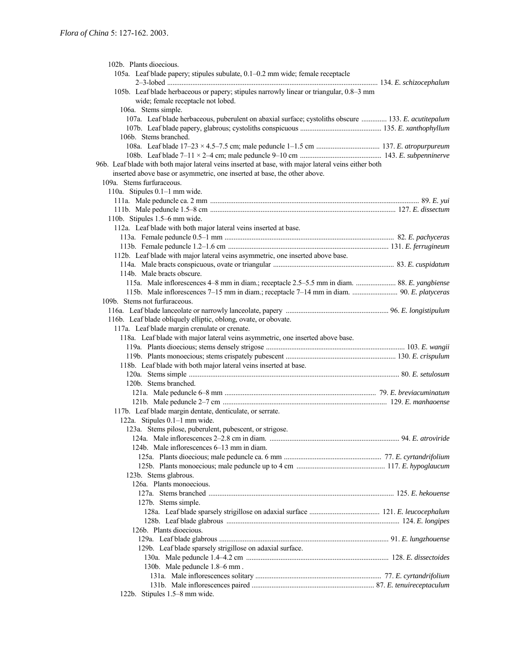| 102b. Plants dioecious.                                                                              |  |
|------------------------------------------------------------------------------------------------------|--|
| 105a. Leaf blade papery; stipules subulate, 0.1-0.2 mm wide; female receptacle                       |  |
|                                                                                                      |  |
| 105b. Leaf blade herbaceous or papery; stipules narrowly linear or triangular, 0.8-3 mm              |  |
| wide; female receptacle not lobed.                                                                   |  |
| 106a. Stems simple.                                                                                  |  |
| 107a. Leaf blade herbaceous, puberulent on abaxial surface; cystoliths obscure  133. E. acutitepalum |  |
|                                                                                                      |  |
| 106b. Stems branched.                                                                                |  |
|                                                                                                      |  |
|                                                                                                      |  |
| 96b. Leaf blade with both major lateral veins inserted at base, with major lateral veins either both |  |
| inserted above base or asymmetric, one inserted at base, the other above.                            |  |
| 109a. Stems furfuraceous.                                                                            |  |
| 110a. Stipules 0.1-1 mm wide.                                                                        |  |
|                                                                                                      |  |
|                                                                                                      |  |
| 110b. Stipules 1.5–6 mm wide.                                                                        |  |
|                                                                                                      |  |
| 112a. Leaf blade with both major lateral veins inserted at base.                                     |  |
|                                                                                                      |  |
|                                                                                                      |  |
| 112b. Leaf blade with major lateral veins asymmetric, one inserted above base.                       |  |
|                                                                                                      |  |
| 114b. Male bracts obscure.                                                                           |  |
| 115a. Male inflorescences 4–8 mm in diam.; receptacle 2.5–5.5 mm in diam.  88. E. yangbiense         |  |
|                                                                                                      |  |
| 109b. Stems not furfuraceous.                                                                        |  |
|                                                                                                      |  |
| 116b. Leaf blade obliquely elliptic, oblong, ovate, or obovate.                                      |  |
| 117a. Leaf blade margin crenulate or crenate.                                                        |  |
|                                                                                                      |  |
| 118a. Leaf blade with major lateral veins asymmetric, one inserted above base.                       |  |
|                                                                                                      |  |
|                                                                                                      |  |
|                                                                                                      |  |
| 118b. Leaf blade with both major lateral veins inserted at base.                                     |  |
|                                                                                                      |  |
| 120b. Stems branched.                                                                                |  |
|                                                                                                      |  |
|                                                                                                      |  |
| 117b. Leaf blade margin dentate, denticulate, or serrate.                                            |  |
| 122a. Stipules 0.1-1 mm wide.                                                                        |  |
| 123a. Stems pilose, puberulent, pubescent, or strigose.                                              |  |
|                                                                                                      |  |
| 124b. Male inflorescences 6–13 mm in diam.                                                           |  |
|                                                                                                      |  |
|                                                                                                      |  |
| 123b. Stems glabrous.                                                                                |  |
| 126a. Plants monoecious.                                                                             |  |
|                                                                                                      |  |
| 127b. Stems simple.                                                                                  |  |
|                                                                                                      |  |
|                                                                                                      |  |
| 126b. Plants dioecious.                                                                              |  |
|                                                                                                      |  |
| 129b. Leaf blade sparsely strigillose on adaxial surface.                                            |  |
|                                                                                                      |  |
| 130b. Male peduncle 1.8-6 mm.                                                                        |  |
|                                                                                                      |  |
| 122b. Stipules 1.5–8 mm wide.                                                                        |  |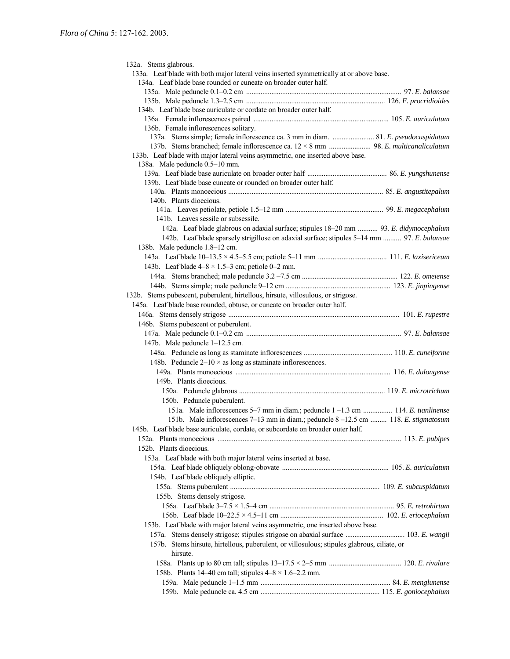132a. Stems glabrous. 133a. Leaf blade with both major lateral veins inserted symmetrically at or above base. 134a. Leaf blade base rounded or cuneate on broader outer half. 135a. Male peduncle 0.1ñ0.2 cm ...................................................................................... 97. *E. balansae* 135b. Male peduncle 1.3ñ2.5 cm ............................................................................. 126. *E. procridioides* 134b. Leaf blade base auriculate or cordate on broader outer half. 136a. Female inflorescences paired ........................................................................... 105. *E. auriculatum* 136b. Female inflorescences solitary. 137a. Stems simple; female inflorescence ca. 3 mm in diam. ....................... 81. *E. pseudocuspidatum* 137b. Stems branched; female inflorescence ca. 12 × 8 mm ....................... 98. *E. multicanaliculatum* 133b. Leaf blade with major lateral veins asymmetric, one inserted above base. 138a. Male peduncle  $0.5-10$  mm. 139a. Leaf blade base auriculate on broader outer half ............................................ 86. *E. yungshunense* 139b. Leaf blade base cuneate or rounded on broader outer half. 140a. Plants monoecious ...................................................................................... 85. *E. angustitepalum* 140b. Plants dioecious. 141a. Leaves petiolate, petiole 1.5ñ12 mm ...................................................... 99. *E. megacephalum* 141b. Leaves sessile or subsessile. 142a. Leaf blade glabrous on adaxial surface; stipules 18–20 mm ........... 93. *E. didymocephalum* 142b. Leaf blade sparsely strigillose on adaxial surface; stipules 5-14 mm .......... 97. *E. balansae* 138b. Male peduncle 1.8–12 cm. 143a. Leaf blade 10ñ13.5 × 4.5ñ5.5 cm; petiole 5ñ11 mm ...................................... 111. *E. laxisericeum* 143b. Leaf blade  $4-8 \times 1.5-3$  cm; petiole 0-2 mm. 144a. Stems branched; male peduncle 3.2 ñ7.5 cm ..................................................... 122. *E. omeiense* 144b. Stems simple; male peduncle 9ñ12 cm .......................................................... 123. *E. jinpingense* 132b. Stems pubescent, puberulent, hirtellous, hirsute, villosulous, or strigose. 145a. Leaf blade base rounded, obtuse, or cuneate on broader outer half. 146a. Stems densely strigose ............................................................................................... 101. *E. rupestre* 146b. Stems pubescent or puberulent. 147a. Male peduncle 0.1ñ0.2 cm ...................................................................................... 97. *E. balansae* 147b. Male peduncle  $1-12.5$  cm. 148a. Peduncle as long as staminate inflorescences ................................................. 110. *E. cuneiforme* 148b. Peduncle  $2-10 \times$  as long as staminate inflorescences. 149a. Plants monoecious ...................................................................................... 116. *E. dulongense* 149b. Plants dioecious. 150a. Peduncle glabrous ................................................................................. 119. *E. microtrichum* 150b. Peduncle puberulent. 151a. Male inflorescences 5<sup>-7</sup> mm in diam.; peduncle 1 -1.3 cm ................ 114. *E. tianlinense* 151b. Male inflorescences 7–13 mm in diam.; peduncle 8 – 12.5 cm ......... 118. *E. stigmatosum* 145b. Leaf blade base auriculate, cordate, or subcordate on broader outer half. 152a. Plants monoecious ...................................................................................................... 113. *E. pubipes* 152b. Plants dioecious. 153a. Leaf blade with both major lateral veins inserted at base. 154a. Leaf blade obliquely oblong-obovate ........................................................... 105. *E. auriculatum* 154b. Leaf blade obliquely elliptic. 155a. Stems puberulent ................................................................................... 109. *E. subcuspidatum* 155b. Stems densely strigose. 156a. Leaf blade 3ñ7.5 × 1.5ñ4 cm ..................................................................... 95. *E. retrohirtum* 156b. Leaf blade 10ñ22.5 × 4.5ñ11 cm ......................................................... 102. *E. eriocephalum* 153b. Leaf blade with major lateral veins asymmetric, one inserted above base. 157a. Stems densely strigose; stipules strigose on abaxial surface ................................. 103. *E. wangii* 157b. Stems hirsute, hirtellous, puberulent, or villosulous; stipules glabrous, ciliate, or hirsute. 158a. Plants up to 80 cm tall; stipules 13ñ17.5 × 2ñ5 mm ........................................ 120. *E. rivulare* 158b. Plants 14–40 cm tall; stipules  $4-8 \times 1.6-2.2$  mm. 159a. Male peduncle 1ñ1.5 mm ........................................................................ 84. *E. menglunense* 159b. Male peduncle ca. 4.5 cm .................................................................. 115. *E. goniocephalum*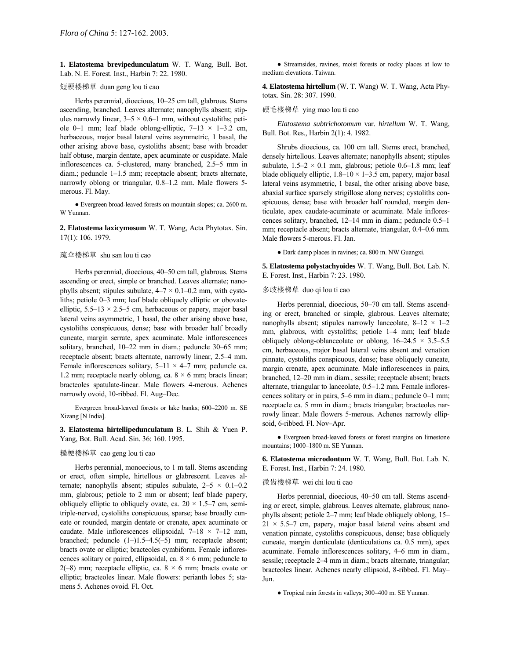**1. Elatostema brevipedunculatum** W. T. Wang, Bull. Bot. Lab. N. E. Forest. Inst., Harbin 7: 22. 1980.

# 短梗楼梯草 duan geng lou ti cao

Herbs perennial, dioecious, 10-25 cm tall, glabrous. Stems ascending, branched. Leaves alternate; nanophylls absent; stipules narrowly linear,  $3-5 \times 0.6-1$  mm, without cystoliths; petiole 0–1 mm; leaf blade oblong-elliptic,  $7-13 \times 1-3.2$  cm, herbaceous, major basal lateral veins asymmetric, 1 basal, the other arising above base, cystoliths absent; base with broader half obtuse, margin dentate, apex acuminate or cuspidate. Male inflorescences ca. 5-clustered, many branched, 2.5–5 mm in diam.; peduncle  $1-1.5$  mm; receptacle absent; bracts alternate, narrowly oblong or triangular, 0.8-1.2 mm. Male flowers 5merous. Fl. May.

● Evergreen broad-leaved forests on mountain slopes; ca. 2600 m. W Yunnan.

**2. Elatostema laxicymosum** W. T. Wang, Acta Phytotax. Sin. 17(1): 106. 1979.

# 疏伞楼梯草 shu san lou ti cao

Herbs perennial, dioecious, 40–50 cm tall, glabrous. Stems ascending or erect, simple or branched. Leaves alternate; nanophylls absent; stipules subulate,  $4-7 \times 0.1-0.2$  mm, with cystoliths; petiole  $0-3$  mm; leaf blade obliquely elliptic or obovateelliptic,  $5.5-13 \times 2.5-5$  cm, herbaceous or papery, major basal lateral veins asymmetric, 1 basal, the other arising above base, cystoliths conspicuous, dense; base with broader half broadly cuneate, margin serrate, apex acuminate. Male inflorescences solitary, branched,  $10-22$  mm in diam.; peduncle  $30-65$  mm; receptacle absent; bracts alternate, narrowly linear, 2.5-4 mm. Female inflorescences solitary,  $5-11 \times 4-7$  mm; peduncle ca. 1.2 mm; receptacle nearly oblong, ca.  $8 \times 6$  mm; bracts linear; bracteoles spatulate-linear. Male flowers 4-merous. Achenes narrowly ovoid, 10-ribbed. Fl. Aug-Dec.

Evergreen broad-leaved forests or lake banks; 600-2200 m. SE Xizang [N India].

**3. Elatostema hirtellipedunculatum** B. L. Shih & Yuen P. Yang, Bot. Bull. Acad. Sin. 36: 160. 1995.

# 糙梗楼梯草 cao geng lou ti cao

Herbs perennial, monoecious, to 1 m tall. Stems ascending or erect, often simple, hirtellous or glabrescent. Leaves alternate; nanophylls absent; stipules subulate,  $2-5 \times 0.1-0.2$ mm, glabrous; petiole to 2 mm or absent; leaf blade papery, obliquely elliptic to obliquely ovate, ca.  $20 \times 1.5-7$  cm, semitriple-nerved, cystoliths conspicuous, sparse; base broadly cuneate or rounded, margin dentate or crenate, apex acuminate or caudate. Male inflorescences ellipsoidal,  $7-18 \times 7-12$  mm, branched; peduncle  $(1–)1.5–4.5(-5)$  mm; receptacle absent; bracts ovate or elliptic; bracteoles cymbiform. Female inflorescences solitary or paired, ellipsoidal, ca.  $8 \times 6$  mm; peduncle to 2(-8) mm; receptacle elliptic, ca.  $8 \times 6$  mm; bracts ovate or elliptic; bracteoles linear. Male flowers: perianth lobes 5; stamens 5. Achenes ovoid. Fl. Oct.

● Streamsides, ravines, moist forests or rocky places at low to medium elevations. Taiwan.

**4. Elatostema hirtellum** (W. T. Wang) W. T. Wang, Acta Phytotax. Sin. 28: 307. 1990.

### 硬毛楼梯草 ying mao lou ti cao

*Elatostema subtrichotomum* var. *hirtellum* W. T. Wang, Bull. Bot. Res., Harbin 2(1): 4. 1982.

Shrubs dioecious, ca. 100 cm tall. Stems erect, branched, densely hirtellous. Leaves alternate; nanophylls absent; stipules subulate,  $1.5-2 \times 0.1$  mm, glabrous; petiole 0.6–1.8 mm; leaf blade obliquely elliptic,  $1.8-10 \times 1-3.5$  cm, papery, major basal lateral veins asymmetric, 1 basal, the other arising above base, abaxial surface sparsely strigillose along nerves; cystoliths conspicuous, dense; base with broader half rounded, margin denticulate, apex caudate-acuminate or acuminate. Male inflorescences solitary, branched, 12-14 mm in diam.; peduncle 0.5-1 mm; receptacle absent; bracts alternate, triangular, 0.4-0.6 mm. Male flowers 5-merous. Fl. Jan.

● Dark damp places in ravines; ca. 800 m. NW Guangxi.

**5. Elatostema polystachyoides** W. T. Wang, Bull. Bot. Lab. N. E. Forest. Inst., Harbin 7: 23. 1980.

# 多歧楼梯草 duo qi lou ti cao

Herbs perennial, dioecious, 50–70 cm tall. Stems ascending or erect, branched or simple, glabrous. Leaves alternate; nanophylls absent; stipules narrowly lanceolate,  $8-12 \times 1-2$ mm, glabrous, with cystoliths; petiole 1–4 mm; leaf blade obliquely oblong-oblanceolate or oblong,  $16-24.5 \times 3.5-5.5$ cm, herbaceous, major basal lateral veins absent and venation pinnate, cystoliths conspicuous, dense; base obliquely cuneate, margin crenate, apex acuminate. Male inflorescences in pairs, branched, 12–20 mm in diam., sessile; receptacle absent; bracts alternate, triangular to lanceolate,  $0.5-1.2$  mm. Female inflorescences solitary or in pairs,  $5-6$  mm in diam.; peduncle  $0-1$  mm; receptacle ca. 5 mm in diam.; bracts triangular; bracteoles narrowly linear. Male flowers 5-merous. Achenes narrowly ellipsoid, 6-ribbed. Fl. Nov-Apr.

● Evergreen broad-leaved forests or forest margins on limestone mountains; 1000-1800 m. SE Yunnan.

**6. Elatostema microdontum** W. T. Wang, Bull. Bot. Lab. N. E. Forest. Inst., Harbin 7: 24. 1980.

### 微齿楼梯草 wei chi lou ti cao

Herbs perennial, dioecious, 40–50 cm tall. Stems ascending or erect, simple, glabrous. Leaves alternate, glabrous; nanophylls absent; petiole  $2-7$  mm; leaf blade obliquely oblong,  $15 21 \times 5.5$ –7 cm, papery, major basal lateral veins absent and venation pinnate, cystoliths conspicuous, dense; base obliquely cuneate, margin denticulate (denticulations ca. 0.5 mm), apex acuminate. Female inflorescences solitary, 4–6 mm in diam., sessile; receptacle 2–4 mm in diam.; bracts alternate, triangular; bracteoles linear. Achenes nearly ellipsoid, 8-ribbed. Fl. May-Jun.

• Tropical rain forests in valleys; 300–400 m. SE Yunnan.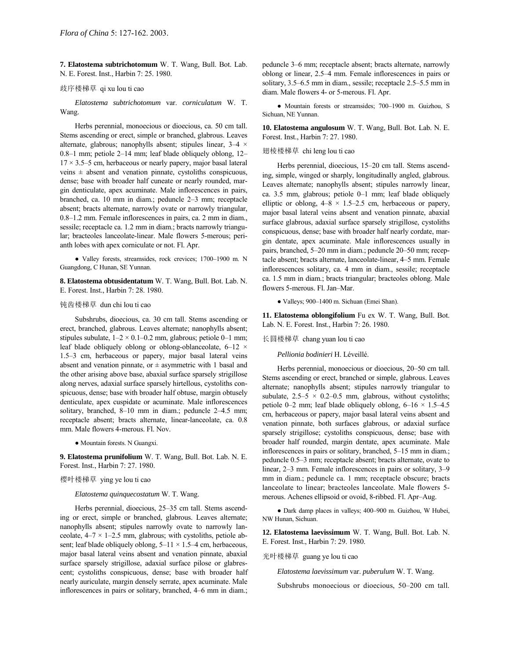**7. Elatostema subtrichotomum** W. T. Wang, Bull. Bot. Lab. N. E. Forest. Inst., Harbin 7: 25. 1980.

#### 歧序楼梯草 qi xu lou ti cao

*Elatostema subtrichotomum* var. *corniculatum* W. T. Wang.

Herbs perennial, monoecious or dioecious, ca. 50 cm tall. Stems ascending or erect, simple or branched, glabrous. Leaves alternate, glabrous; nanophylls absent; stipules linear,  $3-4 \times$ 0.8–1 mm; petiole 2–14 mm; leaf blade obliquely oblong,  $12$ –  $17 \times 3.5$ –5 cm, herbaceous or nearly papery, major basal lateral veins  $\pm$  absent and venation pinnate, cystoliths conspicuous, dense; base with broader half cuneate or nearly rounded, margin denticulate, apex acuminate. Male inflorescences in pairs, branched, ca. 10 mm in diam.; peduncle  $2-3$  mm; receptacle absent; bracts alternate, narrowly ovate or narrowly triangular,  $0.8-1.2$  mm. Female inflorescences in pairs, ca. 2 mm in diam., sessile; receptacle ca. 1.2 mm in diam.; bracts narrowly triangular; bracteoles lanceolate-linear. Male flowers 5-merous; perianth lobes with apex corniculate or not. Fl. Apr.

• Valley forests, streamsides, rock crevices; 1700-1900 m. N Guangdong, C Hunan, SE Yunnan.

**8. Elatostema obtusidentatum** W. T. Wang, Bull. Bot. Lab. N. E. Forest. Inst., Harbin 7: 28. 1980.

### 钝齿楼梯草 dun chi lou ti cao

Subshrubs, dioecious, ca. 30 cm tall. Stems ascending or erect, branched, glabrous. Leaves alternate; nanophylls absent; stipules subulate,  $1-2 \times 0.1-0.2$  mm, glabrous; petiole 0-1 mm; leaf blade obliquely oblong or oblong-oblanceolate,  $6-12 \times$ 1.5<sup> $-3$ </sup> cm, herbaceous or papery, major basal lateral veins absent and venation pinnate, or  $\pm$  asymmetric with 1 basal and the other arising above base, abaxial surface sparsely strigillose along nerves, adaxial surface sparsely hirtellous, cystoliths conspicuous, dense; base with broader half obtuse, margin obtusely denticulate, apex cuspidate or acuminate. Male inflorescences solitary, branched, 8-10 mm in diam.; peduncle 2-4.5 mm; receptacle absent; bracts alternate, linear-lanceolate, ca. 0.8 mm. Male flowers 4-merous. Fl. Nov.

● Mountain forests. N Guangxi.

**9. Elatostema prunifolium** W. T. Wang, Bull. Bot. Lab. N. E. Forest. Inst., Harbin 7: 27. 1980.

### 樱叶楼梯草 ying ye lou ti cao

# *Elatostema quinquecostatum* W. T. Wang.

Herbs perennial, dioecious, 25-35 cm tall. Stems ascending or erect, simple or branched, glabrous. Leaves alternate; nanophylls absent; stipules narrowly ovate to narrowly lanceolate,  $4-7 \times 1-2.5$  mm, glabrous; with cystoliths, petiole absent; leaf blade obliquely oblong,  $5-11 \times 1.5-4$  cm, herbaceous, major basal lateral veins absent and venation pinnate, abaxial surface sparsely strigillose, adaxial surface pilose or glabrescent; cystoliths conspicuous, dense; base with broader half nearly auriculate, margin densely serrate, apex acuminate. Male inflorescences in pairs or solitary, branched, 4–6 mm in diam.;

peduncle 3-6 mm; receptacle absent; bracts alternate, narrowly oblong or linear, 2.5-4 mm. Female inflorescences in pairs or solitary, 3.5–6.5 mm in diam., sessile; receptacle 2.5–5.5 mm in diam. Male flowers 4- or 5-merous. Fl. Apr.

• Mountain forests or streamsides; 700-1900 m. Guizhou, S Sichuan, NE Yunnan.

**10. Elatostema angulosum** W. T. Wang, Bull. Bot. Lab. N. E. Forest. Inst., Harbin 7: 27. 1980.

# 翅棱楼梯草 chi leng lou ti cao

Herbs perennial, dioecious, 15–20 cm tall. Stems ascending, simple, winged or sharply, longitudinally angled, glabrous. Leaves alternate; nanophylls absent; stipules narrowly linear, ca. 3.5 mm, glabrous; petiole  $0-1$  mm; leaf blade obliquely elliptic or oblong,  $4-8 \times 1.5-2.5$  cm, herbaceous or papery, major basal lateral veins absent and venation pinnate, abaxial surface glabrous, adaxial surface sparsely strigillose, cystoliths conspicuous, dense; base with broader half nearly cordate, margin dentate, apex acuminate. Male inflorescences usually in pairs, branched, 5–20 mm in diam.; peduncle 20–50 mm; receptacle absent; bracts alternate, lanceolate-linear, 4-5 mm. Female inflorescences solitary, ca. 4 mm in diam., sessile; receptacle ca. 1.5 mm in diam.; bracts triangular; bracteoles oblong. Male flowers 5-merous. Fl. Jan-Mar.

● Valleys; 900-1400 m. Sichuan (Emei Shan).

**11. Elatostema oblongifolium** Fu ex W. T. Wang, Bull. Bot. Lab. N. E. Forest. Inst., Harbin 7: 26. 1980.

长圆楼梯草 chang yuan lou ti cao

*Pellionia bodinieri* H. LÈveillÈ.

Herbs perennial, monoecious or dioecious, 20–50 cm tall. Stems ascending or erect, branched or simple, glabrous. Leaves alternate; nanophylls absent; stipules narrowly triangular to subulate,  $2.5-5 \times 0.2-0.5$  mm, glabrous, without cystoliths; petiole 0–2 mm; leaf blade obliquely oblong,  $6-16 \times 1.5-4.5$ cm, herbaceous or papery, major basal lateral veins absent and venation pinnate, both surfaces glabrous, or adaxial surface sparsely strigillose; cystoliths conspicuous, dense; base with broader half rounded, margin dentate, apex acuminate. Male inflorescences in pairs or solitary, branched, 5–15 mm in diam.; peduncle 0.5–3 mm; receptacle absent; bracts alternate, ovate to linear,  $2-3$  mm. Female inflorescences in pairs or solitary,  $3-9$ mm in diam.; peduncle ca. 1 mm; receptacle obscure; bracts lanceolate to linear; bracteoles lanceolate. Male flowers 5 merous. Achenes ellipsoid or ovoid, 8-ribbed. Fl. Apr-Aug.

· Dark damp places in valleys; 400-900 m. Guizhou, W Hubei, NW Hunan, Sichuan.

**12. Elatostema laevissimum** W. T. Wang, Bull. Bot. Lab. N. E. Forest. Inst., Harbin 7: 29. 1980.

光叶楼梯草 guang ye lou ti cao

*Elatostema laevissimum* var. *puberulum* W. T. Wang.

Subshrubs monoecious or dioecious, 50-200 cm tall.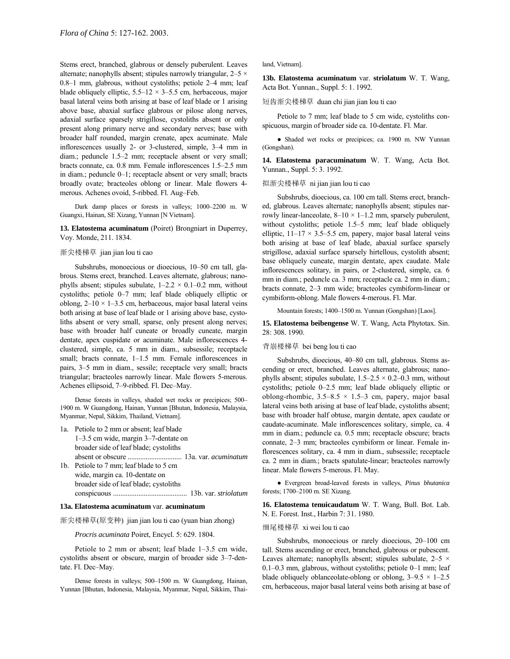Stems erect, branched, glabrous or densely puberulent. Leaves alternate; nanophylls absent; stipules narrowly triangular,  $2-5 \times$  $0.8-1$  mm, glabrous, without cystoliths; petiole  $2-4$  mm; leaf blade obliquely elliptic,  $5.5-12 \times 3-5.5$  cm, herbaceous, major basal lateral veins both arising at base of leaf blade or 1 arising above base, abaxial surface glabrous or pilose along nerves, adaxial surface sparsely strigillose, cystoliths absent or only present along primary nerve and secondary nerves; base with broader half rounded, margin crenate, apex acuminate. Male inflorescences usually  $2$ - or  $3$ -clustered, simple,  $3-4$  mm in diam.; peduncle 1.5–2 mm; receptacle absent or very small; bracts connate, ca. 0.8 mm. Female inflorescences 1.5-2.5 mm in diam.; peduncle 0-1; receptacle absent or very small; bracts broadly ovate; bracteoles oblong or linear. Male flowers 4 merous. Achenes ovoid, 5-ribbed. Fl. Aug-Feb.

Dark damp places or forests in valleys; 1000-2200 m. W Guangxi, Hainan, SE Xizang, Yunnan [N Vietnam].

**13. Elatostema acuminatum** (Poiret) Brongniart in Duperrey, Voy. Monde, 211. 1834.

# 渐尖楼梯草 jian jian lou ti cao

Subshrubs, monoecious or dioecious, 10–50 cm tall, glabrous. Stems erect, branched. Leaves alternate, glabrous; nanophylls absent; stipules subulate,  $1-2.2 \times 0.1-0.2$  mm, without cystoliths; petiole  $0-7$  mm; leaf blade obliquely elliptic or oblong,  $2-10 \times 1-3.5$  cm, herbaceous, major basal lateral veins both arising at base of leaf blade or 1 arising above base, cystoliths absent or very small, sparse, only present along nerves; base with broader half cuneate or broadly cuneate, margin dentate, apex cuspidate or acuminate. Male inflorescences 4 clustered, simple, ca. 5 mm in diam., subsessile; receptacle small; bracts connate,  $1-1.5$  mm. Female inflorescences in pairs, 3-5 mm in diam., sessile; receptacle very small; bracts triangular; bracteoles narrowly linear. Male flowers 5-merous. Achenes ellipsoid, 7-9-ribbed. Fl. Dec-May.

Dense forests in valleys, shaded wet rocks or precipices; 500– 1900 m. W Guangdong, Hainan, Yunnan [Bhutan, Indonesia, Malaysia, Myanmar, Nepal, Sikkim, Thailand, Vietnam].

| 1a. Petiole to 2 mm or absent; leaf blade |
|-------------------------------------------|
| $1-3.5$ cm wide, margin $3-7$ -dentate on |
| broader side of leaf blade; cystoliths    |
|                                           |
| 1b. Petiole to 7 mm; leaf blade to 5 cm   |
| wide, margin ca. 10-dentate on            |
| broader side of leaf blade; cystoliths    |
|                                           |

#### **13a. Elatostema acuminatum** var. **acuminatum**

渐尖楼梯草(原变种) jian jian lou ti cao (yuan bian zhong)

*Procris acuminata* Poiret, Encycl. 5: 629. 1804.

Petiole to 2 mm or absent; leaf blade  $1-3.5$  cm wide, cystoliths absent or obscure, margin of broader side 3–7-dentate. Fl. Dec-May.

Dense forests in valleys; 500-1500 m. W Guangdong, Hainan, Yunnan [Bhutan, Indonesia, Malaysia, Myanmar, Nepal, Sikkim, Thai-

#### land, Vietnam].

**13b. Elatostema acuminatum** var. **striolatum** W. T. Wang, Acta Bot. Yunnan., Suppl. 5: 1. 1992.

### 短齿渐尖楼梯草 duan chi jian jian lou ti cao

Petiole to 7 mm; leaf blade to 5 cm wide, cystoliths conspicuous, margin of broader side ca. 10-dentate. Fl. Mar.

● Shaded wet rocks or precipices; ca. 1900 m. NW Yunnan (Gongshan).

**14. Elatostema paracuminatum** W. T. Wang, Acta Bot. Yunnan., Suppl. 5: 3. 1992.

# 拟渐尖楼梯草 ni jian jian lou ti cao

Subshrubs, dioecious, ca. 100 cm tall. Stems erect, branched, glabrous. Leaves alternate; nanophylls absent; stipules narrowly linear-lanceolate,  $8-10 \times 1-1.2$  mm, sparsely puberulent, without cystoliths; petiole  $1.5-5$  mm; leaf blade obliquely elliptic,  $11-17 \times 3.5-5.5$  cm, papery, major basal lateral veins both arising at base of leaf blade, abaxial surface sparsely strigillose, adaxial surface sparsely hirtellous, cystolith absent; base obliquely cuneate, margin dentate, apex caudate. Male inflorescences solitary, in pairs, or 2-clustered, simple, ca. 6 mm in diam.; peduncle ca. 3 mm; receptacle ca. 2 mm in diam.; bracts connate, 2-3 mm wide; bracteoles cymbiform-linear or cymbiform-oblong. Male flowers 4-merous. Fl. Mar.

Mountain forests; 1400-1500 m. Yunnan (Gongshan) [Laos].

**15. Elatostema beibengense** W. T. Wang, Acta Phytotax. Sin. 28: 308. 1990.

#### 背崩楼梯草 bei beng lou ti cao

Subshrubs, dioecious, 40–80 cm tall, glabrous. Stems ascending or erect, branched. Leaves alternate, glabrous; nanophylls absent; stipules subulate,  $1.5-2.5 \times 0.2-0.3$  mm, without cystoliths; petiole  $0-2.5$  mm; leaf blade obliquely elliptic or oblong-rhombic,  $3.5-8.5 \times 1.5-3$  cm, papery, major basal lateral veins both arising at base of leaf blade, cystoliths absent; base with broader half obtuse, margin dentate, apex caudate or caudate-acuminate. Male inflorescences solitary, simple, ca. 4 mm in diam.; peduncle ca. 0.5 mm; receptacle obscure; bracts connate, 2-3 mm; bracteoles cymbiform or linear. Female inflorescences solitary, ca. 4 mm in diam., subsessile; receptacle ca. 2 mm in diam.; bracts spatulate-linear; bracteoles narrowly linear. Male flowers 5-merous. Fl. May.

● Evergreen broad-leaved forests in valleys, *Pinus bhutanica* forests; 1700–2100 m. SE Xizang.

**16. Elatostema tenuicaudatum** W. T. Wang, Bull. Bot. Lab. N. E. Forest. Inst., Harbin 7: 31. 1980.

### 细尾楼梯草 xi wei lou ti cao

Subshrubs, monoecious or rarely dioecious, 20-100 cm tall. Stems ascending or erect, branched, glabrous or pubescent. Leaves alternate; nanophylls absent; stipules subulate,  $2-5 \times$  $0.1-0.3$  mm, glabrous, without cystoliths; petiole  $0-1$  mm; leaf blade obliquely oblanceolate-oblong or oblong,  $3-9.5 \times 1-2.5$ cm, herbaceous, major basal lateral veins both arising at base of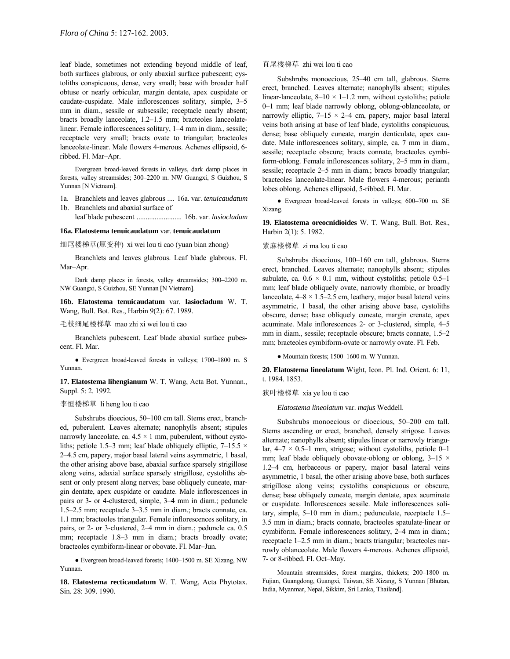leaf blade, sometimes not extending beyond middle of leaf, both surfaces glabrous, or only abaxial surface pubescent; cystoliths conspicuous, dense, very small; base with broader half obtuse or nearly orbicular, margin dentate, apex cuspidate or caudate-cuspidate. Male inflorescences solitary, simple, 3–5 mm in diam., sessile or subsessile; receptacle nearly absent; bracts broadly lanceolate, 1.2-1.5 mm; bracteoles lanceolatelinear. Female inflorescences solitary, 1-4 mm in diam., sessile; receptacle very small; bracts ovate to triangular; bracteoles lanceolate-linear. Male flowers 4-merous. Achenes ellipsoid, 6 ribbed. Fl. Mar-Apr.

Evergreen broad-leaved forests in valleys, dark damp places in forests, valley streamsides; 300-2200 m. NW Guangxi, S Guizhou, S Yunnan [N Vietnam].

- 1a. Branchlets and leaves glabrous .... 16a. var. *tenuicaudatum* 1b. Branchlets and abaxial surface of
- leaf blade pubescent ......................... 16b. var. *lasiocladum*

#### **16a. Elatostema tenuicaudatum** var. **tenuicaudatum**

细尾楼梯草(原变种) xi wei lou ti cao (yuan bian zhong)

Branchlets and leaves glabrous. Leaf blade glabrous. Fl. Mar-Apr.

Dark damp places in forests, valley streamsides; 300-2200 m. NW Guangxi, S Guizhou, SE Yunnan [N Vietnam].

**16b. Elatostema tenuicaudatum** var. **lasiocladum** W. T. Wang, Bull. Bot. Res., Harbin 9(2): 67. 1989.

毛枝细尾楼梯草 mao zhi xi wei lou ti cao

Branchlets pubescent. Leaf blade abaxial surface pubescent. Fl. Mar.

• Evergreen broad-leaved forests in valleys; 1700-1800 m. S Yunnan.

**17. Elatostema lihengianum** W. T. Wang, Acta Bot. Yunnan., Suppl. 5: 2. 1992.

### 李恒楼梯草 li heng lou ti cao

Subshrubs dioecious, 50-100 cm tall. Stems erect, branched, puberulent. Leaves alternate; nanophylls absent; stipules narrowly lanceolate, ca.  $4.5 \times 1$  mm, puberulent, without cystoliths; petiole 1.5–3 mm; leaf blade obliquely elliptic, 7–15.5  $\times$ 2–4.5 cm, papery, major basal lateral veins asymmetric, 1 basal, the other arising above base, abaxial surface sparsely strigillose along veins, adaxial surface sparsely strigillose, cystoliths absent or only present along nerves; base obliquely cuneate, margin dentate, apex cuspidate or caudate. Male inflorescences in pairs or 3- or 4-clustered, simple, 3–4 mm in diam.; peduncle  $1.5-2.5$  mm; receptacle  $3-3.5$  mm in diam.; bracts connate, ca. 1.1 mm; bracteoles triangular. Female inflorescences solitary, in pairs, or 2- or 3-clustered, 2-4 mm in diam.; peduncle ca. 0.5 mm; receptacle 1.8–3 mm in diam.; bracts broadly ovate; bracteoles cymbiform-linear or obovate. Fl. Mar-Jun.

 $\bullet$  Evergreen broad-leaved forests; 1400–1500 m. SE Xizang, NW Yunnan.

**18. Elatostema recticaudatum** W. T. Wang, Acta Phytotax. Sin. 28: 309. 1990.

# 直尾楼梯草 zhi wei lou ti cao

Subshrubs monoecious, 25-40 cm tall, glabrous. Stems erect, branched. Leaves alternate; nanophylls absent; stipules linear-lanceolate,  $8-10 \times 1-1.2$  mm, without cystoliths; petiole 0–1 mm; leaf blade narrowly oblong, oblong-oblanceolate, or narrowly elliptic,  $7-15 \times 2-4$  cm, papery, major basal lateral veins both arising at base of leaf blade, cystoliths conspicuous, dense; base obliquely cuneate, margin denticulate, apex caudate. Male inflorescences solitary, simple, ca. 7 mm in diam., sessile; receptacle obscure; bracts connate, bracteoles cymbiform-oblong. Female inflorescences solitary, 2-5 mm in diam., sessile; receptacle 2–5 mm in diam.; bracts broadly triangular; bracteoles lanceolate-linear. Male flowers 4-merous; perianth lobes oblong. Achenes ellipsoid, 5-ribbed. Fl. Mar.

 $\bullet$  Evergreen broad-leaved forests in valleys; 600–700 m. SE Xizang.

**19. Elatostema oreocnidioides** W. T. Wang, Bull. Bot. Res., Harbin 2(1): 5. 1982.

### 紫麻楼梯草 zi ma lou ti cao

Subshrubs dioecious, 100-160 cm tall, glabrous. Stems erect, branched. Leaves alternate; nanophylls absent; stipules subulate, ca.  $0.6 \times 0.1$  mm, without cystoliths; petiole 0.5-1 mm; leaf blade obliquely ovate, narrowly rhombic, or broadly lanceolate,  $4-8 \times 1.5-2.5$  cm, leathery, major basal lateral veins asymmetric, 1 basal, the other arising above base, cystoliths obscure, dense; base obliquely cuneate, margin crenate, apex acuminate. Male inflorescences 2- or 3-clustered, simple, 4-5 mm in diam., sessile; receptacle obscure; bracts connate, 1.5-2 mm; bracteoles cymbiform-ovate or narrowly ovate. Fl. Feb.

 $\bullet$  Mountain forests; 1500-1600 m. W Yunnan.

**20. Elatostema lineolatum** Wight, Icon. Pl. Ind. Orient. 6: 11, t. 1984. 1853.

狭叶楼梯草 xia ye lou ti cao

*Elatostema lineolatum* var. *majus* Weddell.

Subshrubs monoecious or dioecious, 50-200 cm tall. Stems ascending or erect, branched, densely strigose. Leaves alternate; nanophylls absent; stipules linear or narrowly triangular,  $4-7 \times 0.5-1$  mm, strigose; without cystoliths, petiole 0-1 mm; leaf blade obliquely obovate-oblong or oblong,  $3-15 \times$ 1.2-4 cm, herbaceous or papery, major basal lateral veins asymmetric, 1 basal, the other arising above base, both surfaces strigillose along veins; cystoliths conspicuous or obscure, dense; base obliquely cuneate, margin dentate, apex acuminate or cuspidate. Inflorescences sessile. Male inflorescences solitary, simple,  $5-10$  mm in diam.; pedunculate, receptacle  $1.5$ -3.5 mm in diam.; bracts connate, bracteoles spatulate-linear or cymbiform. Female inflorescences solitary, 2-4 mm in diam.; receptacle 1-2.5 mm in diam.; bracts triangular; bracteoles narrowly oblanceolate. Male flowers 4-merous. Achenes ellipsoid, 7- or 8-ribbed. Fl. Oct-May.

Mountain streamsides, forest margins, thickets; 200-1800 m. Fujian, Guangdong, Guangxi, Taiwan, SE Xizang, S Yunnan [Bhutan, India, Myanmar, Nepal, Sikkim, Sri Lanka, Thailand].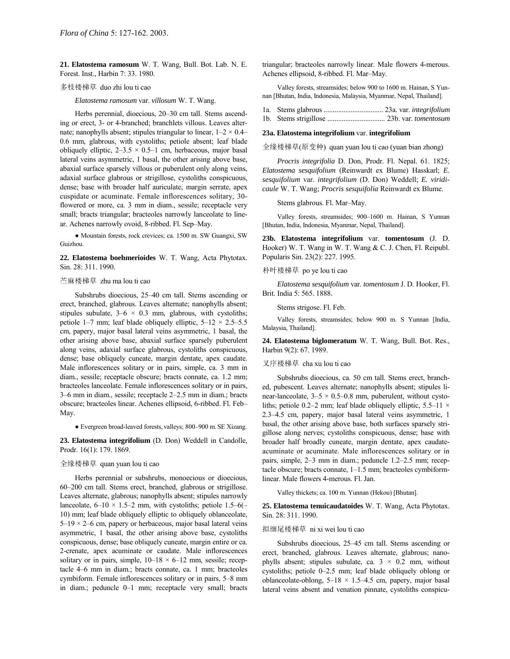**21. Elatostema ramosum** W. T. Wang, Bull. Bot. Lab. N. E. Forest. Inst., Harbin 7: 33. 1980.

### 多枝楼梯草 duo zhi lou ti cao

*Elatostema ramosum* var. *villosum* W. T. Wang.

Herbs perennial, dioecious, 20-30 cm tall. Stems ascending or erect, 3- or 4-branched; branchlets villous. Leaves alternate; nanophylls absent; stipules triangular to linear,  $1-2 \times 0.4$ 0.6 mm, glabrous, with cystoliths; petiole absent; leaf blade obliquely elliptic,  $2-3.5 \times 0.5-1$  cm, herbaceous, major basal lateral veins asymmetric, 1 basal, the other arising above base, abaxial surface sparsely villous or puberulent only along veins, adaxial surface glabrous or strigillose, cystoliths conspicuous, dense; base with broader half auriculate, margin serrate, apex cuspidate or acuminate. Female inflorescences solitary, 30 flowered or more, ca. 3 mm in diam., sessile; receptacle very small; bracts triangular; bracteoles narrowly lanceolate to linear. Achenes narrowly ovoid, 8-ribbed. Fl. Sep-May.

● Mountain forests, rock crevices; ca. 1500 m. SW Guangxi, SW Guizhou.

**22. Elatostema boehmerioides** W. T. Wang, Acta Phytotax. Sin. 28: 311. 1990.

### 苎麻楼梯草 zhu ma lou ti cao

Subshrubs dioecious, 25-40 cm tall. Stems ascending or erect, branched, glabrous. Leaves alternate; nanophylls absent; stipules subulate,  $3-6 \times 0.3$  mm, glabrous, with cystoliths; petiole 1–7 mm; leaf blade obliquely elliptic,  $5-12 \times 2.5-5.5$ cm, papery, major basal lateral veins asymmetric, 1 basal, the other arising above base, abaxial surface sparsely puberulent along veins, adaxial surface glabrous, cystoliths conspicuous, dense; base obliquely cuneate, margin dentate, apex caudate. Male inflorescences solitary or in pairs, simple, ca. 3 mm in diam., sessile; receptacle obscure; bracts connate, ca. 1.2 mm; bracteoles lanceolate. Female inflorescences solitary or in pairs,  $3-6$  mm in diam., sessile; receptacle  $2-2.5$  mm in diam.; bracts obscure; bracteoles linear. Achenes ellipsoid, 6-ribbed. Fl. Feb-May.

● Evergreen broad-leaved forests, valleys; 800–900 m. SE Xizang.

**23. Elatostema integrifolium** (D. Don) Weddell in Candolle, Prodr. 16(1): 179. 1869.

# 全缘楼梯草 quan yuan lou ti cao

Herbs perennial or subshrubs, monoecious or dioecious,  $60-200$  cm tall. Stems erect, branched, glabrous or strigillose. Leaves alternate, glabrous; nanophylls absent; stipules narrowly lanceolate,  $6-10 \times 1.5-2$  mm, with cystoliths; petiole 1.5-6(-10) mm; leaf blade obliquely elliptic to obliquely oblanceolate,  $5-19 \times 2-6$  cm, papery or herbaceous, major basal lateral veins asymmetric, 1 basal, the other arising above base, cystoliths conspicuous, dense; base obliquely cuneate, margin entire or ca. 2-crenate, apex acuminate or caudate. Male inflorescences solitary or in pairs, simple,  $10-18 \times 6-12$  mm, sessile; receptacle  $4-6$  mm in diam.; bracts connate, ca. 1 mm; bracteoles cymbiform. Female inflorescences solitary or in pairs, 5–8 mm in diam.; peduncle 0-1 mm; receptacle very small; bracts

triangular; bracteoles narrowly linear. Male flowers 4-merous. Achenes ellipsoid, 8-ribbed. Fl. Mar-May.

Valley forests, streamsides; below 900 to 1600 m. Hainan, S Yunnan [Bhutan, India, Indonesia, Malaysia, Myanmar, Nepal, Thailand].

1a. Stems glabrous ................................. 23a. var. *integrifolium* 1b. Stems strigillose ................................ 23b. var. *tomentosum*

### **23a. Elatostema integrifolium** var. **integrifolium**

全缘楼梯草(原变种) quan yuan lou ti cao (yuan bian zhong)

*Procris integrifolia* D. Don, Prodr. Fl. Nepal. 61. 1825; *Elatostema sesquifolium* (Reinwardt ex Blume) Hasskarl; *E. sesquifolium* var. *integrifolium* (D. Don) Weddell; *E. viridicaule* W. T. Wang; *Procris sesquifolia* Reinwardt ex Blume.

Stems glabrous. Fl. Mar-May.

Valley forests, streamsides; 900-1600 m. Hainan, S Yunnan [Bhutan, India, Indonesia, Myanmar, Nepal, Thailand].

**23b. Elatostema integrifolium** var. **tomentosum** (J. D. Hooker) W. T. Wang in W. T. Wang & C. J. Chen, Fl. Reipubl. Popularis Sin. 23(2): 227. 1995.

# 朴叶楼梯草 po ye lou ti cao

*Elatostema sesquifolium* var. *tomentosum* J. D. Hooker, Fl. Brit. India 5: 565. 1888.

Stems strigose. Fl. Feb.

Valley forests, streamsides; below 900 m. S Yunnan [India, Malaysia, Thailand].

**24. Elatostema biglomeratum** W. T. Wang, Bull. Bot. Res., Harbin 9(2): 67. 1989.

# 叉序楼梯草 cha xu lou ti cao

Subshrubs dioecious, ca. 50 cm tall. Stems erect, branched, pubescent. Leaves alternate; nanophylls absent; stipules linear-lanceolate,  $3-5 \times 0.5-0.8$  mm, puberulent, without cystoliths; petiole 0.2–2 mm; leaf blade obliquely elliptic, 5.5–11  $\times$ 2.3-4.5 cm, papery, major basal lateral veins asymmetric, 1 basal, the other arising above base, both surfaces sparsely strigillose along nerves; cystoliths conspicuous, dense; base with broader half broadly cuneate, margin dentate, apex caudateacuminate or acuminate. Male inflorescences solitary or in pairs, simple, 2-3 mm in diam.; peduncle 1.2-2.5 mm; receptacle obscure; bracts connate,  $1-1.5$  mm; bracteoles cymbiformlinear. Male flowers 4-merous. Fl. Jan.

Valley thickets; ca. 100 m. Yunnan (Hekou) [Bhutan].

**25. Elatostema tenuicaudatoides** W. T. Wang, Acta Phytotax. Sin. 28: 311. 1990.

#### 拟细尾楼梯草 ni xi wei lou ti cao

Subshrubs dioecious, 25-45 cm tall. Stems ascending or erect, branched, glabrous. Leaves alternate, glabrous; nanophylls absent; stipules subulate, ca.  $3 \times 0.2$  mm, without cystoliths; petiole  $0-2.5$  mm; leaf blade obliquely oblong or oblanceolate-oblong,  $5-18 \times 1.5-4.5$  cm, papery, major basal lateral veins absent and venation pinnate, cystoliths conspicu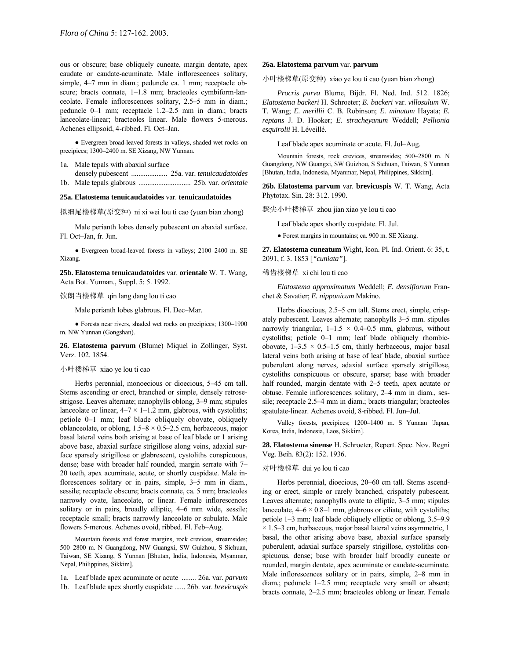ous or obscure; base obliquely cuneate, margin dentate, apex caudate or caudate-acuminate. Male inflorescences solitary, simple, 4-7 mm in diam.; peduncle ca. 1 mm; receptacle obscure; bracts connate, 1-1.8 mm; bracteoles cymbiform-lanceolate. Female inflorescences solitary, 2.5-5 mm in diam.; peduncle 0-1 mm; receptacle 1.2-2.5 mm in diam.; bracts lanceolate-linear; bracteoles linear. Male flowers 5-merous. Achenes ellipsoid, 4-ribbed. Fl. Oct-Jan.

● Evergreen broad-leaved forests in valleys, shaded wet rocks on precipices; 1300-2400 m. SE Xizang, NW Yunnan.

1a. Male tepals with abaxial surface

densely pubescent .................... 25a. var. *tenuicaudatoides*

1b. Male tepals glabrous ............................. 25b. var. *orientale*

# **25a. Elatostema tenuicaudatoides** var. **tenuicaudatoides**

拟细尾楼梯草(原变种) ni xi wei lou ti cao (yuan bian zhong)

Male perianth lobes densely pubescent on abaxial surface. Fl. Oct-Jan, fr. Jun.

 $\bullet$  Evergreen broad-leaved forests in valleys; 2100–2400 m. SE Xizang.

**25b. Elatostema tenuicaudatoides** var. **orientale** W. T. Wang, Acta Bot. Yunnan., Suppl. 5: 5. 1992.

#### 钦朗当楼梯草 qin lang dang lou ti cao

Male perianth lobes glabrous. Fl. Dec-Mar.

• Forests near rivers, shaded wet rocks on precipices; 1300-1900 m. NW Yunnan (Gongshan).

**26. Elatostema parvum** (Blume) Miquel in Zollinger, Syst. Verz. 102. 1854.

### 小叶楼梯草 xiao ye lou ti cao

Herbs perennial, monoecious or dioecious, 5–45 cm tall. Stems ascending or erect, branched or simple, densely retrosestrigose. Leaves alternate; nanophylls oblong, 3-9 mm; stipules lanceolate or linear,  $4-7 \times 1-1.2$  mm, glabrous, with cystoliths; petiole 0–1 mm; leaf blade obliquely obovate, obliquely oblanceolate, or oblong,  $1.5-8 \times 0.5-2.5$  cm, herbaceous, major basal lateral veins both arising at base of leaf blade or 1 arising above base, abaxial surface strigillose along veins, adaxial surface sparsely strigillose or glabrescent, cystoliths conspicuous, dense; base with broader half rounded, margin serrate with  $7-$ 20 teeth, apex acuminate, acute, or shortly cuspidate. Male inflorescences solitary or in pairs, simple,  $3-5$  mm in diam., sessile; receptacle obscure; bracts connate, ca. 5 mm; bracteoles narrowly ovate, lanceolate, or linear. Female inflorescences solitary or in pairs, broadly elliptic, 4–6 mm wide, sessile; receptacle small; bracts narrowly lanceolate or subulate. Male flowers 5-merous. Achenes ovoid, ribbed. Fl. Feb-Aug.

Mountain forests and forest margins, rock crevices, streamsides; 500–2800 m. N Guangdong, NW Guangxi, SW Guizhou, S Sichuan, Taiwan, SE Xizang, S Yunnan [Bhutan, India, Indonesia, Myanmar, Nepal, Philippines, Sikkim].

1a. Leaf blade apex acuminate or acute ........ 26a. var. *parvum* 1b. Leaf blade apex shortly cuspidate ...... 26b. var. *brevicuspis*

#### **26a. Elatostema parvum** var. **parvum**

小叶楼梯草(原变种) xiao ye lou ti cao (yuan bian zhong)

*Procris parva* Blume, Bijdr. Fl. Ned. Ind. 512. 1826; *Elatostema backeri* H. Schroeter; *E. backeri* var. *villosulum* W. T. Wang; *E. merillii* C. B. Robinson; *E. minutum* Hayata; *E. reptans* J. D. Hooker; *E. stracheyanum* Weddell; *Pellionia esquirolii* H. LÈveillÈ.

Leaf blade apex acuminate or acute. Fl. Jul–Aug.

Mountain forests, rock crevices, streamsides; 500-2800 m. N Guangdong, NW Guangxi, SW Guizhou, S Sichuan, Taiwan, S Yunnan [Bhutan, India, Indonesia, Myanmar, Nepal, Philippines, Sikkim].

**26b. Elatostema parvum** var. **brevicuspis** W. T. Wang, Acta Phytotax. Sin. 28: 312. 1990.

骤尖小叶楼梯草 zhou jian xiao ye lou ti cao

Leaf blade apex shortly cuspidate. Fl. Jul.

● Forest margins in mountains; ca. 900 m. SE Xizang.

**27. Elatostema cuneatum** Wight, Icon. Pl. Ind. Orient. 6: 35, t. 2091, f. 3. 1853 [*"cuniata"*].

## 稀齿楼梯草 xi chi lou ti cao

*Elatostema approximatum* Weddell; *E. densiflorum* Franchet & Savatier; *E. nipponicum* Makino.

Herbs dioecious, 2.5–5 cm tall. Stems erect, simple, crispately pubescent. Leaves alternate; nanophylls 3–5 mm. stipules narrowly triangular,  $1-1.5 \times 0.4-0.5$  mm, glabrous, without cystoliths; petiole  $0-1$  mm; leaf blade obliquely rhombicobovate,  $1-3.5 \times 0.5-1.5$  cm, thinly herbaceous, major basal lateral veins both arising at base of leaf blade, abaxial surface puberulent along nerves, adaxial surface sparsely strigillose, cystoliths conspicuous or obscure, sparse; base with broader half rounded, margin dentate with 2-5 teeth, apex acutate or obtuse. Female inflorescences solitary, 2-4 mm in diam., sessile; receptacle 2.5<sup>-4</sup> mm in diam.; bracts triangular; bracteoles spatulate-linear. Achenes ovoid, 8-ribbed. Fl. Jun-Jul.

Valley forests, precipices; 1200-1400 m. S Yunnan [Japan, Korea, India, Indonesia, Laos, Sikkim].

**28. Elatostema sinense** H. Schroeter, Repert. Spec. Nov. Regni Veg. Beih. 83(2): 152. 1936.

### 对叶楼梯草 dui ye lou ti cao

Herbs perennial, dioecious, 20-60 cm tall. Stems ascending or erect, simple or rarely branched, crispately pubescent. Leaves alternate; nanophylls ovate to elliptic, 3–5 mm; stipules lanceolate,  $4-6 \times 0.8-1$  mm, glabrous or ciliate, with cystoliths; petiole  $1-3$  mm; leaf blade obliquely elliptic or oblong,  $3.5-9.9$  $\times$  1.5–3 cm, herbaceous, major basal lateral veins asymmetric, 1 basal, the other arising above base, abaxial surface sparsely puberulent, adaxial surface sparsely strigillose, cystoliths conspicuous, dense; base with broader half broadly cuneate or rounded, margin dentate, apex acuminate or caudate-acuminate. Male inflorescences solitary or in pairs, simple, 2–8 mm in diam.; peduncle  $1-2.5$  mm; receptacle very small or absent; bracts connate,  $2-2.5$  mm; bracteoles oblong or linear. Female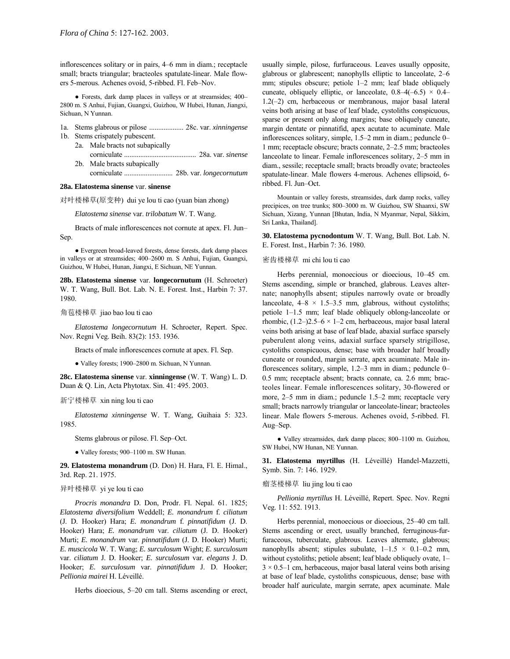inflorescences solitary or in pairs, 4–6 mm in diam.; receptacle small; bracts triangular; bracteoles spatulate-linear. Male flowers 5-merous. Achenes ovoid, 5-ribbed. Fl. Feb-Nov.

• Forests, dark damp places in valleys or at streamsides; 400– 2800 m. S Anhui, Fujian, Guangxi, Guizhou, W Hubei, Hunan, Jiangxi, Sichuan, N Yunnan.

- 1a. Stems glabrous or pilose ................... 28c. var. *xinningense* 1b. Stems crispately pubescent.
	- 2a. Male bracts not subapically
		- corniculate ........................................ 28a. var. *sinense* 2b. Male bracts subapically
			- corniculate ........................... 28b. var. *longecornutum*

# **28a. Elatostema sinense** var. **sinense**

对叶楼梯草(原变种) dui ye lou ti cao (yuan bian zhong)

*Elatostema sinense* var. *trilobatum* W. T. Wang.

Bracts of male inflorescences not cornute at apex. Fl. Jun-Sep.

● Evergreen broad-leaved forests, dense forests, dark damp places in valleys or at streamsides; 400–2600 m. S Anhui, Fujian, Guangxi, Guizhou, W Hubei, Hunan, Jiangxi, E Sichuan, NE Yunnan.

**28b. Elatostema sinense** var. **longecornutum** (H. Schroeter) W. T. Wang, Bull. Bot. Lab. N. E. Forest. Inst., Harbin 7: 37. 1980.

# 角苞楼梯草 jiao bao lou ti cao

*Elatostema longecornutum* H. Schroeter, Repert. Spec. Nov. Regni Veg. Beih. 83(2): 153. 1936.

Bracts of male inflorescences cornute at apex. Fl. Sep.

• Valley forests; 1900-2800 m. Sichuan, N Yunnan.

**28c. Elatostema sinense** var. **xinningense** (W. T. Wang) L. D. Duan & Q. Lin, Acta Phytotax. Sin. 41: 495. 2003.

### 新宁楼梯草 xin ning lou ti cao

*Elatostema xinningense* W. T. Wang, Guihaia 5: 323. 1985.

Stems glabrous or pilose. Fl. Sep-Oct.

 $\bullet$  Valley forests; 900-1100 m. SW Hunan.

**29. Elatostema monandrum** (D. Don) H. Hara, Fl. E. Himal., 3rd. Rep. 21. 1975.

### 异叶楼梯草 yi ye lou ti cao

*Procris monandra* D. Don, Prodr. Fl. Nepal. 61. 1825; *Elatostema diversifolium* Weddell; *E. monandrum* f. *ciliatum* (J. D. Hooker) Hara; *E. monandrum* f. *pinnatifidum* (J. D. Hooker) Hara; *E. monandrum* var. *ciliatum* (J. D. Hooker) Murti; *E. monandrum* var. *pinnatifidum* (J. D. Hooker) Murti; *E. muscicola* W. T. Wang; *E. surculosum* Wight; *E. surculosum* var. *ciliatum* J. D. Hooker; *E. surculosum* var. *elegans* J. D. Hooker; *E. surculosum* var. *pinnatifidum* J. D. Hooker; *Pellionia mairei* H. LÈveillÈ.

Herbs dioecious, 5-20 cm tall. Stems ascending or erect,

usually simple, pilose, furfuraceous. Leaves usually opposite, glabrous or glabrescent; nanophylls elliptic to lanceolate,  $2-6$ mm; stipules obscure; petiole 1-2 mm; leaf blade obliquely cuneate, obliquely elliptic, or lanceolate,  $0.8-4(-6.5) \times 0.4$  $1.2(-2)$  cm, herbaceous or membranous, major basal lateral veins both arising at base of leaf blade, cystoliths conspicuous, sparse or present only along margins; base obliquely cuneate, margin dentate or pinnatifid, apex acutate to acuminate. Male inflorescences solitary, simple,  $1.5-2$  mm in diam.; peduncle 0-1 mm; receptacle obscure; bracts connate, 2-2.5 mm; bracteoles lanceolate to linear. Female inflorescences solitary, 2-5 mm in diam., sessile; receptacle small; bracts broadly ovate; bracteoles spatulate-linear. Male flowers 4-merous. Achenes ellipsoid, 6 ribbed. Fl. Jun-Oct.

Mountain or valley forests, streamsides, dark damp rocks, valley precipices, on tree trunks; 800-3000 m. W Guizhou, SW Shaanxi, SW Sichuan, Xizang, Yunnan [Bhutan, India, N Myanmar, Nepal, Sikkim, Sri Lanka, Thailand].

**30. Elatostema pycnodontum** W. T. Wang, Bull. Bot. Lab. N. E. Forest. Inst., Harbin 7: 36. 1980.

# 密齿楼梯草 mi chi lou ti cao

Herbs perennial, monoecious or dioecious, 10-45 cm. Stems ascending, simple or branched, glabrous. Leaves alternate; nanophylls absent; stipules narrowly ovate or broadly lanceolate,  $4-8 \times 1.5-3.5$  mm, glabrous, without cystoliths; petiole 1–1.5 mm; leaf blade obliquely oblong-lanceolate or rhombic,  $(1.2–)2.5–6 \times 1–2$  cm, herbaceous, major basal lateral veins both arising at base of leaf blade, abaxial surface sparsely puberulent along veins, adaxial surface sparsely strigillose, cystoliths conspicuous, dense; base with broader half broadly cuneate or rounded, margin serrate, apex acuminate. Male inflorescences solitary, simple,  $1.2-3$  mm in diam.; peduncle 0-0.5 mm; receptacle absent; bracts connate, ca. 2.6 mm; bracteoles linear. Female inflorescences solitary, 30-flowered or more, 2-5 mm in diam.; peduncle 1.5-2 mm; receptacle very small; bracts narrowly triangular or lanceolate-linear; bracteoles linear. Male flowers 5-merous. Achenes ovoid, 5-ribbed. Fl. Aug-Sep.

• Valley streamsides, dark damp places; 800-1100 m. Guizhou, SW Hubei, NW Hunan, NE Yunnan.

31. Elatostema myrtillus (H. Léveillé) Handel-Mazzetti, Symb. Sin. 7: 146. 1929.

# 瘤茎楼梯草 liu jing lou ti cao

*Pellionia myrtillus* H. LÈveillÈ, Repert. Spec. Nov. Regni Veg. 11: 552. 1913.

Herbs perennial, monoecious or dioecious, 25-40 cm tall. Stems ascending or erect, usually branched, ferruginous-furfuraceous, tuberculate, glabrous. Leaves alternate, glabrous; nanophylls absent; stipules subulate,  $1-1.5 \times 0.1-0.2$  mm, without cystoliths; petiole absent; leaf blade obliquely ovate, 1–  $3 \times 0.5$ –1 cm, herbaceous, major basal lateral veins both arising at base of leaf blade, cystoliths conspicuous, dense; base with broader half auriculate, margin serrate, apex acuminate. Male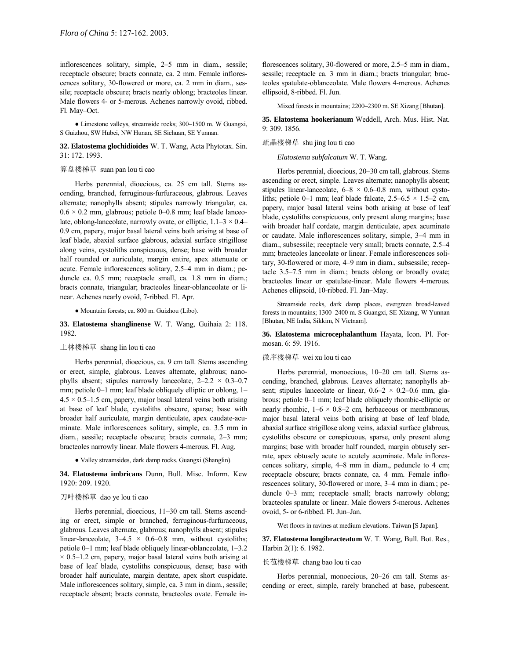inflorescences solitary, simple, 2-5 mm in diam., sessile; receptacle obscure; bracts connate, ca. 2 mm. Female inflorescences solitary, 30-flowered or more, ca. 2 mm in diam., sessile; receptacle obscure; bracts nearly oblong; bracteoles linear. Male flowers 4- or 5-merous. Achenes narrowly ovoid, ribbed. Fl. May-Oct.

• Limestone valleys, streamside rocks; 300-1500 m. W Guangxi, S Guizhou, SW Hubei, NW Hunan, SE Sichuan, SE Yunnan.

# **32. Elatostema glochidioides** W. T. Wang, Acta Phytotax. Sin. 31: 172. 1993.

# 算盘楼梯草 suan pan lou ti cao

Herbs perennial, dioecious, ca. 25 cm tall. Stems ascending, branched, ferruginous-furfuraceous, glabrous. Leaves alternate; nanophylls absent; stipules narrowly triangular, ca.  $0.6 \times 0.2$  mm, glabrous; petiole 0–0.8 mm; leaf blade lanceolate, oblong-lanceolate, narrowly ovate, or elliptic,  $1.1-3 \times 0.4$ 0.9 cm, papery, major basal lateral veins both arising at base of leaf blade, abaxial surface glabrous, adaxial surface strigillose along veins, cystoliths conspicuous, dense; base with broader half rounded or auriculate, margin entire, apex attenuate or acute. Female inflorescences solitary, 2.5-4 mm in diam.; peduncle ca. 0.5 mm; receptacle small, ca. 1.8 mm in diam.; bracts connate, triangular; bracteoles linear-oblanceolate or linear. Achenes nearly ovoid, 7-ribbed. Fl. Apr.

● Mountain forests; ca. 800 m. Guizhou (Libo).

**33. Elatostema shanglinense** W. T. Wang, Guihaia 2: 118. 1982.

### 上林楼梯草 shang lin lou ti cao

Herbs perennial, dioecious, ca. 9 cm tall. Stems ascending or erect, simple, glabrous. Leaves alternate, glabrous; nanophylls absent; stipules narrowly lanceolate,  $2-2.2 \times 0.3-0.7$ mm; petiole  $0-1$  mm; leaf blade obliquely elliptic or oblong,  $1 4.5 \times 0.5$ –1.5 cm, papery, major basal lateral veins both arising at base of leaf blade, cystoliths obscure, sparse; base with broader half auriculate, margin denticulate, apex caudate-acuminate. Male inflorescences solitary, simple, ca. 3.5 mm in diam., sessile; receptacle obscure; bracts connate, 2-3 mm; bracteoles narrowly linear. Male flowers 4-merous. Fl. Aug.

● Valley streamsides, dark damp rocks. Guangxi (Shanglin).

**34. Elatostema imbricans** Dunn, Bull. Misc. Inform. Kew 1920: 209. 1920.

# 刀叶楼梯草 dao ye lou ti cao

Herbs perennial, dioecious, 11-30 cm tall. Stems ascending or erect, simple or branched, ferruginous-furfuraceous, glabrous. Leaves alternate, glabrous; nanophylls absent; stipules linear-lanceolate,  $3-4.5 \times 0.6-0.8$  mm, without cystoliths; petiole 0-1 mm; leaf blade obliquely linear-oblanceolate, 1-3.2  $\times$  0.5–1.2 cm, papery, major basal lateral veins both arising at base of leaf blade, cystoliths conspicuous, dense; base with broader half auriculate, margin dentate, apex short cuspidate. Male inflorescences solitary, simple, ca. 3 mm in diam., sessile; receptacle absent; bracts connate, bracteoles ovate. Female inflorescences solitary, 30-flowered or more, 2.5-5 mm in diam., sessile; receptacle ca. 3 mm in diam.; bracts triangular; bracteoles spatulate-oblanceolate. Male flowers 4-merous. Achenes ellipsoid, 8-ribbed. Fl. Jun.

Mixed forests in mountains; 2200–2300 m. SE Xizang [Bhutan].

**35. Elatostema hookerianum** Weddell, Arch. Mus. Hist. Nat. 9: 309. 1856.

### 疏晶楼梯草 shu jing lou ti cao

*Elatostema subfalcatum* W. T. Wang.

Herbs perennial, dioecious, 20–30 cm tall, glabrous. Stems ascending or erect, simple. Leaves alternate; nanophylls absent; stipules linear-lanceolate,  $6-8 \times 0.6-0.8$  mm, without cystoliths; petiole 0–1 mm; leaf blade falcate,  $2.5-6.5 \times 1.5-2$  cm, papery, major basal lateral veins both arising at base of leaf blade, cystoliths conspicuous, only present along margins; base with broader half cordate, margin denticulate, apex acuminate or caudate. Male inflorescences solitary, simple, 3–4 mm in diam., subsessile; receptacle very small; bracts connate, 2.5–4 mm; bracteoles lanceolate or linear. Female inflorescences solitary, 30-flowered or more, 4-9 mm in diam., subsessile; receptacle  $3.5-7.5$  mm in diam.; bracts oblong or broadly ovate; bracteoles linear or spatulate-linear. Male flowers 4-merous. Achenes ellipsoid, 10-ribbed. Fl. Jan-May.

Streamside rocks, dark damp places, evergreen broad-leaved forests in mountains; 1300–2400 m. S Guangxi, SE Xizang, W Yunnan [Bhutan, NE India, Sikkim, N Vietnam].

**36. Elatostema microcephalanthum** Hayata, Icon. Pl. Formosan. 6: 59. 1916.

#### 微序楼梯草 wei xu lou ti cao

Herbs perennial, monoecious, 10-20 cm tall. Stems ascending, branched, glabrous. Leaves alternate; nanophylls absent; stipules lanceolate or linear,  $0.6-2 \times 0.2-0.6$  mm, glabrous; petiole 0–1 mm; leaf blade obliquely rhombic-elliptic or nearly rhombic,  $1-6 \times 0.8-2$  cm, herbaceous or membranous, major basal lateral veins both arising at base of leaf blade, abaxial surface strigillose along veins, adaxial surface glabrous, cystoliths obscure or conspicuous, sparse, only present along margins; base with broader half rounded, margin obtusely serrate, apex obtusely acute to acutely acuminate. Male inflorescences solitary, simple,  $4-8$  mm in diam., peduncle to  $4 \text{ cm}$ ; receptacle obscure; bracts connate, ca. 4 mm. Female inflorescences solitary, 30-flowered or more, 3-4 mm in diam.; peduncle 0-3 mm; receptacle small; bracts narrowly oblong; bracteoles spatulate or linear. Male flowers 5-merous. Achenes ovoid, 5- or 6-ribbed. Fl. Jun-Jan.

Wet floors in ravines at medium elevations. Taiwan [S Japan].

**37. Elatostema longibracteatum** W. T. Wang, Bull. Bot. Res., Harbin 2(1): 6. 1982.

# 长苞楼梯草 chang bao lou ti cao

Herbs perennial, monoecious, 20-26 cm tall. Stems ascending or erect, simple, rarely branched at base, pubescent.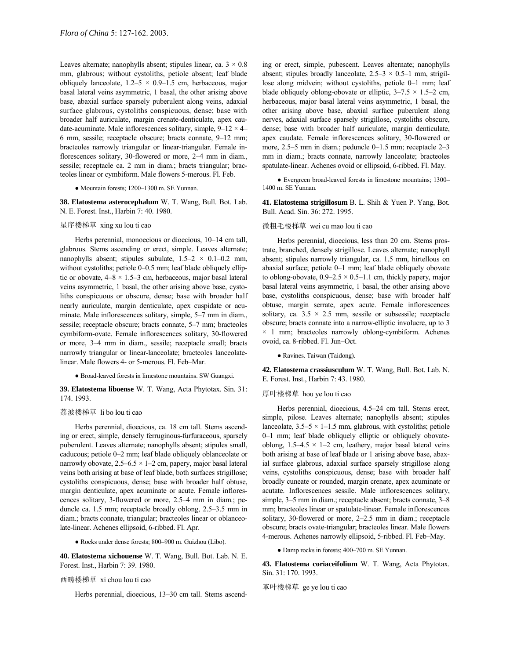Leaves alternate; nanophylls absent; stipules linear, ca.  $3 \times 0.8$ mm, glabrous; without cystoliths, petiole absent; leaf blade obliquely lanceolate,  $1.2-5 \times 0.9-1.5$  cm, herbaceous, major basal lateral veins asymmetric, 1 basal, the other arising above base, abaxial surface sparsely puberulent along veins, adaxial surface glabrous, cystoliths conspicuous, dense; base with broader half auriculate, margin crenate-denticulate, apex caudate-acuminate. Male inflorescences solitary, simple,  $9-12 \times 4$ 6 mm, sessile; receptacle obscure; bracts connate, 9-12 mm; bracteoles narrowly triangular or linear-triangular. Female inflorescences solitary, 30-flowered or more, 2-4 mm in diam., sessile; receptacle ca. 2 mm in diam.; bracts triangular; bracteoles linear or cymbiform. Male flowers 5-merous. Fl. Feb.

#### • Mountain forests; 1200-1300 m. SE Yunnan.

**38. Elatostema asterocephalum** W. T. Wang, Bull. Bot. Lab. N. E. Forest. Inst., Harbin 7: 40. 1980.

# 星序楼梯草 xing xu lou ti cao

Herbs perennial, monoecious or dioecious, 10-14 cm tall, glabrous. Stems ascending or erect, simple. Leaves alternate; nanophylls absent; stipules subulate,  $1.5-2 \times 0.1-0.2$  mm, without cystoliths; petiole  $0-0.5$  mm; leaf blade obliquely elliptic or obovate,  $4-8 \times 1.5-3$  cm, herbaceous, major basal lateral veins asymmetric, 1 basal, the other arising above base, cystoliths conspicuous or obscure, dense; base with broader half nearly auriculate, margin denticulate, apex cuspidate or acuminate. Male inflorescences solitary, simple, 5-7 mm in diam., sessile; receptacle obscure; bracts connate, 5-7 mm; bracteoles cymbiform-ovate. Female inflorescences solitary, 30-flowered or more, 3-4 mm in diam., sessile; receptacle small; bracts narrowly triangular or linear-lanceolate; bracteoles lanceolatelinear. Male flowers 4- or 5-merous. Fl. Feb-Mar.

● Broad-leaved forests in limestone mountains. SW Guangxi.

**39. Elatostema liboense** W. T. Wang, Acta Phytotax. Sin. 31: 174. 1993.

# 荔波楼梯草 li bo lou ti cao

Herbs perennial, dioecious, ca. 18 cm tall. Stems ascending or erect, simple, densely ferruginous-furfuraceous, sparsely puberulent. Leaves alternate; nanophylls absent; stipules small, caducous; petiole 0–2 mm; leaf blade obliquely oblanceolate or narrowly obovate,  $2.5-6.5 \times 1-2$  cm, papery, major basal lateral veins both arising at base of leaf blade, both surfaces strigillose; cystoliths conspicuous, dense; base with broader half obtuse, margin denticulate, apex acuminate or acute. Female inflorescences solitary, 3-flowered or more,  $2.5-4$  mm in diam.; peduncle ca.  $1.5$  mm; receptacle broadly oblong,  $2.5-3.5$  mm in diam.; bracts connate, triangular; bracteoles linear or oblanceolate-linear. Achenes ellipsoid, 6-ribbed. Fl. Apr.

● Rocks under dense forests; 800–900 m. Guizhou (Libo).

**40. Elatostema xichouense** W. T. Wang, Bull. Bot. Lab. N. E. Forest. Inst., Harbin 7: 39. 1980.

#### 西畴楼梯草 xi chou lou ti cao

Herbs perennial, dioecious, 13-30 cm tall. Stems ascend-

ing or erect, simple, pubescent. Leaves alternate; nanophylls absent; stipules broadly lanceolate,  $2.5-3 \times 0.5-1$  mm, strigillose along midvein; without cystoliths, petiole 0-1 mm; leaf blade obliquely oblong-obovate or elliptic,  $3-7.5 \times 1.5-2$  cm, herbaceous, major basal lateral veins asymmetric, 1 basal, the other arising above base, abaxial surface puberulent along nerves, adaxial surface sparsely strigillose, cystoliths obscure, dense; base with broader half auriculate, margin denticulate, apex caudate. Female inflorescences solitary, 30-flowered or more,  $2.5-5$  mm in diam.; peduncle 0–1.5 mm; receptacle  $2-3$ mm in diam.; bracts connate, narrowly lanceolate; bracteoles spatulate-linear. Achenes ovoid or ellipsoid, 6-ribbed. Fl. May.

• Evergreen broad-leaved forests in limestone mountains; 1300– 1400 m. SE Yunnan.

**41. Elatostema strigillosum** B. L. Shih & Yuen P. Yang, Bot. Bull. Acad. Sin. 36: 272. 1995.

#### 微粗毛楼梯草 wei cu mao lou ti cao

Herbs perennial, dioecious, less than 20 cm. Stems prostrate, branched, densely strigillose. Leaves alternate; nanophyll absent; stipules narrowly triangular, ca. 1.5 mm, hirtellous on abaxial surface; petiole  $0-1$  mm; leaf blade obliquely obovate to oblong-obovate,  $0.9-2.5 \times 0.5-1.1$  cm, thickly papery, major basal lateral veins asymmetric, 1 basal, the other arising above base, cystoliths conspicuous, dense; base with broader half obtuse, margin serrate, apex acute. Female inflorescences solitary, ca.  $3.5 \times 2.5$  mm, sessile or subsessile; receptacle obscure; bracts connate into a narrow-elliptic involucre, up to 3  $\times$  1 mm; bracteoles narrowly oblong-cymbiform. Achenes ovoid, ca. 8-ribbed. Fl. Jun-Oct.

● Ravines. Taiwan (Taidong).

**42. Elatostema crassiusculum** W. T. Wang, Bull. Bot. Lab. N. E. Forest. Inst., Harbin 7: 43. 1980.

# 厚叶楼梯草 hou ye lou ti cao

Herbs perennial, dioecious, 4.5-24 cm tall. Stems erect, simple, pilose. Leaves alternate; nanophylls absent; stipules lanceolate,  $3.5-5 \times 1-1.5$  mm, glabrous, with cystoliths; petiole 0-1 mm; leaf blade obliquely elliptic or obliquely obovateoblong,  $1.5-4.5 \times 1-2$  cm, leathery, major basal lateral veins both arising at base of leaf blade or 1 arising above base, abaxial surface glabrous, adaxial surface sparsely strigillose along veins, cystoliths conspicuous, dense; base with broader half broadly cuneate or rounded, margin crenate, apex acuminate or acutate. Inflorescences sessile. Male inflorescences solitary, simple, 3–5 mm in diam.; receptacle absent; bracts connate, 3–8 mm; bracteoles linear or spatulate-linear. Female inflorescences solitary, 30-flowered or more,  $2-2.5$  mm in diam.; receptacle obscure; bracts ovate-triangular; bracteoles linear. Male flowers 4-merous. Achenes narrowly ellipsoid, 5-ribbed. Fl. Feb-May.

● Damp rocks in forests; 400–700 m. SE Yunnan.

**43. Elatostema coriaceifolium** W. T. Wang, Acta Phytotax. Sin. 31: 170. 1993.

革叶楼梯草 ge ye lou ti cao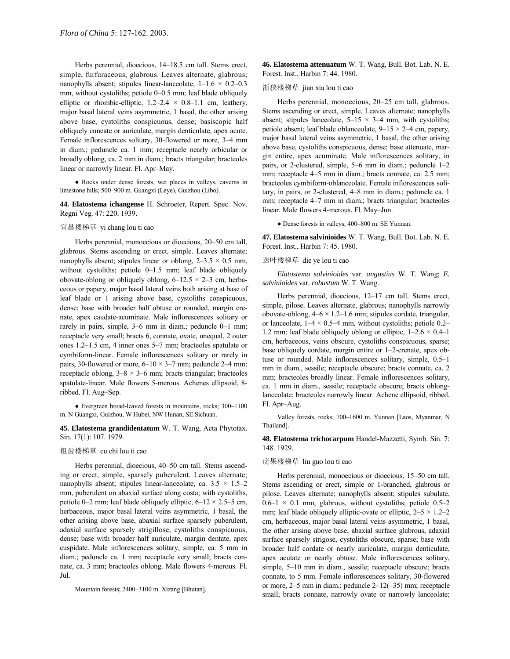Herbs perennial, dioecious, 14-18.5 cm tall. Stems erect, simple, furfuraceous, glabrous. Leaves alternate, glabrous; nanophylls absent; stipules linear-lanceolate,  $1-1.6 \times 0.2-0.3$ mm, without cystoliths; petiole  $0-0.5$  mm; leaf blade obliquely elliptic or rhombic-elliptic,  $1.2-2.4 \times 0.8-1.1$  cm, leathery, major basal lateral veins asymmetric, 1 basal, the other arising above base, cystoliths conspicuous, dense; basiscopic half obliquely cuneate or auriculate, margin denticulate, apex acute. Female inflorescences solitary, 30-flowered or more, 3-4 mm in diam.; peduncle ca. 1 mm; receptacle nearly orbicular or broadly oblong, ca. 2 mm in diam.; bracts triangular; bracteoles linear or narrowly linear. Fl. Apr-May.

● Rocks under dense forests, wet places in valleys, caverns in limestone hills; 500-900 m. Guangxi (Leye), Guizhou (Libo).

**44. Elatostema ichangense** H. Schroeter, Repert. Spec. Nov. Regni Veg. 47: 220. 1939.

### 宜昌楼梯草 yi chang lou ti cao

Herbs perennial, monoecious or dioecious, 20-50 cm tall, glabrous. Stems ascending or erect, simple. Leaves alternate; nanophylls absent; stipules linear or oblong,  $2-3.5 \times 0.5$  mm, without cystoliths; petiole  $0-1.5$  mm; leaf blade obliquely obovate-oblong or obliquely oblong,  $6-12.5 \times 2-3$  cm, herbaceous or papery, major basal lateral veins both arising at base of leaf blade or 1 arising above base, cystoliths conspicuous, dense; base with broader half obtuse or rounded, margin crenate, apex caudate-acuminate. Male inflorescences solitary or rarely in pairs, simple,  $3-6$  mm in diam.; peduncle 0-1 mm; receptacle very small; bracts 6, connate, ovate, unequal, 2 outer ones  $1.2-1.5$  cm, 4 inner ones  $5-7$  mm; bracteoles spatulate or cymbiform-linear. Female inflorescences solitary or rarely in pairs, 30-flowered or more,  $6-10 \times 3-7$  mm; peduncle 2–4 mm; receptacle oblong,  $3-8 \times 3-6$  mm; bracts triangular; bracteoles spatulate-linear. Male flowers 5-merous. Achenes ellipsoid, 8 ribbed. Fl. Aug-Sep.

 $\bullet$  Evergreen broad-leaved forests in mountains, rocks; 300–1100 m. N Guangxi, Guizhou, W Hubei, NW Hunan, SE Sichuan.

**45. Elatostema grandidentatum** W. T. Wang, Acta Phytotax. Sin. 17(1): 107. 1979.

#### 粗齿楼梯草 cu chi lou ti cao

Herbs perennial, dioecious, 40–50 cm tall. Stems ascending or erect, simple, sparsely puberulent. Leaves alternate; nanophylls absent; stipules linear-lanceolate, ca.  $3.5 \times 1.5-2$ mm, puberulent on abaxial surface along costa; with cystoliths, petiole 0–2 mm; leaf blade obliquely elliptic,  $6-12 \times 2.5-5$  cm, herbaceous, major basal lateral veins asymmetric, 1 basal, the other arising above base, abaxial surface sparsely puberulent, adaxial surface sparsely strigillose, cystoliths conspicuous, dense; base with broader half auriculate, margin dentate, apex cuspidate. Male inflorescences solitary, simple, ca. 5 mm in diam.; peduncle ca. 1 mm; receptacle very small; bracts connate, ca. 3 mm; bracteoles oblong. Male flowers 4-merous. Fl. Jul.

Mountain forests; 2400-3100 m. Xizang [Bhutan].

**46. Elatostema attenuatum** W. T. Wang, Bull. Bot. Lab. N. E. Forest. Inst., Harbin 7: 44. 1980.

### 渐狭楼梯草 jian xia lou ti cao

Herbs perennial, monoecious,  $20-25$  cm tall, glabrous. Stems ascending or erect, simple. Leaves alternate; nanophylls absent; stipules lanceolate,  $5-15 \times 3-4$  mm, with cystoliths; petiole absent; leaf blade oblanceolate,  $9-15 \times 2-4$  cm, papery, major basal lateral veins asymmetric, 1 basal, the other arising above base, cystoliths conspicuous, dense; base attenuate, margin entire, apex acuminate. Male inflorescences solitary, in pairs, or 2-clustered, simple,  $5-6$  mm in diam.; peduncle  $1-2$ mm; receptacle 4–5 mm in diam.; bracts connate, ca. 2.5 mm; bracteoles cymbiform-oblanceolate. Female inflorescences solitary, in pairs, or 2-clustered, 4-8 mm in diam.; peduncle ca. 1 mm; receptacle 4-7 mm in diam.; bracts triangular; bracteoles linear. Male flowers 4-merous. Fl. May-Jun.

• Dense forests in valleys; 400-800 m. SE Yunnan.

**47. Elatostema salvinioides** W. T. Wang, Bull. Bot. Lab. N. E. Forest. Inst., Harbin 7: 45. 1980.

# 迭叶楼梯草 die ye lou ti cao

*Elatostema salvinioides* var. *angustius* W. T. Wang; *E. salvinioides* var. *robustum* W. T. Wang.

Herbs perennial, dioecious, 12-17 cm tall. Stems erect, simple, pilose. Leaves alternate, glabrous; nanophylls narrowly obovate-oblong,  $4-6 \times 1.2-1.6$  mm; stipules cordate, triangular, or lanceolate,  $1-4 \times 0.5-4$  mm, without cystoliths; petiole 0.2– 1.2 mm; leaf blade obliquely oblong or elliptic,  $1-2.6 \times 0.4-1$ cm, herbaceous, veins obscure, cystoliths conspicuous, sparse; base obliquely cordate, margin entire or 1-2-crenate, apex obtuse or rounded. Male inflorescences solitary, simple,  $0.5-1$ mm in diam., sessile; receptacle obscure; bracts connate, ca. 2 mm; bracteoles broadly linear. Female inflorescences solitary, ca. 1 mm in diam., sessile; receptacle obscure; bracts oblonglanceolate; bracteoles narrowly linear. Achene ellipsoid, ribbed. Fl. Apr-Aug.

Valley forests, rocks; 700-1600 m. Yunnan [Laos, Myanmar, N Thailand].

**48. Elatostema trichocarpum** Handel-Mazzetti, Symb. Sin. 7: 148. 1929.

# 疣果楼梯草 liu guo lou ti cao

Herbs perennial, monoecious or dioecious, 15-50 cm tall. Stems ascending or erect, simple or 1-branched, glabrous or pilose. Leaves alternate; nanophylls absent; stipules subulate,  $0.6-1 \times 0.1$  mm, glabrous, without cystoliths; petiole 0.5–2 mm; leaf blade obliquely elliptic-ovate or elliptic,  $2-5 \times 1.2-2$ cm, herbaceous, major basal lateral veins asymmetric, 1 basal, the other arising above base, abaxial surface glabrous, adaxial surface sparsely strigose, cystoliths obscure, sparse; base with broader half cordate or nearly auriculate, margin denticulate, apex acutate or nearly obtuse. Male inflorescences solitary, simple, 5–10 mm in diam., sessile; receptacle obscure; bracts connate, to 5 mm. Female inflorescences solitary, 30-flowered or more,  $2-5$  mm in diam.; peduncle  $2-12(-35)$  mm; receptacle small; bracts connate, narrowly ovate or narrowly lanceolate;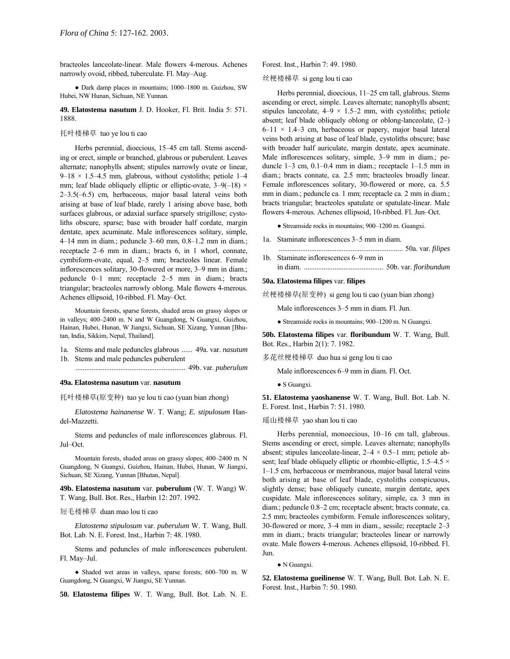bracteoles lanceolate-linear. Male flowers 4-merous. Achenes narrowly ovoid, ribbed, tuberculate. Fl. May-Aug.

• Dark damp places in mountains; 1000-1800 m. Guizhou, SW Hubei, NW Hunan, Sichuan, NE Yunnan.

**49. Elatostema nasutum** J. D. Hooker, Fl. Brit. India 5: 571. 1888.

# 托叶楼梯草 tuo ye lou ti cao

Herbs perennial, dioecious, 15-45 cm tall. Stems ascending or erect, simple or branched, glabrous or puberulent. Leaves alternate; nanophylls absent; stipules narrowly ovate or linear,  $9-18 \times 1.5-4.5$  mm, glabrous, without cystoliths; petiole 1–4 mm; leaf blade obliquely elliptic or elliptic-ovate,  $3-9(-18) \times$  $2-3.5(-6.5)$  cm, herbaceous, major basal lateral veins both arising at base of leaf blade, rarely 1 arising above base, both surfaces glabrous, or adaxial surface sparsely strigillose; cystoliths obscure, sparse; base with broader half cordate, margin dentate, apex acuminate. Male inflorescences solitary, simple, 4 $-14$  mm in diam.; peduncle 3 $-60$  mm, 0.8 $-1.2$  mm in diam.; receptacle 2-6 mm in diam.; bracts 6, in 1 whorl, connate, cymbiform-ovate, equal, 2-5 mm; bracteoles linear. Female inflorescences solitary, 30-flowered or more, 3-9 mm in diam.; peduncle  $0-1$  mm; receptacle  $2-5$  mm in diam.; bracts triangular; bracteoles narrowly oblong. Male flowers 4-merous. Achenes ellipsoid, 10-ribbed. Fl. May-Oct.

Mountain forests, sparse forests, shaded areas on grassy slopes or in valleys; 400–2400 m. N and W Guangdong, N Guangxi, Guizhou, Hainan, Hubei, Hunan, W Jiangxi, Sichuan, SE Xizang, Yunnan [Bhutan, India, Sikkim, Nepal, Thailand].

- 1a. Stems and male peduncles glabrous ...... 49a. var. *nasutum* 1b. Stems and male peduncles puberulent
- ............................................................. 49b. var. *puberulum*

# **49a. Elatostema nasutum** var. **nasutum**

托叶楼梯草(原变种) tuo ye lou ti cao (yuan bian zhong)

*Elatostema hainanense* W. T. Wang; *E. stipulosum* Handel-Mazzetti.

Stems and peduncles of male inflorescences glabrous. Fl. Jul-Oct.

Mountain forests, shaded areas on grassy slopes; 400-2400 m. N Guangdong, N Guangxi, Guizhou, Hainan, Hubei, Hunan, W Jiangxi, Sichuan, SE Xizang, Yunnan [Bhutan, Nepal].

**49b. Elatostema nasutum** var. **puberulum** (W. T. Wang) W. T. Wang, Bull. Bot. Res., Harbin 12: 207. 1992.

# 短毛楼梯草 duan mao lou ti cao

*Elatostema stipulosum* var. *puberulum* W. T. Wang, Bull. Bot. Lab. N. E. Forest. Inst., Harbin 7: 48. 1980.

Stems and peduncles of male inflorescences puberulent. Fl. May-Jul.

• Shaded wet areas in valleys, sparse forests; 600-700 m. W Guangdong, N Guangxi, W Jiangxi, SE Yunnan.

**50. Elatostema filipes** W. T. Wang, Bull. Bot. Lab. N. E.

Forest. Inst., Harbin 7: 49. 1980.

丝梗楼梯草 si geng lou ti cao

Herbs perennial, dioecious, 11–25 cm tall, glabrous. Stems ascending or erect, simple. Leaves alternate; nanophylls absent; stipules lanceolate,  $4-9 \times 1.5-2$  mm, with cystoliths; petiole absent; leaf blade obliquely oblong or oblong-lanceolate,  $(2-)$  $6-11 \times 1.4-3$  cm, herbaceous or papery, major basal lateral veins both arising at base of leaf blade, cystoliths obscure; base with broader half auriculate, margin dentate, apex acuminate. Male inflorescences solitary, simple, 3–9 mm in diam.; peduncle  $1-3$  cm,  $0.1-0.4$  mm in diam.; receptacle  $1-1.5$  mm in diam.; bracts connate, ca. 2.5 mm; bracteoles broadly linear. Female inflorescences solitary, 30-flowered or more, ca. 5.5 mm in diam.; peduncle ca. 1 mm; receptacle ca. 2 mm in diam.; bracts triangular; bracteoles spatulate or spatulate-linear. Male flowers 4-merous. Achenes ellipsoid, 10-ribbed. Fl. Jun-Oct.

 $\bullet$  Streamside rocks in mountains; 900–1200 m. Guangxi.

- 1a. Staminate inflorescences 3–5 mm in diam.
- ..................................................................... 50a. var. *filipes* 1b. Staminate inflorescences 6–9 mm in in diam. ............................................ 50b. var. *floribundum*

#### **50a. Elatostema filipes** var. **filipes**

丝梗楼梯草(原变种) si geng lou ti cao (yuan bian zhong)

Male inflorescences 3–5 mm in diam. Fl. Jun.

 $\bullet$  Streamside rocks in mountains; 900–1200 m. N Guangxi.

**50b. Elatostema filipes** var. **floribundum** W. T. Wang, Bull. Bot. Res., Harbin 2(1): 7. 1982.

多花丝梗楼梯草 duo hua si geng lou ti cao

Male inflorescences 6–9 mm in diam. Fl. Oct.

● S Guangxi.

**51. Elatostema yaoshanense** W. T. Wang, Bull. Bot. Lab. N. E. Forest. Inst., Harbin 7: 51. 1980.

瑶山楼梯草 yao shan lou ti cao

Herbs perennial, monoecious, 10-16 cm tall, glabrous. Stems ascending or erect, simple. Leaves alternate; nanophylls absent; stipules lanceolate-linear,  $2-4 \times 0.5-1$  mm; petiole absent; leaf blade obliquely elliptic or rhombic-elliptic,  $1.5-4.5 \times$ 1-1.5 cm, herbaceous or membranous, major basal lateral veins both arising at base of leaf blade, cystoliths conspicuous, slightly dense; base obliquely cuneate, margin dentate, apex cuspidate. Male inflorescences solitary, simple, ca. 3 mm in diam.; peduncle 0.8–2 cm; receptacle absent; bracts connate, ca. 2.5 mm; bracteoles cymbiform. Female inflorescences solitary, 30-flowered or more,  $3-4$  mm in diam., sessile; receptacle  $2-3$ mm in diam.; bracts triangular; bracteoles linear or narrowly ovate. Male flowers 4-merous. Achenes ellipsoid, 10-ribbed. Fl. Jun.

● N Guangxi.

**52. Elatostema gueilinense** W. T. Wang, Bull. Bot. Lab. N. E. Forest. Inst., Harbin 7: 50. 1980.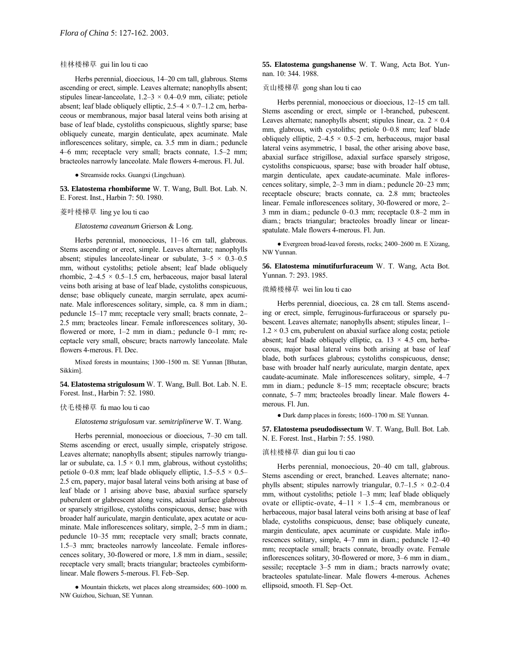# 桂林楼梯草 gui lin lou ti cao

Herbs perennial, dioecious, 14-20 cm tall, glabrous. Stems ascending or erect, simple. Leaves alternate; nanophylls absent; stipules linear-lanceolate,  $1.2-3 \times 0.4-0.9$  mm, ciliate; petiole absent; leaf blade obliquely elliptic,  $2.5-4 \times 0.7-1.2$  cm, herbaceous or membranous, major basal lateral veins both arising at base of leaf blade, cystoliths conspicuous, slightly sparse; base obliquely cuneate, margin denticulate, apex acuminate. Male inflorescences solitary, simple, ca. 3.5 mm in diam.; peduncle 4–6 mm; receptacle very small; bracts connate,  $1.5-2$  mm; bracteoles narrowly lanceolate. Male flowers 4-merous. Fl. Jul.

● Streamside rocks. Guangxi (Lingchuan).

**53. Elatostema rhombiforme** W. T. Wang, Bull. Bot. Lab. N. E. Forest. Inst., Harbin 7: 50. 1980.

#### 菱叶楼梯草 ling ye lou ti cao

*Elatostema caveanum* Grierson & Long.

Herbs perennial, monoecious, 11-16 cm tall, glabrous. Stems ascending or erect, simple. Leaves alternate; nanophylls absent; stipules lanceolate-linear or subulate,  $3-5 \times 0.3-0.5$ mm, without cystoliths; petiole absent; leaf blade obliquely rhombic,  $2-4.5 \times 0.5-1.5$  cm, herbaceous, major basal lateral veins both arising at base of leaf blade, cystoliths conspicuous, dense; base obliquely cuneate, margin serrulate, apex acuminate. Male inflorescences solitary, simple, ca. 8 mm in diam.; peduncle 15-17 mm; receptacle very small; bracts connate, 2-2.5 mm; bracteoles linear. Female inflorescences solitary, 30 flowered or more,  $1-2$  mm in diam.; peduncle  $0-1$  mm; receptacle very small, obscure; bracts narrowly lanceolate. Male flowers 4-merous. Fl. Dec.

Mixed forests in mountains; 1300-1500 m. SE Yunnan [Bhutan, Sikkim].

**54. Elatostema strigulosum** W. T. Wang, Bull. Bot. Lab. N. E. Forest. Inst., Harbin 7: 52. 1980.

# 伏毛楼梯草 fu mao lou ti cao

*Elatostema strigulosum* var. *semitriplinerve* W. T. Wang.

Herbs perennial, monoecious or dioecious, 7-30 cm tall. Stems ascending or erect, usually simple, crispately strigose. Leaves alternate; nanophylls absent; stipules narrowly triangular or subulate, ca.  $1.5 \times 0.1$  mm, glabrous, without cystoliths; petiole 0–0.8 mm; leaf blade obliquely elliptic,  $1.5-5.5 \times 0.5$ 2.5 cm, papery, major basal lateral veins both arising at base of leaf blade or 1 arising above base, abaxial surface sparsely puberulent or glabrescent along veins, adaxial surface glabrous or sparsely strigillose, cystoliths conspicuous, dense; base with broader half auriculate, margin denticulate, apex acutate or acuminate. Male inflorescences solitary, simple,  $2-5$  mm in diam.; peduncle 10-35 mm; receptacle very small; bracts connate, 1.5–3 mm; bracteoles narrowly lanceolate. Female inflorescences solitary, 30-flowered or more, 1.8 mm in diam., sessile; receptacle very small; bracts triangular; bracteoles cymbiformlinear. Male flowers 5-merous. Fl. Feb-Sep.

 $\bullet$  Mountain thickets, wet places along streamsides; 600–1000 m. NW Guizhou, Sichuan, SE Yunnan.

**55. Elatostema gungshanense** W. T. Wang, Acta Bot. Yunnan. 10: 344. 1988.

贡山楼梯草 gong shan lou ti cao

Herbs perennial, monoecious or dioecious,  $12-15$  cm tall. Stems ascending or erect, simple or 1-branched, pubescent. Leaves alternate; nanophylls absent; stipules linear, ca.  $2 \times 0.4$ mm, glabrous, with cystoliths; petiole  $0-0.8$  mm; leaf blade obliquely elliptic,  $2-4.5 \times 0.5-2$  cm, herbaceous, major basal lateral veins asymmetric, 1 basal, the other arising above base, abaxial surface strigillose, adaxial surface sparsely strigose, cystoliths conspicuous, sparse; base with broader half obtuse, margin denticulate, apex caudate-acuminate. Male inflorescences solitary, simple,  $2-3$  mm in diam.; peduncle  $20-23$  mm; receptacle obscure; bracts connate, ca. 2.8 mm; bracteoles linear. Female inflorescences solitary, 30-flowered or more, 2-3 mm in diam.; peduncle  $0-0.3$  mm; receptacle  $0.8-2$  mm in diam.; bracts triangular; bracteoles broadly linear or linearspatulate. Male flowers 4-merous. Fl. Jun.

 $\bullet$  Evergreen broad-leaved forests, rocks; 2400–2600 m. E Xizang, NW Yunnan.

**56. Elatostema minutifurfuraceum** W. T. Wang, Acta Bot. Yunnan. 7: 293. 1985.

# 微鳞楼梯草 wei lin lou ti cao

Herbs perennial, dioecious, ca. 28 cm tall. Stems ascending or erect, simple, ferruginous-furfuraceous or sparsely pubescent. Leaves alternate; nanophylls absent; stipules linear, 1- $1.2 \times 0.3$  cm, puberulent on abaxial surface along costa; petiole absent; leaf blade obliquely elliptic, ca.  $13 \times 4.5$  cm, herbaceous, major basal lateral veins both arising at base of leaf blade, both surfaces glabrous; cystoliths conspicuous, dense; base with broader half nearly auriculate, margin dentate, apex caudate-acuminate. Male inflorescences solitary, simple, 4-7 mm in diam.; peduncle 8-15 mm; receptacle obscure; bracts connate, 5–7 mm; bracteoles broadly linear. Male flowers 4merous. Fl. Jun.

 $\bullet$  Dark damp places in forests; 1600–1700 m. SE Yunnan.

**57. Elatostema pseudodissectum** W. T. Wang, Bull. Bot. Lab. N. E. Forest. Inst., Harbin 7: 55. 1980.

### 滇桂楼梯草 dian gui lou ti cao

Herbs perennial, monoecious, 20-40 cm tall, glabrous. Stems ascending or erect, branched. Leaves alternate; nanophylls absent; stipules narrowly triangular,  $0.7-1.5 \times 0.2-0.4$ mm, without cystoliths; petiole  $1-3$  mm; leaf blade obliquely ovate or elliptic-ovate,  $4-11 \times 1.5-4$  cm, membranous or herbaceous, major basal lateral veins both arising at base of leaf blade, cystoliths conspicuous, dense; base obliquely cuneate, margin denticulate, apex acuminate or cuspidate. Male inflorescences solitary, simple,  $4-7$  mm in diam.; peduncle  $12-40$ mm; receptacle small; bracts connate, broadly ovate. Female inflorescences solitary, 30-flowered or more, 3-6 mm in diam., sessile; receptacle 3-5 mm in diam.; bracts narrowly ovate; bracteoles spatulate-linear. Male flowers 4-merous. Achenes ellipsoid, smooth. Fl. Sep-Oct.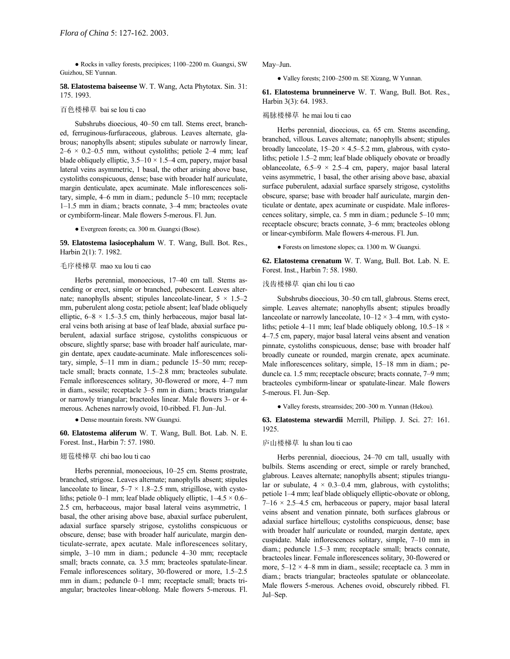• Rocks in valley forests, precipices; 1100-2200 m. Guangxi, SW Guizhou, SE Yunnan.

**58. Elatostema baiseense** W. T. Wang, Acta Phytotax. Sin. 31: 175. 1993.

# 百色楼梯草 bai se lou ti cao

Subshrubs dioecious, 40-50 cm tall. Stems erect, branched, ferruginous-furfuraceous, glabrous. Leaves alternate, glabrous; nanophylls absent; stipules subulate or narrowly linear,  $2-6 \times 0.2-0.5$  mm, without cystoliths; petiole 2-4 mm; leaf blade obliquely elliptic,  $3.5-10 \times 1.5-4$  cm, papery, major basal lateral veins asymmetric, 1 basal, the other arising above base, cystoliths conspicuous, dense; base with broader half auriculate, margin denticulate, apex acuminate. Male inflorescences solitary, simple,  $4-6$  mm in diam.; peduncle  $5-10$  mm; receptacle  $1-1.5$  mm in diam.; bracts connate,  $3-4$  mm; bracteoles ovate or cymbiform-linear. Male flowers 5-merous. Fl. Jun.

● Evergreen forests; ca. 300 m. Guangxi (Bose).

**59. Elatostema lasiocephalum** W. T. Wang, Bull. Bot. Res., Harbin 2(1): 7. 1982.

# 毛序楼梯草 mao xu lou ti cao

Herbs perennial, monoecious, 17-40 cm tall. Stems ascending or erect, simple or branched, pubescent. Leaves alternate; nanophylls absent; stipules lanceolate-linear,  $5 \times 1.5 - 2$ mm, puberulent along costa; petiole absent; leaf blade obliquely elliptic,  $6-8 \times 1.5-3.5$  cm, thinly herbaceous, major basal lateral veins both arising at base of leaf blade, abaxial surface puberulent, adaxial surface strigose, cystoliths conspicuous or obscure, slightly sparse; base with broader half auriculate, margin dentate, apex caudate-acuminate. Male inflorescences solitary, simple,  $5-11$  mm in diam.; peduncle  $15-50$  mm; receptacle small; bracts connate,  $1.5-2.8$  mm; bracteoles subulate. Female inflorescences solitary, 30-flowered or more, 4-7 mm in diam., sessile; receptacle 3–5 mm in diam.; bracts triangular or narrowly triangular; bracteoles linear. Male flowers 3- or 4 merous. Achenes narrowly ovoid, 10-ribbed. Fl. Jun-Jul.

● Dense mountain forests. NW Guangxi.

**60. Elatostema aliferum** W. T. Wang, Bull. Bot. Lab. N. E. Forest. Inst., Harbin 7: 57. 1980.

# 翅苞楼梯草 chi bao lou ti cao

Herbs perennial, monoecious, 10-25 cm. Stems prostrate, branched, strigose. Leaves alternate; nanophylls absent; stipules lanceolate to linear,  $5-7 \times 1.8-2.5$  mm, strigillose, with cystoliths; petiole 0–1 mm; leaf blade obliquely elliptic,  $1-4.5 \times 0.6$ – 2.5 cm, herbaceous, major basal lateral veins asymmetric, 1 basal, the other arising above base, abaxial surface puberulent, adaxial surface sparsely strigose, cystoliths conspicuous or obscure, dense; base with broader half auriculate, margin denticulate-serrate, apex acutate. Male inflorescences solitary, simple,  $3-10$  mm in diam.; peduncle  $4-30$  mm; receptacle small; bracts connate, ca. 3.5 mm; bracteoles spatulate-linear. Female inflorescences solitary, 30-flowered or more, 1.5–2.5 mm in diam.; peduncle 0-1 mm; receptacle small; bracts triangular; bracteoles linear-oblong. Male flowers 5-merous. Fl. May-Jun.

• Valley forests; 2100-2500 m. SE Xizang, W Yunnan.

**61. Elatostema brunneinerve** W. T. Wang, Bull. Bot. Res., Harbin 3(3): 64. 1983.

# 褐脉楼梯草 he mai lou ti cao

Herbs perennial, dioecious, ca. 65 cm. Stems ascending, branched, villous. Leaves alternate; nanophylls absent; stipules broadly lanceolate,  $15-20 \times 4.5-5.2$  mm, glabrous, with cystoliths; petiole 1.5–2 mm; leaf blade obliquely obovate or broadly oblanceolate,  $6.5-9 \times 2.5-4$  cm, papery, major basal lateral veins asymmetric, 1 basal, the other arising above base, abaxial surface puberulent, adaxial surface sparsely strigose, cystoliths obscure, sparse; base with broader half auriculate, margin denticulate or dentate, apex acuminate or cuspidate. Male inflorescences solitary, simple, ca. 5 mm in diam.; peduncle 5-10 mm; receptacle obscure; bracts connate, 3–6 mm; bracteoles oblong or linear-cymbiform. Male flowers 4-merous. Fl. Jun.

● Forests on limestone slopes; ca. 1300 m. W Guangxi.

**62. Elatostema crenatum** W. T. Wang, Bull. Bot. Lab. N. E. Forest. Inst., Harbin 7: 58. 1980.

# 浅齿楼梯草 qian chi lou ti cao

Subshrubs dioecious, 30–50 cm tall, glabrous. Stems erect, simple. Leaves alternate; nanophylls absent; stipules broadly lanceolate or narrowly lanceolate,  $10-12 \times 3-4$  mm, with cystoliths; petiole 4–11 mm; leaf blade obliquely oblong,  $10.5-18 \times$ 4–7.5 cm, papery, major basal lateral veins absent and venation pinnate, cystoliths conspicuous, dense; base with broader half broadly cuneate or rounded, margin crenate, apex acuminate. Male inflorescences solitary, simple,  $15-18$  mm in diam.; peduncle ca. 1.5 mm; receptacle obscure; bracts connate, 7–9 mm; bracteoles cymbiform-linear or spatulate-linear. Male flowers 5-merous. Fl. Jun-Sep.

• Valley forests, streamsides; 200-300 m. Yunnan (Hekou).

**63. Elatostema stewardii** Merrill, Philipp. J. Sci. 27: 161. 1925.

# 庐山楼梯草 lu shan lou ti cao

Herbs perennial, dioecious, 24-70 cm tall, usually with bulbils. Stems ascending or erect, simple or rarely branched, glabrous. Leaves alternate; nanophylls absent; stipules triangular or subulate,  $4 \times 0.3{\text -}0.4$  mm, glabrous, with cystoliths; petiole 1–4 mm; leaf blade obliquely elliptic-obovate or oblong,  $7-16 \times 2.5-4.5$  cm, herbaceous or papery, major basal lateral veins absent and venation pinnate, both surfaces glabrous or adaxial surface hirtellous; cystoliths conspicuous, dense; base with broader half auriculate or rounded, margin dentate, apex cuspidate. Male inflorescences solitary, simple, 7-10 mm in diam.; peduncle 1.5–3 mm; receptacle small; bracts connate, bracteoles linear. Female inflorescences solitary, 30-flowered or more,  $5-12 \times 4-8$  mm in diam., sessile; receptacle ca. 3 mm in diam.; bracts triangular; bracteoles spatulate or oblanceolate. Male flowers 5-merous. Achenes ovoid, obscurely ribbed. Fl. Jul-Sep.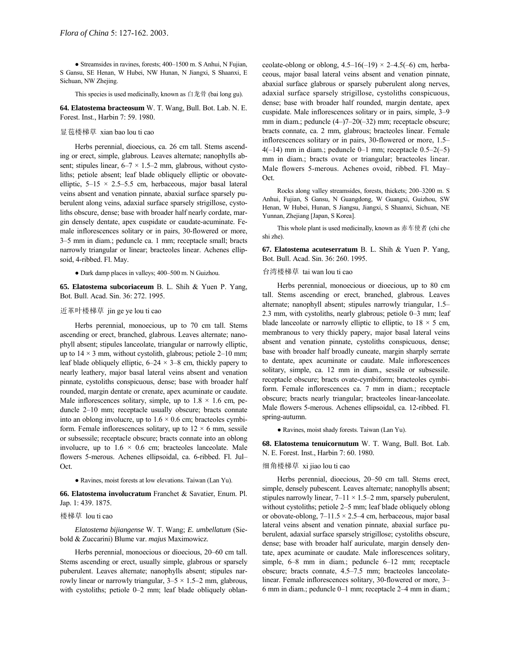• Streamsides in ravines, forests; 400-1500 m. S Anhui, N Fujian, S Gansu, SE Henan, W Hubei, NW Hunan, N Jiangxi, S Shaanxi, E Sichuan, NW Zhejing.

This species is used medicinally, known as 白龙骨 (bai long gu).

**64. Elatostema bracteosum** W. T. Wang, Bull. Bot. Lab. N. E. Forest. Inst., Harbin 7: 59. 1980.

# 显苞楼梯草 xian bao lou ti cao

Herbs perennial, dioecious, ca. 26 cm tall. Stems ascending or erect, simple, glabrous. Leaves alternate; nanophylls absent; stipules linear,  $6-7 \times 1.5-2$  mm, glabrous, without cystoliths; petiole absent; leaf blade obliquely elliptic or obovateelliptic,  $5-15 \times 2.5-5.5$  cm, herbaceous, major basal lateral veins absent and venation pinnate, abaxial surface sparsely puberulent along veins, adaxial surface sparsely strigillose, cystoliths obscure, dense; base with broader half nearly cordate, margin densely dentate, apex cuspidate or caudate-acuminate. Female inflorescences solitary or in pairs, 30-flowered or more, 3–5 mm in diam.; peduncle ca. 1 mm; receptacle small; bracts narrowly triangular or linear; bracteoles linear. Achenes ellipsoid, 4-ribbed. Fl. May.

 $\bullet$  Dark damp places in valleys; 400–500 m. N Guizhou.

**65. Elatostema subcoriaceum** B. L. Shih & Yuen P. Yang, Bot. Bull. Acad. Sin. 36: 272. 1995.

# 近革叶楼梯草 jin ge ye lou ti cao

Herbs perennial, monoecious, up to 70 cm tall. Stems ascending or erect, branched, glabrous. Leaves alternate; nanophyll absent; stipules lanceolate, triangular or narrowly elliptic, up to  $14 \times 3$  mm, without cystolith, glabrous; petiole 2–10 mm; leaf blade obliquely elliptic,  $6-24 \times 3-8$  cm, thickly papery to nearly leathery, major basal lateral veins absent and venation pinnate, cystoliths conspicuous, dense; base with broader half rounded, margin dentate or crenate, apex acuminate or caudate. Male inflorescences solitary, simple, up to  $1.8 \times 1.6$  cm, peduncle  $2-10$  mm; receptacle usually obscure; bracts connate into an oblong involucre, up to  $1.6 \times 0.6$  cm; bracteoles cymbiform. Female inflorescences solitary, up to  $12 \times 6$  mm, sessile or subsessile; receptacle obscure; bracts connate into an oblong involucre, up to  $1.6 \times 0.6$  cm; bracteoles lanceolate. Male flowers 5-merous. Achenes ellipsoidal, ca. 6-ribbed. Fl. Jul-Oct.

● Ravines, moist forests at low elevations. Taiwan (Lan Yu).

**66. Elatostema involucratum** Franchet & Savatier, Enum. Pl. Jap. 1: 439. 1875.

# 楼梯草 lou ti cao

*Elatostema bijiangense* W. T. Wang; *E. umbellatum* (Siebold & Zuccarini) Blume var. *majus* Maximowicz.

Herbs perennial, monoecious or dioecious, 20–60 cm tall. Stems ascending or erect, usually simple, glabrous or sparsely puberulent. Leaves alternate; nanophylls absent; stipules narrowly linear or narrowly triangular,  $3-5 \times 1.5-2$  mm, glabrous, with cystoliths; petiole  $0-2$  mm; leaf blade obliquely oblanceolate-oblong or oblong,  $4.5-16(-19) \times 2-4.5(-6)$  cm, herbaceous, major basal lateral veins absent and venation pinnate, abaxial surface glabrous or sparsely puberulent along nerves, adaxial surface sparsely strigillose, cystoliths conspicuous, dense; base with broader half rounded, margin dentate, apex cuspidate. Male inflorescences solitary or in pairs, simple, 3–9 mm in diam.; peduncle  $(4–)7–20(-32)$  mm; receptacle obscure; bracts connate, ca. 2 mm, glabrous; bracteoles linear. Female inflorescences solitary or in pairs, 30-flowered or more,  $1.5$ –  $4(-14)$  mm in diam.; peduncle 0–1 mm; receptacle 0.5–2(-5) mm in diam.; bracts ovate or triangular; bracteoles linear. Male flowers 5-merous. Achenes ovoid, ribbed. Fl. May-Oct.

Rocks along valley streamsides, forests, thickets; 200-3200 m. S Anhui, Fujian, S Gansu, N Guangdong, W Guangxi, Guizhou, SW Henan, W Hubei, Hunan, S Jiangsu, Jiangxi, S Shaanxi, Sichuan, NE Yunnan, Zhejiang [Japan, S Korea].

This whole plant is used medicinally, known as 赤车使者 (chi che shi zhe).

**67. Elatostema acuteserratum** B. L. Shih & Yuen P. Yang, Bot. Bull. Acad. Sin. 36: 260. 1995.

#### 台湾楼梯草 tai wan lou ti cao

Herbs perennial, monoecious or dioecious, up to 80 cm tall. Stems ascending or erect, branched, glabrous. Leaves alternate; nanophyll absent; stipules narrowly triangular, 1.5– 2.3 mm, with cystoliths, nearly glabrous; petiole  $0-3$  mm; leaf blade lanceolate or narrowly elliptic to elliptic, to  $18 \times 5$  cm, membranous to very thickly papery, major basal lateral veins absent and venation pinnate, cystoliths conspicuous, dense; base with broader half broadly cuneate, margin sharply serrate to dentate, apex acuminate or caudate. Male inflorescences solitary, simple, ca. 12 mm in diam., sessile or subsessile. receptacle obscure; bracts ovate-cymbiform; bracteoles cymbiform. Female inflorescences ca. 7 mm in diam.; receptacle obscure; bracts nearly triangular; bracteoles linear-lanceolate. Male flowers 5-merous. Achenes ellipsoidal, ca. 12-ribbed. Fl. spring-autumn.

● Ravines, moist shady forests. Taiwan (Lan Yu).

**68. Elatostema tenuicornutum** W. T. Wang, Bull. Bot. Lab. N. E. Forest. Inst., Harbin 7: 60. 1980.

# 细角楼梯草 xi jiao lou ti cao

Herbs perennial, dioecious, 20–50 cm tall. Stems erect, simple, densely pubescent. Leaves alternate; nanophylls absent; stipules narrowly linear,  $7-11 \times 1.5-2$  mm, sparsely puberulent, without cystoliths; petiole 2-5 mm; leaf blade obliquely oblong or obovate-oblong,  $7-11.5 \times 2.5-4$  cm, herbaceous, major basal lateral veins absent and venation pinnate, abaxial surface puberulent, adaxial surface sparsely strigillose; cystoliths obscure, dense; base with broader half auriculate, margin densely dentate, apex acuminate or caudate. Male inflorescences solitary, simple,  $6-8$  mm in diam.; peduncle  $6-12$  mm; receptacle obscure; bracts connate, 4.5–7.5 mm; bracteoles lanceolatelinear. Female inflorescences solitary, 30-flowered or more, 3– 6 mm in diam.; peduncle  $0-1$  mm; receptacle  $2-4$  mm in diam.;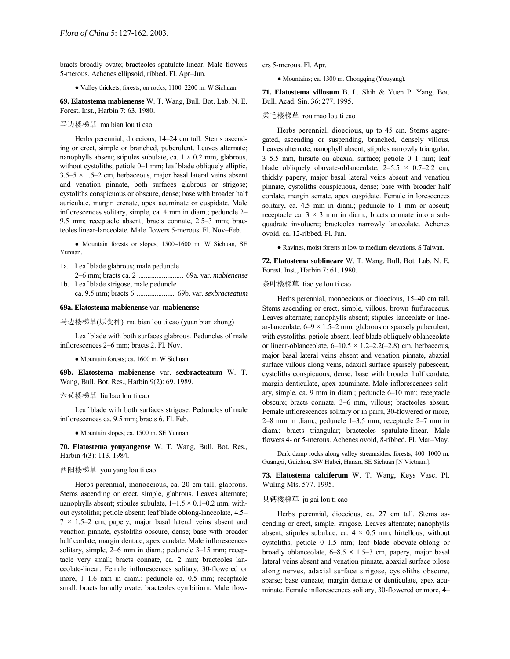bracts broadly ovate; bracteoles spatulate-linear. Male flowers 5-merous. Achenes ellipsoid, ribbed. Fl. Apr-Jun.

• Valley thickets, forests, on rocks; 1100-2200 m. W Sichuan.

**69. Elatostema mabienense** W. T. Wang, Bull. Bot. Lab. N. E. Forest. Inst., Harbin 7: 63. 1980.

#### 马边楼梯草 ma bian lou ti cao

Herbs perennial, dioecious, 14–24 cm tall. Stems ascending or erect, simple or branched, puberulent. Leaves alternate; nanophylls absent; stipules subulate, ca.  $1 \times 0.2$  mm, glabrous, without cystoliths; petiole  $0-1$  mm; leaf blade obliquely elliptic,  $3.5-5 \times 1.5-2$  cm, herbaceous, major basal lateral veins absent and venation pinnate, both surfaces glabrous or strigose; cystoliths conspicuous or obscure, dense; base with broader half auriculate, margin crenate, apex acuminate or cuspidate. Male inflorescences solitary, simple, ca. 4 mm in diam.; peduncle 2– 9.5 mm; receptacle absent; bracts connate,  $2.5-3$  mm; bracteoles linear-lanceolate. Male flowers 5-merous. Fl. Nov-Feb.

• Mountain forests or slopes; 1500-1600 m. W Sichuan, SE Yunnan.

- 1a. Leaf blade glabrous; male peduncle 2-6 mm; bracts ca. 2 .......................... 69a. var. *mabienense*
- 1b. Leaf blade strigose; male peduncle ca. 9.5 mm; bracts 6 ..................... 69b. var. *sexbracteatum*

# **69a. Elatostema mabienense** var. **mabienense**

马边楼梯草(原变种) ma bian lou ti cao (yuan bian zhong)

Leaf blade with both surfaces glabrous. Peduncles of male inflorescences  $2-6$  mm; bracts 2. Fl. Nov.

● Mountain forests; ca. 1600 m. W Sichuan.

**69b. Elatostema mabienense** var. **sexbracteatum** W. T. Wang, Bull. Bot. Res., Harbin 9(2): 69. 1989.

# 六苞楼梯草 liu bao lou ti cao

Leaf blade with both surfaces strigose. Peduncles of male inflorescences ca. 9.5 mm; bracts 6. Fl. Feb.

● Mountain slopes; ca. 1500 m. SE Yunnan.

**70. Elatostema youyangense** W. T. Wang, Bull. Bot. Res., Harbin 4(3): 113. 1984.

#### 酉阳楼梯草 you yang lou ti cao

Herbs perennial, monoecious, ca. 20 cm tall, glabrous. Stems ascending or erect, simple, glabrous. Leaves alternate; nanophylls absent; stipules subulate,  $1-1.5 \times 0.1-0.2$  mm, without cystoliths; petiole absent; leaf blade oblong-lanceolate, 4.5–  $7 \times 1.5 - 2$  cm, papery, major basal lateral veins absent and venation pinnate, cystoliths obscure, dense; base with broader half cordate, margin dentate, apex caudate. Male inflorescences solitary, simple,  $2-6$  mm in diam.; peduncle  $3-15$  mm; receptacle very small; bracts connate, ca. 2 mm; bracteoles lanceolate-linear. Female inflorescences solitary, 30-flowered or more, 1-1.6 mm in diam.; peduncle ca. 0.5 mm; receptacle small; bracts broadly ovate; bracteoles cymbiform. Male flowers 5-merous. Fl. Apr.

● Mountains; ca. 1300 m. Chongqing (Youyang).

**71. Elatostema villosum** B. L. Shih & Yuen P. Yang, Bot. Bull. Acad. Sin. 36: 277. 1995.

# 柔毛楼梯草 rou mao lou ti cao

Herbs perennial, dioecious, up to 45 cm. Stems aggregated, ascending or suspending, branched, densely villous. Leaves alternate; nanophyll absent; stipules narrowly triangular,  $3-5.5$  mm, hirsute on abaxial surface; petiole  $0-1$  mm; leaf blade obliquely obovate-oblanceolate,  $2-5.5 \times 0.7-2.2$  cm, thickly papery, major basal lateral veins absent and venation pinnate, cystoliths conspicuous, dense; base with broader half cordate, margin serrate, apex cuspidate. Female inflorescences solitary, ca. 4.5 mm in diam.; peduncle to 1 mm or absent; receptacle ca.  $3 \times 3$  mm in diam.; bracts connate into a subquadrate involucre; bracteoles narrowly lanceolate. Achenes ovoid, ca. 12-ribbed. Fl. Jun.

● Ravines, moist forests at low to medium elevations. S Taiwan.

**72. Elatostema sublineare** W. T. Wang, Bull. Bot. Lab. N. E. Forest. Inst., Harbin 7: 61. 1980.

### 条叶楼梯草 tiao ye lou ti cao

Herbs perennial, monoecious or dioecious, 15<sup>-40</sup> cm tall. Stems ascending or erect, simple, villous, brown furfuraceous. Leaves alternate; nanophylls absent; stipules lanceolate or linear-lanceolate,  $6-9 \times 1.5-2$  mm, glabrous or sparsely puberulent, with cystoliths; petiole absent; leaf blade obliquely oblanceolate or linear-oblanceolate,  $6-10.5 \times 1.2-2.2(-2.8)$  cm, herbaceous, major basal lateral veins absent and venation pinnate, abaxial surface villous along veins, adaxial surface sparsely pubescent, cystoliths conspicuous, dense; base with broader half cordate, margin denticulate, apex acuminate. Male inflorescences solitary, simple, ca. 9 mm in diam.; peduncle  $6-10$  mm; receptacle obscure; bracts connate, 3–6 mm, villous; bracteoles absent. Female inflorescences solitary or in pairs, 30-flowered or more,  $2-8$  mm in diam.; peduncle  $1-3.5$  mm; receptacle  $2-7$  mm in diam.; bracts triangular; bracteoles spatulate-linear. Male flowers 4- or 5-merous. Achenes ovoid, 8-ribbed. Fl. Mar-May.

Dark damp rocks along valley streamsides, forests; 400-1000 m. Guangxi, Guizhou, SW Hubei, Hunan, SE Sichuan [N Vietnam].

**73. Elatostema calciferum** W. T. Wang, Keys Vasc. Pl. Wuling Mts. 577. 1995.

### 具钙楼梯草 ju gai lou ti cao

Herbs perennial, dioecious, ca. 27 cm tall. Stems ascending or erect, simple, strigose. Leaves alternate; nanophylls absent; stipules subulate, ca.  $4 \times 0.5$  mm, hirtellous, without cystoliths; petiole  $0-1.5$  mm; leaf blade obovate-oblong or broadly oblanceolate,  $6-8.5 \times 1.5-3$  cm, papery, major basal lateral veins absent and venation pinnate, abaxial surface pilose along nerves, adaxial surface strigose, cystoliths obscure, sparse; base cuneate, margin dentate or denticulate, apex acuminate. Female inflorescences solitary, 30-flowered or more, 4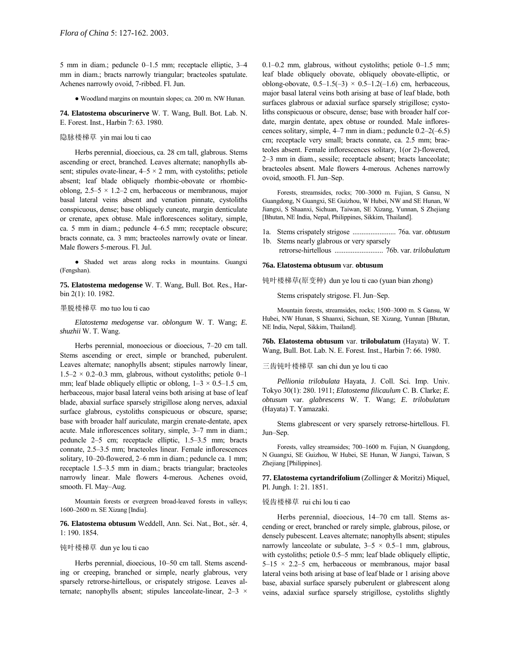5 mm in diam.; peduncle  $0-1.5$  mm; receptacle elliptic,  $3-4$ mm in diam.; bracts narrowly triangular; bracteoles spatulate. Achenes narrowly ovoid, 7-ribbed. Fl. Jun.

● Woodland margins on mountain slopes; ca. 200 m. NW Hunan.

**74. Elatostema obscurinerve** W. T. Wang, Bull. Bot. Lab. N. E. Forest. Inst., Harbin 7: 63. 1980.

# 隐脉楼梯草 yin mai lou ti cao

Herbs perennial, dioecious, ca. 28 cm tall, glabrous. Stems ascending or erect, branched. Leaves alternate; nanophylls absent; stipules ovate-linear,  $4-5 \times 2$  mm, with cystoliths; petiole absent; leaf blade obliquely rhombic-obovate or rhombicoblong,  $2.5-5 \times 1.2-2$  cm, herbaceous or membranous, major basal lateral veins absent and venation pinnate, cystoliths conspicuous, dense; base obliquely cuneate, margin denticulate or crenate, apex obtuse. Male inflorescences solitary, simple, ca. 5 mm in diam.; peduncle  $4-6.5$  mm; receptacle obscure; bracts connate, ca. 3 mm; bracteoles narrowly ovate or linear. Male flowers 5-merous. Fl. Jul.

● Shaded wet areas along rocks in mountains. Guangxi (Fengshan).

**75. Elatostema medogense** W. T. Wang, Bull. Bot. Res., Harbin 2(1): 10. 1982.

### 墨脱楼梯草 mo tuo lou ti cao

*Elatostema medogense* var. *oblongum* W. T. Wang; *E. shuzhii* W. T. Wang.

Herbs perennial, monoecious or dioecious, 7-20 cm tall. Stems ascending or erect, simple or branched, puberulent. Leaves alternate; nanophylls absent; stipules narrowly linear,  $1.5-2 \times 0.2-0.3$  mm, glabrous, without cystoliths; petiole 0-1 mm; leaf blade obliquely elliptic or oblong,  $1-3 \times 0.5-1.5$  cm, herbaceous, major basal lateral veins both arising at base of leaf blade, abaxial surface sparsely strigillose along nerves, adaxial surface glabrous, cystoliths conspicuous or obscure, sparse; base with broader half auriculate, margin crenate-dentate, apex acute. Male inflorescences solitary, simple,  $3-7$  mm in diam.; peduncle 2-5 cm; receptacle elliptic, 1.5-3.5 mm; bracts connate, 2.5–3.5 mm; bracteoles linear. Female inflorescences solitary,  $10-20$ -flowered,  $2-6$  mm in diam.; peduncle ca. 1 mm; receptacle 1.5–3.5 mm in diam.; bracts triangular; bracteoles narrowly linear. Male flowers 4-merous. Achenes ovoid, smooth. Fl. May-Aug.

Mountain forests or evergreen broad-leaved forests in valleys; 1600-2600 m. SE Xizang [India].

**76. Elatostema obtusum** Weddell, Ann. Sci. Nat., Bot., sÈr. 4, 1: 190. 1854.

# 钝叶楼梯草 dun ye lou ti cao

Herbs perennial, dioecious, 10-50 cm tall. Stems ascending or creeping, branched or simple, nearly glabrous, very sparsely retrorse-hirtellous, or crispately strigose. Leaves alternate; nanophylls absent; stipules lanceolate-linear,  $2-3 \times$  0.1–0.2 mm, glabrous, without cystoliths; petiole  $0-1.5$  mm; leaf blade obliquely obovate, obliquely obovate-elliptic, or oblong-obovate,  $0.5-1.5(-3) \times 0.5-1.2(-1.6)$  cm, herbaceous, major basal lateral veins both arising at base of leaf blade, both surfaces glabrous or adaxial surface sparsely strigillose; cystoliths conspicuous or obscure, dense; base with broader half cordate, margin dentate, apex obtuse or rounded. Male inflorescences solitary, simple,  $4-7$  mm in diam.; peduncle  $0.2-2(-6.5)$ cm; receptacle very small; bracts connate, ca. 2.5 mm; bracteoles absent. Female inflorescences solitary, 1(or 2)-flowered, 2-3 mm in diam., sessile; receptacle absent; bracts lanceolate; bracteoles absent. Male flowers 4-merous. Achenes narrowly ovoid, smooth. Fl. Jun-Sep.

Forests, streamsides, rocks; 700-3000 m. Fujian, S Gansu, N Guangdong, N Guangxi, SE Guizhou, W Hubei, NW and SE Hunan, W Jiangxi, S Shaanxi, Sichuan, Taiwan, SE Xizang, Yunnan, S Zhejiang [Bhutan, NE India, Nepal, Philippines, Sikkim, Thailand].

- 1a. Stems crispately strigose ........................ 76a. var. *obtusum*
- 1b. Stems nearly glabrous or very sparsely
	- retrorse-hirtellous ........................... 76b. var. *trilobulatum*

### **76a. Elatostema obtusum** var. **obtusum**

钝叶楼梯草(原变种) dun ye lou ti cao (yuan bian zhong)

Stems crispately strigose. Fl. Jun-Sep.

Mountain forests, streamsides, rocks; 1500-3000 m. S Gansu, W Hubei, NW Hunan, S Shaanxi, Sichuan, SE Xizang, Yunnan [Bhutan, NE India, Nepal, Sikkim, Thailand].

**76b. Elatostema obtusum** var. **trilobulatum** (Hayata) W. T. Wang, Bull. Bot. Lab. N. E. Forest. Inst., Harbin 7: 66. 1980.

### 三齿钝叶楼梯草 san chi dun ye lou ti cao

*Pellionia trilobulata* Hayata, J. Coll. Sci. Imp. Univ. Tokyo 30(1): 280. 1911; *Elatostema filicaulum* C. B. Clarke; *E. obtusum* var. *glabrescens* W. T. Wang; *E. trilobulatum* (Hayata) T. Yamazaki.

Stems glabrescent or very sparsely retrorse-hirtellous. Fl. Jun-Sep.

Forests, valley streamsides; 700-1600 m. Fujian, N Guangdong, N Guangxi, SE Guizhou, W Hubei, SE Hunan, W Jiangxi, Taiwan, S Zhejiang [Philippines].

**77. Elatostema cyrtandrifolium** (Zollinger & Moritzi) Miquel, Pl. Jungh. 1: 21. 1851.

#### 锐齿楼梯草 rui chi lou ti cao

Herbs perennial, dioecious, 14-70 cm tall. Stems ascending or erect, branched or rarely simple, glabrous, pilose, or densely pubescent. Leaves alternate; nanophylls absent; stipules narrowly lanceolate or subulate,  $3-5 \times 0.5-1$  mm, glabrous, with cystoliths; petiole  $0.5-5$  mm; leaf blade obliquely elliptic,  $5-15 \times 2.2-5$  cm, herbaceous or membranous, major basal lateral veins both arising at base of leaf blade or 1 arising above base, abaxial surface sparsely puberulent or glabrescent along veins, adaxial surface sparsely strigillose, cystoliths slightly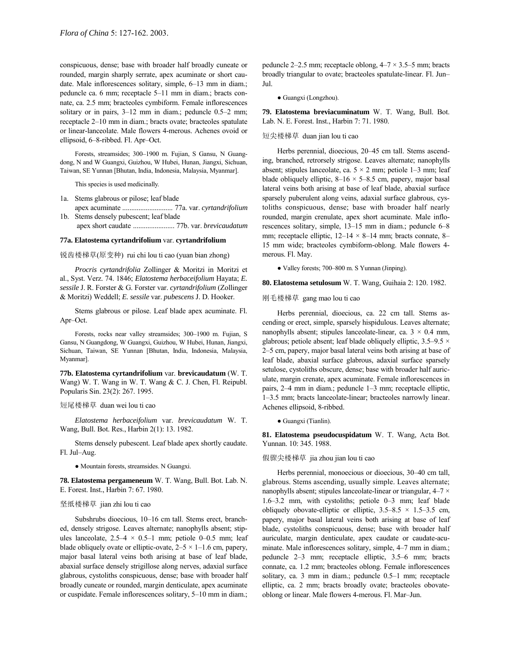conspicuous, dense; base with broader half broadly cuneate or rounded, margin sharply serrate, apex acuminate or short caudate. Male inflorescences solitary, simple,  $6-13$  mm in diam.; peduncle ca. 6 mm; receptacle 5–11 mm in diam.; bracts connate, ca. 2.5 mm; bracteoles cymbiform. Female inflorescences solitary or in pairs,  $3-12$  mm in diam.; peduncle 0.5 $-2$  mm; receptacle 2-10 mm in diam.; bracts ovate; bracteoles spatulate or linear-lanceolate. Male flowers 4-merous. Achenes ovoid or ellipsoid, 6-8-ribbed. Fl. Apr-Oct.

Forests, streamsides; 300-1900 m. Fujian, S Gansu, N Guangdong, N and W Guangxi, Guizhou, W Hubei, Hunan, Jiangxi, Sichuan, Taiwan, SE Yunnan [Bhutan, India, Indonesia, Malaysia, Myanmar].

This species is used medicinally.

- 1a. Stems glabrous or pilose; leaf blade
- apex acuminate ............................ 77a. var. *cyrtandrifolium* 1b. Stems densely pubescent; leaf blade
- apex short caudate ....................... 77b. var. *brevicaudatum*

#### **77a. Elatostema cyrtandrifolium** var. **cyrtandrifolium**

锐齿楼梯草(原变种) rui chi lou ti cao (yuan bian zhong)

*Procris cyrtandrifolia* Zollinger & Moritzi in Moritzi et al., Syst. Verz. 74. 1846; *Elatostema herbaceifolium* Hayata; *E. sessile* J. R. Forster & G. Forster var. *cyrtandrifolium* (Zollinger & Moritzi) Weddell; *E. sessile* var. *pubescens* J. D. Hooker.

Stems glabrous or pilose. Leaf blade apex acuminate. Fl. Apr-Oct.

Forests, rocks near valley streamsides; 300-1900 m. Fujian, S Gansu, N Guangdong, W Guangxi, Guizhou, W Hubei, Hunan, Jiangxi, Sichuan, Taiwan, SE Yunnan [Bhutan, India, Indonesia, Malaysia, Myanmar].

**77b. Elatostema cyrtandrifolium** var. **brevicaudatum** (W. T. Wang) W. T. Wang in W. T. Wang & C. J. Chen, Fl. Reipubl. Popularis Sin. 23(2): 267. 1995.

#### 短尾楼梯草 duan wei lou ti cao

*Elatostema herbaceifolium* var. *brevicaudatum* W. T. Wang, Bull. Bot. Res., Harbin 2(1): 13. 1982.

Stems densely pubescent. Leaf blade apex shortly caudate. Fl. Jul-Aug.

● Mountain forests, streamsides. N Guangxi.

**78. Elatostema pergameneum** W. T. Wang, Bull. Bot. Lab. N. E. Forest. Inst., Harbin 7: 67. 1980.

#### 坚纸楼梯草 jian zhi lou ti cao

Subshrubs dioecious, 10-16 cm tall. Stems erect, branched, densely strigose. Leaves alternate; nanophylls absent; stipules lanceolate,  $2.5-4 \times 0.5-1$  mm; petiole 0-0.5 mm; leaf blade obliquely ovate or elliptic-ovate,  $2-5 \times 1-1.6$  cm, papery, major basal lateral veins both arising at base of leaf blade, abaxial surface densely strigillose along nerves, adaxial surface glabrous, cystoliths conspicuous, dense; base with broader half broadly cuneate or rounded, margin denticulate, apex acuminate or cuspidate. Female inflorescences solitary, 5-10 mm in diam.;

peduncle 2–2.5 mm; receptacle oblong,  $4-7 \times 3.5-5$  mm; bracts broadly triangular to ovate; bracteoles spatulate-linear. Fl. Jun– Jul.

● Guangxi (Longzhou).

**79. Elatostema breviacuminatum** W. T. Wang, Bull. Bot. Lab. N. E. Forest. Inst., Harbin 7: 71. 1980.

# 短尖楼梯草 duan jian lou ti cao

Herbs perennial, dioecious, 20–45 cm tall. Stems ascending, branched, retrorsely strigose. Leaves alternate; nanophylls absent; stipules lanceolate, ca.  $5 \times 2$  mm; petiole 1–3 mm; leaf blade obliquely elliptic,  $8-16 \times 5-8.5$  cm, papery, major basal lateral veins both arising at base of leaf blade, abaxial surface sparsely puberulent along veins, adaxial surface glabrous, cystoliths conspicuous, dense; base with broader half nearly rounded, margin crenulate, apex short acuminate. Male inflorescences solitary, simple,  $13-15$  mm in diam.; peduncle 6–8 mm; receptacle elliptic,  $12-14 \times 8-14$  mm; bracts connate, 8– 15 mm wide; bracteoles cymbiform-oblong. Male flowers 4 merous. Fl. May.

 $\bullet$  Valley forests; 700–800 m. S Yunnan (Jinping).

**80. Elatostema setulosum** W. T. Wang, Guihaia 2: 120. 1982.

#### 刚毛楼梯草 gang mao lou ti cao

Herbs perennial, dioecious, ca. 22 cm tall. Stems ascending or erect, simple, sparsely hispidulous. Leaves alternate; nanophylls absent; stipules lanceolate-linear, ca.  $3 \times 0.4$  mm, glabrous; petiole absent; leaf blade obliquely elliptic,  $3.5-9.5 \times$ 2–5 cm, papery, major basal lateral veins both arising at base of leaf blade, abaxial surface glabrous, adaxial surface sparsely setulose, cystoliths obscure, dense; base with broader half auriculate, margin crenate, apex acuminate. Female inflorescences in pairs, 2-4 mm in diam.; peduncle 1-3 mm; receptacle elliptic, 1–3.5 mm; bracts lanceolate-linear; bracteoles narrowly linear. Achenes ellipsoid, 8-ribbed.

● Guangxi (Tianlin).

**81. Elatostema pseudocuspidatum** W. T. Wang, Acta Bot. Yunnan. 10: 345. 1988.

# 假骤尖楼梯草 jia zhou jian lou ti cao

Herbs perennial, monoecious or dioecious, 30–40 cm tall, glabrous. Stems ascending, usually simple. Leaves alternate; nanophylls absent; stipules lanceolate-linear or triangular,  $4-7 \times$  $1.6-3.2$  mm, with cystoliths; petiole  $0-3$  mm; leaf blade obliquely obovate-elliptic or elliptic,  $3.5-8.5 \times 1.5-3.5$  cm, papery, major basal lateral veins both arising at base of leaf blade, cystoliths conspicuous, dense; base with broader half auriculate, margin denticulate, apex caudate or caudate-acuminate. Male inflorescences solitary, simple, 4-7 mm in diam.; peduncle 2-3 mm; receptacle elliptic, 3.5-6 mm; bracts connate, ca. 1.2 mm; bracteoles oblong. Female inflorescences solitary, ca. 3 mm in diam.; peduncle 0.5-1 mm; receptacle elliptic, ca. 2 mm; bracts broadly ovate; bracteoles obovateoblong or linear. Male flowers 4-merous. Fl. Mar-Jun.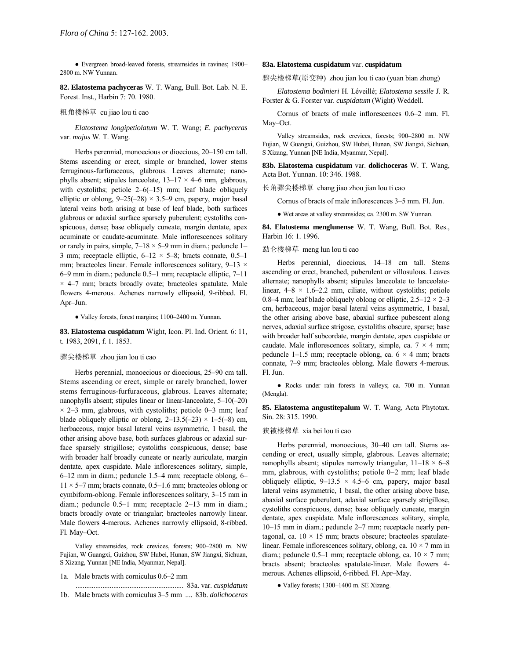• Evergreen broad-leaved forests, streamsides in ravines; 1900-2800 m. NW Yunnan.

**82. Elatostema pachyceras** W. T. Wang, Bull. Bot. Lab. N. E. Forest. Inst., Harbin 7: 70. 1980.

#### 粗角楼梯草 cu jiao lou ti cao

*Elatostema longipetiolatum* W. T. Wang; *E. pachyceras* var. *majus* W. T. Wang.

Herbs perennial, monoecious or dioecious, 20-150 cm tall. Stems ascending or erect, simple or branched, lower stems ferruginous-furfuraceous, glabrous. Leaves alternate; nanophylls absent; stipules lanceolate,  $13-17 \times 4-6$  mm, glabrous, with cystoliths; petiole  $2-6(-15)$  mm; leaf blade obliquely elliptic or oblong,  $9-25(-28) \times 3.5-9$  cm, papery, major basal lateral veins both arising at base of leaf blade, both surfaces glabrous or adaxial surface sparsely puberulent; cystoliths conspicuous, dense; base obliquely cuneate, margin dentate, apex acuminate or caudate-acuminate. Male inflorescences solitary or rarely in pairs, simple,  $7-18 \times 5-9$  mm in diam.; peduncle 1– 3 mm; receptacle elliptic,  $6-12 \times 5-8$ ; bracts connate, 0.5-1 mm; bracteoles linear. Female inflorescences solitary,  $9-13 \times$  $6-9$  mm in diam.; peduncle 0.5 $-1$  mm; receptacle elliptic,  $7-11$  $\times$  4-7 mm; bracts broadly ovate; bracteoles spatulate. Male flowers 4-merous. Achenes narrowly ellipsoid, 9-ribbed. Fl. Apr-Jun.

• Valley forests, forest margins; 1100–2400 m. Yunnan.

**83. Elatostema cuspidatum** Wight, Icon. Pl. Ind. Orient. 6: 11, t. 1983, 2091, f. 1. 1853.

### 骤尖楼梯草 zhou jian lou ti cao

Herbs perennial, monoecious or dioecious, 25–90 cm tall. Stems ascending or erect, simple or rarely branched, lower stems ferruginous-furfuraceous, glabrous. Leaves alternate; nanophylls absent; stipules linear or linear-lanceolate,  $5-10(-20)$  $\times$  2–3 mm, glabrous, with cystoliths; petiole 0–3 mm; leaf blade obliquely elliptic or oblong,  $2-13.5(-23) \times 1-5(-8)$  cm, herbaceous, major basal lateral veins asymmetric, 1 basal, the other arising above base, both surfaces glabrous or adaxial surface sparsely strigillose; cystoliths conspicuous, dense; base with broader half broadly cuneate or nearly auriculate, margin dentate, apex cuspidate. Male inflorescences solitary, simple, 6-12 mm in diam.; peduncle 1.5-4 mm; receptacle oblong, 6- $11 \times 5$ –7 mm; bracts connate, 0.5–1.6 mm; bracteoles oblong or cymbiform-oblong. Female inflorescences solitary, 3-15 mm in diam.; peduncle  $0.5-1$  mm; receptacle  $2-13$  mm in diam.; bracts broadly ovate or triangular; bracteoles narrowly linear. Male flowers 4-merous. Achenes narrowly ellipsoid, 8-ribbed. Fl. May-Oct.

Valley streamsides, rock crevices, forests; 900-2800 m. NW Fujian, W Guangxi, Guizhou, SW Hubei, Hunan, SW Jiangxi, Sichuan, S Xizang, Yunnan [NE India, Myanmar, Nepal].

- 1a. Male bracts with corniculus 0.6–2 mm
- ............................................................ 83a. var. *cuspidatum* 1b. Male bracts with corniculus 3-5 mm .... 83b. *dolichoceras*

#### **83a. Elatostema cuspidatum** var. **cuspidatum**

骤尖楼梯草(原变种) zhou jian lou ti cao (yuan bian zhong)

*Elatostema bodinieri* H. LÈveillÈ; *Elatostema sessile* J. R. Forster & G. Forster var. *cuspidatum* (Wight) Weddell.

Cornus of bracts of male inflorescences  $0.6-2$  mm. Fl. May-Oct.

Valley streamsides, rock crevices, forests; 900-2800 m. NW Fujian, W Guangxi, Guizhou, SW Hubei, Hunan, SW Jiangxi, Sichuan, S Xizang, Yunnan [NE India, Myanmar, Nepal].

**83b. Elatostema cuspidatum** var. **dolichoceras** W. T. Wang, Acta Bot. Yunnan. 10: 346. 1988.

长角骤尖楼梯草 chang jiao zhou jian lou ti cao

Cornus of bracts of male inflorescences 3–5 mm. Fl. Jun.

● Wet areas at valley streamsides; ca. 2300 m. SW Yunnan.

**84. Elatostema menglunense** W. T. Wang, Bull. Bot. Res., Harbin 16: 1. 1996.

#### 勐仑楼梯草 meng lun lou ti cao

Herbs perennial, dioecious, 14–18 cm tall. Stems ascending or erect, branched, puberulent or villosulous. Leaves alternate; nanophylls absent; stipules lanceolate to lanceolatelinear,  $4-8 \times 1.6-2.2$  mm, ciliate, without cystoliths; petiole 0.8–4 mm; leaf blade obliquely oblong or elliptic,  $2.5-12 \times 2-3$ cm, herbaceous, major basal lateral veins asymmetric, 1 basal, the other arising above base, abaxial surface pubescent along nerves, adaxial surface strigose, cystoliths obscure, sparse; base with broader half subcordate, margin dentate, apex cuspidate or caudate. Male inflorescences solitary, simple, ca.  $7 \times 4$  mm; peduncle 1–1.5 mm; receptacle oblong, ca.  $6 \times 4$  mm; bracts connate, 7-9 mm; bracteoles oblong. Male flowers 4-merous. Fl. Jun.

● Rocks under rain forests in valleys; ca. 700 m. Yunnan (Mengla).

**85. Elatostema angustitepalum** W. T. Wang, Acta Phytotax. Sin. 28: 315. 1990.

# 狭被楼梯草 xia bei lou ti cao

Herbs perennial, monoecious, 30–40 cm tall. Stems ascending or erect, usually simple, glabrous. Leaves alternate; nanophylls absent; stipules narrowly triangular,  $11-18 \times 6-8$ mm, glabrous, with cystoliths; petiole  $0-2$  mm; leaf blade obliquely elliptic,  $9-13.5 \times 4.5-6$  cm, papery, major basal lateral veins asymmetric, 1 basal, the other arising above base, abaxial surface puberulent, adaxial surface sparsely strigillose, cystoliths conspicuous, dense; base obliquely cuneate, margin dentate, apex cuspidate. Male inflorescences solitary, simple,  $10-15$  mm in diam.; peduncle  $2-7$  mm; receptacle nearly pentagonal, ca.  $10 \times 15$  mm; bracts obscure; bracteoles spatulatelinear. Female inflorescences solitary, oblong, ca.  $10 \times 7$  mm in diam.; peduncle 0.5–1 mm; receptacle oblong, ca.  $10 \times 7$  mm; bracts absent; bracteoles spatulate-linear. Male flowers 4 merous. Achenes ellipsoid, 6-ribbed. Fl. Apr-May.

 $\bullet$  Valley forests; 1300–1400 m. SE Xizang.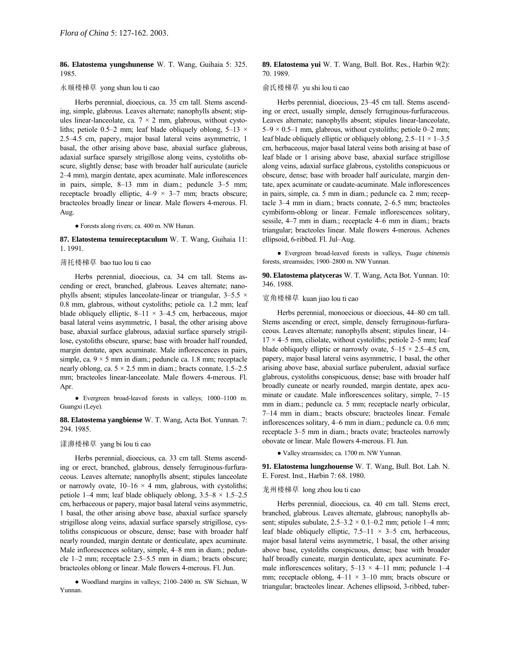**86. Elatostema yungshunense** W. T. Wang, Guihaia 5: 325. 1985.

# 永顺楼梯草 yong shun lou ti cao

Herbs perennial, dioecious, ca. 35 cm tall. Stems ascending, simple, glabrous. Leaves alternate; nanophylls absent; stipules linear-lanceolate, ca.  $7 \times 2$  mm, glabrous, without cystoliths; petiole 0.5–2 mm; leaf blade obliquely oblong, 5–13  $\times$  $2.5-4.5$  cm, papery, major basal lateral veins asymmetric, 1 basal, the other arising above base, abaxial surface glabrous, adaxial surface sparsely strigillose along veins, cystoliths obscure, slightly dense; base with broader half auriculate (auricle 2–4 mm), margin dentate, apex acuminate. Male inflorescences in pairs, simple,  $8-13$  mm in diam.; peduncle  $3-5$  mm; receptacle broadly elliptic,  $4-9 \times 3-7$  mm; bracts obscure; bracteoles broadly linear or linear. Male flowers 4-merous. Fl. Aug.

● Forests along rivers; ca. 400 m. NW Hunan.

### **87. Elatostema tenuireceptaculum** W. T. Wang, Guihaia 11: 1. 1991.

# 薄托楼梯草 bao tuo lou ti cao

Herbs perennial, dioecious, ca. 34 cm tall. Stems ascending or erect, branched, glabrous. Leaves alternate; nanophylls absent; stipules lanceolate-linear or triangular,  $3-5.5 \times$ 0.8 mm, glabrous, without cystoliths; petiole ca. 1.2 mm; leaf blade obliquely elliptic,  $8-11 \times 3-4.5$  cm, herbaceous, major basal lateral veins asymmetric, 1 basal, the other arising above base, abaxial surface glabrous, adaxial surface sparsely strigillose, cystoliths obscure, sparse; base with broader half rounded, margin dentate, apex acuminate. Male inflorescences in pairs, simple, ca.  $9 \times 5$  mm in diam.; peduncle ca. 1.8 mm; receptacle nearly oblong, ca.  $5 \times 2.5$  mm in diam.; bracts connate, 1.5–2.5 mm; bracteoles linear-lanceolate. Male flowers 4-merous. Fl. Apr.

• Evergreen broad-leaved forests in valleys; 1000–1100 m. Guangxi (Leye).

**88. Elatostema yangbiense** W. T. Wang, Acta Bot. Yunnan. 7: 294. 1985.

# 漾濞楼梯草 yang bi lou ti cao

Herbs perennial, dioecious, ca. 33 cm tall. Stems ascending or erect, branched, glabrous, densely ferruginous-furfuraceous. Leaves alternate; nanophylls absent; stipules lanceolate or narrowly ovate,  $10-16 \times 4$  mm, glabrous, with cystoliths; petiole 1–4 mm; leaf blade obliquely oblong,  $3.5-8 \times 1.5-2.5$ cm, herbaceous or papery, major basal lateral veins asymmetric, 1 basal, the other arising above base, abaxial surface sparsely strigillose along veins, adaxial surface sparsely strigillose, cystoliths conspicuous or obscure, dense; base with broader half nearly rounded, margin dentate or denticulate, apex acuminate. Male inflorescences solitary, simple, 4-8 mm in diam.; peduncle 1–2 mm; receptacle 2.5–5.5 mm in diam.; bracts obscure; bracteoles oblong or linear. Male flowers 4-merous. Fl. Jun.

· Woodland margins in valleys; 2100-2400 m. SW Sichuan, W Yunnan.

# **89. Elatostema yui** W. T. Wang, Bull. Bot. Res., Harbin 9(2): 70. 1989.

### 俞氏楼梯草 yu shi lou ti cao

Herbs perennial, dioecious, 23–45 cm tall. Stems ascending or erect, usually simple, densely ferruginous-furfuraceous. Leaves alternate; nanophylls absent; stipules linear-lanceolate,  $5-9 \times 0.5-1$  mm, glabrous, without cystoliths; petiole 0–2 mm; leaf blade obliquely elliptic or obliquely oblong,  $2.5-11 \times 1-3.5$ cm, herbaceous, major basal lateral veins both arising at base of leaf blade or 1 arising above base, abaxial surface strigillose along veins, adaxial surface glabrous, cystoliths conspicuous or obscure, dense; base with broader half auriculate, margin dentate, apex acuminate or caudate-acuminate. Male inflorescences in pairs, simple, ca. 5 mm in diam.; peduncle ca. 2 mm; receptacle  $3-4$  mm in diam.; bracts connate,  $2-6.5$  mm; bracteoles cymbiform-oblong or linear. Female inflorescences solitary, sessile,  $4-7$  mm in diam.; receptacle  $4-6$  mm in diam.; bracts triangular; bracteoles linear. Male flowers 4-merous. Achenes ellipsoid, 6-ribbed. Fl. Jul-Aug.

● Evergreen broad-leaved forests in valleys, *Tsuga chinensis* forests, streamsides; 1900-2800 m. NW Yunnan.

**90. Elatostema platyceras** W. T. Wang, Acta Bot. Yunnan. 10: 346. 1988.

#### 宽角楼梯草 kuan jiao lou ti cao

Herbs perennial, monoecious or dioecious, 44–80 cm tall. Stems ascending or erect, simple, densely ferruginous-furfuraceous. Leaves alternate; nanophylls absent; stipules linear, 14–  $17 \times 4$ –5 mm, ciliolate, without cystoliths; petiole 2–5 mm; leaf blade obliquely elliptic or narrowly ovate,  $5-15 \times 2.5-4.5$  cm, papery, major basal lateral veins asymmetric, 1 basal, the other arising above base, abaxial surface puberulent, adaxial surface glabrous, cystoliths conspicuous, dense; base with broader half broadly cuneate or nearly rounded, margin dentate, apex acuminate or caudate. Male inflorescences solitary, simple,  $7-15$ mm in diam.; peduncle ca. 5 mm; receptacle nearly orbicular, 7-14 mm in diam.; bracts obscure; bracteoles linear. Female inflorescences solitary, 4–6 mm in diam.; peduncle ca. 0.6 mm; receptacle 3–5 mm in diam.; bracts ovate; bracteoles narrowly obovate or linear. Male flowers 4-merous. Fl. Jun.

● Valley streamsides; ca. 1700 m. NW Yunnan.

**91. Elatostema lungzhouense** W. T. Wang, Bull. Bot. Lab. N. E. Forest. Inst., Harbin 7: 68. 1980.

# 龙州楼梯草 long zhou lou ti cao

Herbs perennial, dioecious, ca. 40 cm tall. Stems erect, branched, glabrous. Leaves alternate, glabrous; nanophylls absent; stipules subulate,  $2.5-3.2 \times 0.1-0.2$  mm; petiole 1–4 mm; leaf blade obliquely elliptic,  $7.5-11 \times 3-5$  cm, herbaceous, major basal lateral veins asymmetric, 1 basal, the other arising above base, cystoliths conspicuous, dense; base with broader half broadly cuneate, margin denticulate, apex acuminate. Female inflorescences solitary,  $5-13 \times 4-11$  mm; peduncle 1-4 mm; receptacle oblong,  $4-11 \times 3-10$  mm; bracts obscure or triangular; bracteoles linear. Achenes ellipsoid, 3-ribbed, tuber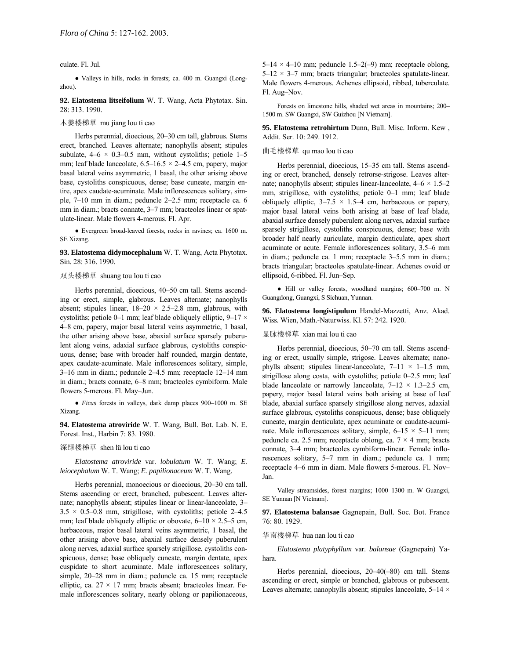culate. Fl. Jul.

● Valleys in hills, rocks in forests; ca. 400 m. Guangxi (Longzhou).

**92. Elatostema litseifolium** W. T. Wang, Acta Phytotax. Sin. 28: 313. 1990.

木姜楼梯草 mu jiang lou ti cao

Herbs perennial, dioecious, 20–30 cm tall, glabrous. Stems erect, branched. Leaves alternate; nanophylls absent; stipules subulate,  $4-6 \times 0.3-0.5$  mm, without cystoliths; petiole 1-5 mm; leaf blade lanceolate,  $6.5-16.5 \times 2-4.5$  cm, papery, major basal lateral veins asymmetric, 1 basal, the other arising above base, cystoliths conspicuous, dense; base cuneate, margin entire, apex caudate-acuminate. Male inflorescences solitary, simple, 7-10 mm in diam.; peduncle 2-2.5 mm; receptacle ca. 6 mm in diam.; bracts connate, 3-7 mm; bracteoles linear or spatulate-linear. Male flowers 4-merous. Fl. Apr.

● Evergreen broad-leaved forests, rocks in ravines; ca. 1600 m. SE Xizang.

**93. Elatostema didymocephalum** W. T. Wang, Acta Phytotax. Sin. 28: 316. 1990.

# 双头楼梯草 shuang tou lou ti cao

Herbs perennial, dioecious, 40–50 cm tall. Stems ascending or erect, simple, glabrous. Leaves alternate; nanophylls absent; stipules linear,  $18-20 \times 2.5-2.8$  mm, glabrous, with cystoliths; petiole 0–1 mm; leaf blade obliquely elliptic, 9–17  $\times$ 4–8 cm, papery, major basal lateral veins asymmetric, 1 basal, the other arising above base, abaxial surface sparsely puberulent along veins, adaxial surface glabrous, cystoliths conspicuous, dense; base with broader half rounded, margin dentate, apex caudate-acuminate. Male inflorescences solitary, simple,  $3-16$  mm in diam.; peduncle  $2-4.5$  mm; receptacle  $12-14$  mm in diam.; bracts connate, 6–8 mm; bracteoles cymbiform. Male flowers 5-merous. Fl. May-Jun.

• *Ficus* forests in valleys, dark damp places 900-1000 m. SE Xizang.

**94. Elatostema atroviride** W. T. Wang, Bull. Bot. Lab. N. E. Forest. Inst., Harbin 7: 83. 1980.

### 深绿楼梯草 shen lü lou ti cao

*Elatostema atroviride* var. *lobulatum* W. T. Wang; *E. leiocephalum* W. T. Wang; *E. papilionaceum* W. T. Wang.

Herbs perennial, monoecious or dioecious, 20-30 cm tall. Stems ascending or erect, branched, pubescent. Leaves alternate; nanophylls absent; stipules linear or linear-lanceolate, 3–  $3.5 \times 0.5 - 0.8$  mm, strigillose, with cystoliths; petiole 2–4.5 mm; leaf blade obliquely elliptic or obovate,  $6-10 \times 2.5-5$  cm, herbaceous, major basal lateral veins asymmetric, 1 basal, the other arising above base, abaxial surface densely puberulent along nerves, adaxial surface sparsely strigillose, cystoliths conspicuous, dense; base obliquely cuneate, margin dentate, apex cuspidate to short acuminate. Male inflorescences solitary, simple, 20–28 mm in diam.; peduncle ca. 15 mm; receptacle elliptic, ca.  $27 \times 17$  mm; bracts absent; bracteoles linear. Female inflorescences solitary, nearly oblong or papilionaceous,

5-14  $\times$  4-10 mm; peduncle 1.5-2(-9) mm; receptacle oblong,  $5-12 \times 3-7$  mm; bracts triangular; bracteoles spatulate-linear. Male flowers 4-merous. Achenes ellipsoid, ribbed, tuberculate. Fl. Aug-Nov.

Forests on limestone hills, shaded wet areas in mountains; 200– 1500 m. SW Guangxi, SW Guizhou [N Vietnam].

**95. Elatostema retrohirtum** Dunn, Bull. Misc. Inform. Kew , Addit. Ser. 10: 249. 1912.

# 曲毛楼梯草 qu mao lou ti cao

Herbs perennial, dioecious, 15-35 cm tall. Stems ascending or erect, branched, densely retrorse-strigose. Leaves alternate; nanophylls absent; stipules linear-lanceolate,  $4-6 \times 1.5-2$ mm, strigillose, with cystoliths; petiole 0-1 mm; leaf blade obliquely elliptic,  $3-7.5 \times 1.5-4$  cm, herbaceous or papery, major basal lateral veins both arising at base of leaf blade, abaxial surface densely puberulent along nerves, adaxial surface sparsely strigillose, cystoliths conspicuous, dense; base with broader half nearly auriculate, margin denticulate, apex short acuminate or acute. Female inflorescences solitary, 3.5-6 mm in diam.; peduncle ca. 1 mm; receptacle 3–5.5 mm in diam.; bracts triangular; bracteoles spatulate-linear. Achenes ovoid or ellipsoid, 6-ribbed. Fl. Jun-Sep.

· Hill or valley forests, woodland margins; 600-700 m. N Guangdong, Guangxi, S Sichuan, Yunnan.

**96. Elatostema longistipulum** Handel-Mazzetti, Anz. Akad. Wiss. Wien, Math.-Naturwiss. Kl. 57: 242. 1920.

### 显脉楼梯草 xian mai lou ti cao

Herbs perennial, dioecious, 50-70 cm tall. Stems ascending or erect, usually simple, strigose. Leaves alternate; nanophylls absent; stipules linear-lanceolate,  $7-11 \times 1-1.5$  mm, strigillose along costa, with cystoliths; petiole  $0-2.5$  mm; leaf blade lanceolate or narrowly lanceolate,  $7-12 \times 1.3-2.5$  cm, papery, major basal lateral veins both arising at base of leaf blade, abaxial surface sparsely strigillose along nerves, adaxial surface glabrous, cystoliths conspicuous, dense; base obliquely cuneate, margin denticulate, apex acuminate or caudate-acuminate. Male inflorescences solitary, simple,  $6-15 \times 5-11$  mm; peduncle ca. 2.5 mm; receptacle oblong, ca.  $7 \times 4$  mm; bracts connate, 3-4 mm; bracteoles cymbiform-linear. Female inflorescences solitary, 5-7 mm in diam.; peduncle ca. 1 mm; receptacle 4–6 mm in diam. Male flowers 5-merous. Fl. Nov-Jan.

Valley streamsides, forest margins; 1000-1300 m. W Guangxi, SE Yunnan [N Vietnam].

**97. Elatostema balansae** Gagnepain, Bull. Soc. Bot. France 76: 80. 1929.

华南楼梯草 hua nan lou ti cao

*Elatostema platyphyllum* var. *balansae* (Gagnepain) Yahara.

Herbs perennial, dioecious,  $20-40(-80)$  cm tall. Stems ascending or erect, simple or branched, glabrous or pubescent. Leaves alternate; nanophylls absent; stipules lanceolate,  $5-14 \times$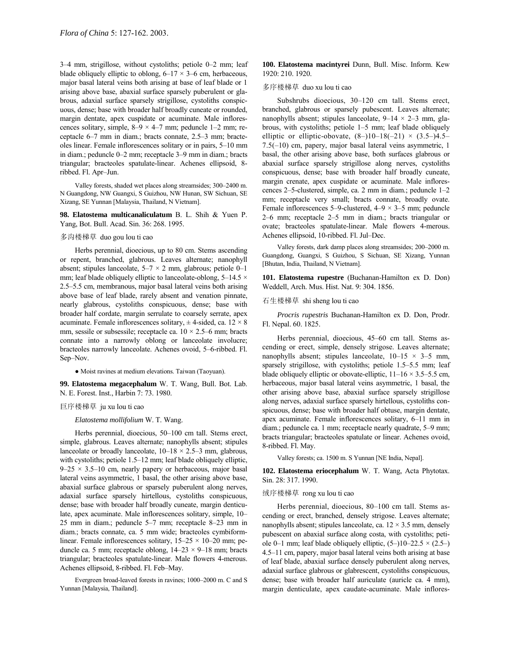3-4 mm, strigillose, without cystoliths; petiole 0-2 mm; leaf blade obliquely elliptic to oblong,  $6-17 \times 3-6$  cm, herbaceous, major basal lateral veins both arising at base of leaf blade or 1 arising above base, abaxial surface sparsely puberulent or glabrous, adaxial surface sparsely strigillose, cystoliths conspicuous, dense; base with broader half broadly cuneate or rounded, margin dentate, apex cuspidate or acuminate. Male inflorescences solitary, simple,  $8-9 \times 4-7$  mm; peduncle 1–2 mm; receptacle 6–7 mm in diam.; bracts connate, 2.5–3 mm; bracteoles linear. Female inflorescences solitary or in pairs, 5–10 mm in diam.; peduncle 0–2 mm; receptacle 3–9 mm in diam.; bracts triangular; bracteoles spatulate-linear. Achenes ellipsoid, 8 ribbed. Fl. Apr-Jun.

Valley forests, shaded wet places along streamsides; 300-2400 m. N Guangdong, NW Guangxi, S Guizhou, NW Hunan, SW Sichuan, SE Xizang, SE Yunnan [Malaysia, Thailand, N Vietnam].

**98. Elatostema multicanaliculatum** B. L. Shih & Yuen P. Yang, Bot. Bull. Acad. Sin. 36: 268. 1995.

### 多沟楼梯草 duo gou lou ti cao

Herbs perennial, dioecious, up to 80 cm. Stems ascending or repent, branched, glabrous. Leaves alternate; nanophyll absent; stipules lanceolate,  $5-7 \times 2$  mm, glabrous; petiole 0–1 mm; leaf blade obliquely elliptic to lanceolate-oblong,  $5-14.5 \times$ 2.5–5.5 cm, membranous, major basal lateral veins both arising above base of leaf blade, rarely absent and venation pinnate, nearly glabrous, cystoliths conspicuous, dense; base with broader half cordate, margin serrulate to coarsely serrate, apex acuminate. Female inflorescences solitary,  $\pm$  4-sided, ca. 12  $\times$  8 mm, sessile or subsessile; receptacle ca.  $10 \times 2.5-6$  mm; bracts connate into a narrowly oblong or lanceolate involucre; bracteoles narrowly lanceolate. Achenes ovoid, 5–6-ribbed. Fl. Sep-Nov.

● Moist ravines at medium elevations. Taiwan (Taoyuan).

**99. Elatostema megacephalum** W. T. Wang, Bull. Bot. Lab. N. E. Forest. Inst., Harbin 7: 73. 1980.

### 巨序楼梯草 ju xu lou ti cao

*Elatostema mollifolium* W. T. Wang.

Herbs perennial, dioecious, 50-100 cm tall. Stems erect, simple, glabrous. Leaves alternate; nanophylls absent; stipules lanceolate or broadly lanceolate,  $10-18 \times 2.5-3$  mm, glabrous, with cystoliths; petiole 1.5-12 mm; leaf blade obliquely elliptic,  $9-25 \times 3.5-10$  cm, nearly papery or herbaceous, major basal lateral veins asymmetric, 1 basal, the other arising above base, abaxial surface glabrous or sparsely puberulent along nerves, adaxial surface sparsely hirtellous, cystoliths conspicuous, dense; base with broader half broadly cuneate, margin denticulate, apex acuminate. Male inflorescences solitary, simple, 10– 25 mm in diam.; peduncle  $5-7$  mm; receptacle  $8-23$  mm in diam.; bracts connate, ca. 5 mm wide; bracteoles cymbiformlinear. Female inflorescences solitary,  $15-25 \times 10-20$  mm; peduncle ca. 5 mm; receptacle oblong,  $14-23 \times 9-18$  mm; bracts triangular; bracteoles spatulate-linear. Male flowers 4-merous. Achenes ellipsoid, 8-ribbed. Fl. Feb-May.

Evergreen broad-leaved forests in ravines; 1000–2000 m. C and S Yunnan [Malaysia, Thailand].

**100. Elatostema macintyrei** Dunn, Bull. Misc. Inform. Kew 1920: 210. 1920.

### 多序楼梯草 duo xu lou ti cao

Subshrubs dioecious, 30-120 cm tall. Stems erect, branched, glabrous or sparsely pubescent. Leaves alternate; nanophylls absent; stipules lanceolate,  $9-14 \times 2-3$  mm, glabrous, with cystoliths; petiole  $1-5$  mm; leaf blade obliquely elliptic or elliptic-obovate,  $(8–)10–18(-21) \times (3.5–)4.5–$  $7.5(-10)$  cm, papery, major basal lateral veins asymmetric, 1 basal, the other arising above base, both surfaces glabrous or abaxial surface sparsely strigillose along nerves, cystoliths conspicuous, dense; base with broader half broadly cuneate, margin crenate, apex cuspidate or acuminate. Male inflorescences  $2-5$ -clustered, simple, ca. 2 mm in diam.; peduncle  $1-2$ mm; receptacle very small; bracts connate, broadly ovate. Female inflorescences 5–9-clustered,  $4-9 \times 3-5$  mm; peduncle 2–6 mm; receptacle  $2-5$  mm in diam.; bracts triangular or ovate; bracteoles spatulate-linear. Male flowers 4-merous. Achenes ellipsoid, 10-ribbed. Fl. Jul–Dec.

Valley forests, dark damp places along streamsides; 200-2000 m. Guangdong, Guangxi, S Guizhou, S Sichuan, SE Xizang, Yunnan [Bhutan, India, Thailand, N Vietnam].

**101. Elatostema rupestre** (Buchanan-Hamilton ex D. Don) Weddell, Arch. Mus. Hist. Nat. 9: 304. 1856.

# 石生楼梯草 shi sheng lou ti cao

*Procris rupestris* Buchanan-Hamilton ex D. Don, Prodr. Fl. Nepal. 60. 1825.

Herbs perennial, dioecious, 45-60 cm tall. Stems ascending or erect, simple, densely strigose. Leaves alternate; nanophylls absent; stipules lanceolate,  $10-15 \times 3-5$  mm, sparsely strigillose, with cystoliths; petiole  $1.5-5.5$  mm; leaf blade obliquely elliptic or obovate-elliptic,  $11–16 \times 3.5–5.5$  cm, herbaceous, major basal lateral veins asymmetric, 1 basal, the other arising above base, abaxial surface sparsely strigillose along nerves, adaxial surface sparsely hirtellous, cystoliths conspicuous, dense; base with broader half obtuse, margin dentate, apex acuminate. Female inflorescences solitary,  $6-11$  mm in diam.; peduncle ca. 1 mm; receptacle nearly quadrate,  $5-9$  mm; bracts triangular; bracteoles spatulate or linear. Achenes ovoid, 8-ribbed. Fl. May.

Valley forests; ca. 1500 m. S Yunnan [NE India, Nepal].

**102. Elatostema eriocephalum** W. T. Wang, Acta Phytotax. Sin. 28: 317. 1990.

# 绒序楼梯草 rong xu lou ti cao

Herbs perennial, dioecious, 80-100 cm tall. Stems ascending or erect, branched, densely strigose. Leaves alternate; nanophylls absent; stipules lanceolate, ca.  $12 \times 3.5$  mm, densely pubescent on abaxial surface along costa, with cystoliths; petiole 0–1 mm; leaf blade obliquely elliptic,  $(5-)10-22.5 \times (2.5-)$  $4.5-11$  cm, papery, major basal lateral veins both arising at base of leaf blade, abaxial surface densely puberulent along nerves, adaxial surface glabrous or glabrescent, cystoliths conspicuous, dense; base with broader half auriculate (auricle ca. 4 mm), margin denticulate, apex caudate-acuminate. Male inflores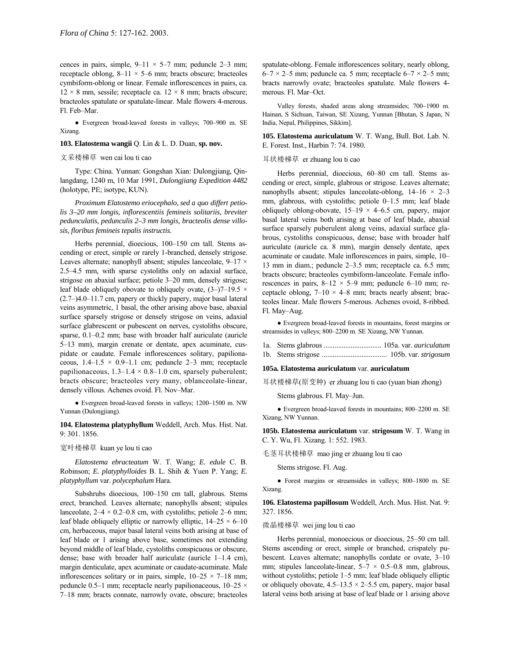cences in pairs, simple,  $9-11 \times 5-7$  mm; peduncle 2-3 mm; receptacle oblong,  $8-11 \times 5-6$  mm; bracts obscure; bracteoles cymbiform-oblong or linear. Female inflorescences in pairs, ca.  $12 \times 8$  mm, sessile; receptacle ca.  $12 \times 8$  mm; bracts obscure; bracteoles spatulate or spatulate-linear. Male flowers 4-merous. Fl. Feb-Mar.

• Evergreen broad-leaved forests in valleys; 700-900 m. SE Xizang.

### **103. Elatostema wangii** Q. Lin & L. D. Duan, **sp. nov.**

#### 文采楼梯草 wen cai lou ti cao

Type: China. Yunnan: Gongshan Xian: Dulongjiang, Qinlangdang, 1240 m, 10 Mar 1991, *Dulongjiang Expedition 4482* (holotype, PE; isotype, KUN).

*Proximum Elatostemo eriocephalo, sed a quo differt petiolis 3–20 mm longis, inflorescentiis femineis solitariis, breviter pedunculatis, pedunculis 2–3 mm longis, bracteolis dense villosis, floribus femineis tepalis instructis.*

Herbs perennial, dioecious, 100-150 cm tall. Stems ascending or erect, simple or rarely 1-branched, densely strigose. Leaves alternate; nanophyll absent; stipules lanceolate,  $9-17 \times$  $2.5-4.5$  mm, with sparse cystoliths only on adaxial surface, strigose on abaxial surface; petiole 3–20 mm, densely strigose; leaf blade obliquely obovate to obliquely ovate,  $(3-)7-19.5 \times$  $(2.7–)4.0–11.7$  cm, papery or thickly papery, major basal lateral veins asymmetric, 1 basal, the other arising above base, abaxial surface sparsely strigose or densely strigose on veins, adaxial surface glabrescent or pubescent on nerves, cystoliths obscure, sparse,  $0.1-0.2$  mm; base with broader half auriculate (auricle 5–13 mm), margin crenate or dentate, apex acuminate, cuspidate or caudate. Female inflorescences solitary, papilionaceous,  $1.4-1.5 \times 0.9-1.1$  cm; peduncle 2-3 mm; receptacle papilionaceous,  $1.3-1.4 \times 0.8-1.0$  cm, sparsely puberulent; bracts obscure; bracteoles very many, oblanceolate-linear, densely villous. Achenes ovoid. Fl. Nov-Mar.

• Evergreen broad-leaved forests in valleys; 1200-1500 m. NW Yunnan (Dulongjiang).

**104. Elatostema platyphyllum** Weddell, Arch. Mus. Hist. Nat. 9: 301. 1856.

### 宽叶楼梯草 kuan ye lou ti cao

*Elatostema ebracteatum* W. T. Wang; *E. edule* C. B. Robinson; *E. platyphylloides* B. L. Shih & Yuen P. Yang; *E. platyphyllum* var. *polycephalum* Hara.

Subshrubs dioecious, 100-150 cm tall, glabrous. Stems erect, branched. Leaves alternate; nanophylls absent; stipules lanceolate,  $2-4 \times 0.2-0.8$  cm, with cystoliths; petiole 2–6 mm; leaf blade obliquely elliptic or narrowly elliptic,  $14-25 \times 6-10$ cm, herbaceous, major basal lateral veins both arising at base of leaf blade or 1 arising above base, sometimes not extending beyond middle of leaf blade, cystoliths conspicuous or obscure, dense; base with broader half auriculate (auricle  $1-1.4$  cm), margin denticulate, apex acuminate or caudate-acuminate. Male inflorescences solitary or in pairs, simple,  $10-25 \times 7-18$  mm; peduncle 0.5–1 mm; receptacle nearly papilionaceous,  $10-25 \times$ 7-18 mm; bracts connate, narrowly ovate, obscure; bracteoles

spatulate-oblong. Female inflorescences solitary, nearly oblong, 6–7  $\times$  2–5 mm; peduncle ca. 5 mm; receptacle 6–7  $\times$  2–5 mm; bracts narrowly ovate; bracteoles spatulate. Male flowers 4 merous. Fl. Mar-Oct.

Valley forests, shaded areas along streamsides; 700-1900 m. Hainan, S Sichuan, Taiwan, SE Xizang, Yunnan [Bhutan, S Japan, N India, Nepal, Philippines, Sikkim].

**105. Elatostema auriculatum** W. T. Wang, Bull. Bot. Lab. N. E. Forest. Inst., Harbin 7: 74. 1980.

# 耳状楼梯草 er zhuang lou ti cao

Herbs perennial, dioecious, 60-80 cm tall. Stems ascending or erect, simple, glabrous or strigose. Leaves alternate; nanophylls absent; stipules lanceolate-oblong,  $14-16 \times 2-3$ mm, glabrous, with cystoliths; petiole 0-1.5 mm; leaf blade obliquely oblong-obovate,  $15-19 \times 4-6.5$  cm, papery, major basal lateral veins both arising at base of leaf blade, abaxial surface sparsely puberulent along veins, adaxial surface glabrous, cystoliths conspicuous, dense; base with broader half auriculate (auricle ca. 8 mm), margin densely dentate, apex acuminate or caudate. Male inflorescences in pairs, simple, 10-13 mm in diam.; peduncle  $2-3.5$  mm; receptacle ca. 6.5 mm; bracts obscure; bracteoles cymbiform-lanceolate. Female inflorescences in pairs,  $8-12 \times 5-9$  mm; peduncle 6-10 mm; receptacle oblong,  $7-10 \times 4-8$  mm; bracts nearly absent; bracteoles linear. Male flowers 5-merous. Achenes ovoid, 8-ribbed. Fl. May-Aug.

● Evergreen broad-leaved forests in mountains, forest margins or streamsides in valleys; 800-2200 m. SE Xizang, NW Yunnan.

1a. Stems glabrous ................................ 105a. var. *auriculatum*

1b. Stems strigose .................................... 105b. var. *strigosum*

#### **105a. Elatostema auriculatum** var. **auriculatum**

耳状楼梯草(原变种) er zhuang lou ti cao (yuan bian zhong)

Stems glabrous. Fl. May-Jun.

 $\bullet$  Evergreen broad-leaved forests in mountains; 800-2200 m. SE Xizang, NW Yunnan.

**105b. Elatostema auriculatum** var. **strigosum** W. T. Wang in C. Y. Wu, Fl. Xizang. 1: 552. 1983.

毛茎耳状楼梯草 mao jing er zhuang lou ti cao

Stems strigose. Fl. Aug.

• Forest margins or streamsides in valleys; 800-1800 m. SE Xizang.

**106. Elatostema papillosum** Weddell, Arch. Mus. Hist. Nat. 9: 327. 1856.

# 微晶楼梯草 wei jing lou ti cao

Herbs perennial, monoecious or dioecious, 25-50 cm tall. Stems ascending or erect, simple or branched, crispately pubescent. Leaves alternate; nanophylls cordate or ovate, 3-10 mm; stipules lanceolate-linear,  $5-7 \times 0.5-0.8$  mm, glabrous, without cystoliths; petiole  $1-5$  mm; leaf blade obliquely elliptic or obliquely obovate,  $4.5-13.5 \times 2-5.5$  cm, papery, major basal lateral veins both arising at base of leaf blade or 1 arising above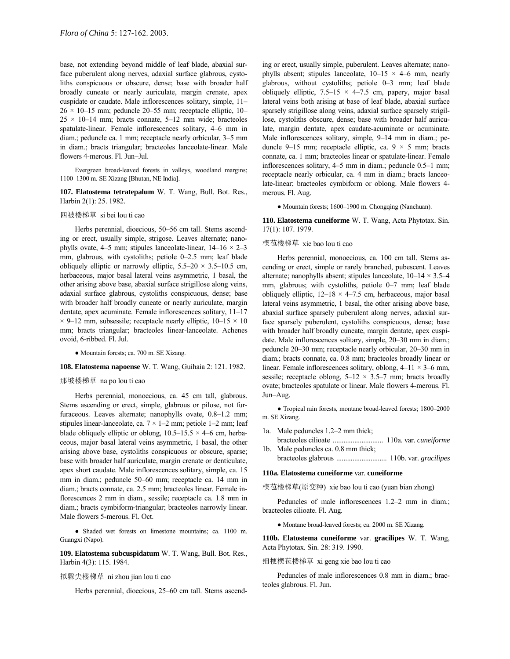base, not extending beyond middle of leaf blade, abaxial surface puberulent along nerves, adaxial surface glabrous, cystoliths conspicuous or obscure, dense; base with broader half broadly cuneate or nearly auriculate, margin crenate, apex cuspidate or caudate. Male inflorescences solitary, simple, 11- $26 \times 10 - 15$  mm; peduncle 20-55 mm; receptacle elliptic, 10- $25 \times 10 - 14$  mm; bracts connate,  $5 - 12$  mm wide; bracteoles spatulate-linear. Female inflorescences solitary, 4-6 mm in diam.; peduncle ca. 1 mm; receptacle nearly orbicular, 3-5 mm in diam.; bracts triangular; bracteoles lanceolate-linear. Male flowers 4-merous. Fl. Jun-Jul.

Evergreen broad-leaved forests in valleys, woodland margins; 1100-1300 m. SE Xizang [Bhutan, NE India].

# **107. Elatostema tetratepalum** W. T. Wang, Bull. Bot. Res., Harbin 2(1): 25. 1982.

### 四被楼梯草 si bei lou ti cao

Herbs perennial, dioecious, 50-56 cm tall. Stems ascending or erect, usually simple, strigose. Leaves alternate; nanophylls ovate, 4–5 mm; stipules lanceolate-linear,  $14-16 \times 2-3$ mm, glabrous, with cystoliths; petiole  $0-2.5$  mm; leaf blade obliquely elliptic or narrowly elliptic,  $5.5-20 \times 3.5-10.5$  cm, herbaceous, major basal lateral veins asymmetric, 1 basal, the other arising above base, abaxial surface strigillose along veins, adaxial surface glabrous, cystoliths conspicuous, dense; base with broader half broadly cuneate or nearly auriculate, margin dentate, apex acuminate. Female inflorescences solitary,  $11-17$  $\times$  9–12 mm, subsessile; receptacle nearly elliptic, 10–15  $\times$  10 mm; bracts triangular; bracteoles linear-lanceolate. Achenes ovoid, 6-ribbed. Fl. Jul.

● Mountain forests; ca. 700 m. SE Xizang.

# **108. Elatostema napoense** W. T. Wang, Guihaia 2: 121. 1982.

## 那坡楼梯草 na po lou ti cao

Herbs perennial, monoecious, ca. 45 cm tall, glabrous. Stems ascending or erect, simple, glabrous or pilose, not furfuraceous. Leaves alternate; nanophylls ovate,  $0.8-1.2$  mm; stipules linear-lanceolate, ca.  $7 \times 1 - 2$  mm; petiole 1–2 mm; leaf blade obliquely elliptic or oblong,  $10.5-15.5 \times 4-6$  cm, herbaceous, major basal lateral veins asymmetric, 1 basal, the other arising above base, cystoliths conspicuous or obscure, sparse; base with broader half auriculate, margin crenate or denticulate, apex short caudate. Male inflorescences solitary, simple, ca. 15 mm in diam.; peduncle 50-60 mm; receptacle ca. 14 mm in diam.; bracts connate, ca. 2.5 mm; bracteoles linear. Female inflorescences 2 mm in diam., sessile; receptacle ca. 1.8 mm in diam.; bracts cymbiform-triangular; bracteoles narrowly linear. Male flowers 5-merous. Fl. Oct.

● Shaded wet forests on limestone mountains; ca. 1100 m. Guangxi (Napo).

**109. Elatostema subcuspidatum** W. T. Wang, Bull. Bot. Res., Harbin 4(3): 115. 1984.

拟骤尖楼梯草 ni zhou jian lou ti cao

Herbs perennial, dioecious, 25-60 cm tall. Stems ascend-

ing or erect, usually simple, puberulent. Leaves alternate; nanophylls absent; stipules lanceolate,  $10-15 \times 4-6$  mm, nearly glabrous, without cystoliths; petiole  $0-3$  mm; leaf blade obliquely elliptic,  $7.5-15 \times 4-7.5$  cm, papery, major basal lateral veins both arising at base of leaf blade, abaxial surface sparsely strigillose along veins, adaxial surface sparsely strigillose, cystoliths obscure, dense; base with broader half auriculate, margin dentate, apex caudate-acuminate or acuminate. Male inflorescences solitary, simple, 9-14 mm in diam.; peduncle 9–15 mm; receptacle elliptic, ca. 9  $\times$  5 mm; bracts connate, ca. 1 mm; bracteoles linear or spatulate-linear. Female inflorescences solitary, 4-5 mm in diam.; peduncle 0.5-1 mm; receptacle nearly orbicular, ca. 4 mm in diam.; bracts lanceolate-linear; bracteoles cymbiform or oblong. Male flowers 4 merous. Fl. Aug.

• Mountain forests; 1600-1900 m. Chongqing (Nanchuan).

**110. Elatostema cuneiforme** W. T. Wang, Acta Phytotax. Sin. 17(1): 107. 1979.

### 楔苞楼梯草 xie bao lou ti cao

Herbs perennial, monoecious, ca. 100 cm tall. Stems ascending or erect, simple or rarely branched, pubescent. Leaves alternate; nanophylls absent; stipules lanceolate,  $10-14 \times 3.5-4$ mm, glabrous; with cystoliths, petiole  $0-7$  mm; leaf blade obliquely elliptic,  $12-18 \times 4-7.5$  cm, herbaceous, major basal lateral veins asymmetric, 1 basal, the other arising above base, abaxial surface sparsely puberulent along nerves, adaxial surface sparsely puberulent, cystoliths conspicuous, dense; base with broader half broadly cuneate, margin dentate, apex cuspidate. Male inflorescences solitary, simple, 20–30 mm in diam.; peduncle 20–30 mm; receptacle nearly orbicular, 20–30 mm in diam.; bracts connate, ca. 0.8 mm; bracteoles broadly linear or linear. Female inflorescences solitary, oblong,  $4-11 \times 3-6$  mm, sessile; receptacle oblong,  $5-12 \times 3.5-7$  mm; bracts broadly ovate; bracteoles spatulate or linear. Male flowers 4-merous. Fl. Jun-Aug.

 $\bullet$  Tropical rain forests, montane broad-leaved forests; 1800-2000 m. SE Xizang.

- 1a. Male peduncles 1.2–2 mm thick; bracteoles cilioate ............................ 110a. var. *cuneiforme*
- 1b. Male peduncles ca. 0.8 mm thick; bracteoles glabrous ............................ 110b. var. *gracilipes*

#### **110a. Elatostema cuneiforme** var. **cuneiforme**

楔苞楼梯草(原变种) xie bao lou ti cao (yuan bian zhong)

Peduncles of male inflorescences 1.2–2 mm in diam.; bracteoles cilioate. Fl. Aug.

● Montane broad-leaved forests; ca. 2000 m. SE Xizang.

**110b. Elatostema cuneiforme** var. **gracilipes** W. T. Wang, Acta Phytotax. Sin. 28: 319. 1990.

细梗楔苞楼梯草 xi geng xie bao lou ti cao

Peduncles of male inflorescences 0.8 mm in diam.; bracteoles glabrous. Fl. Jun.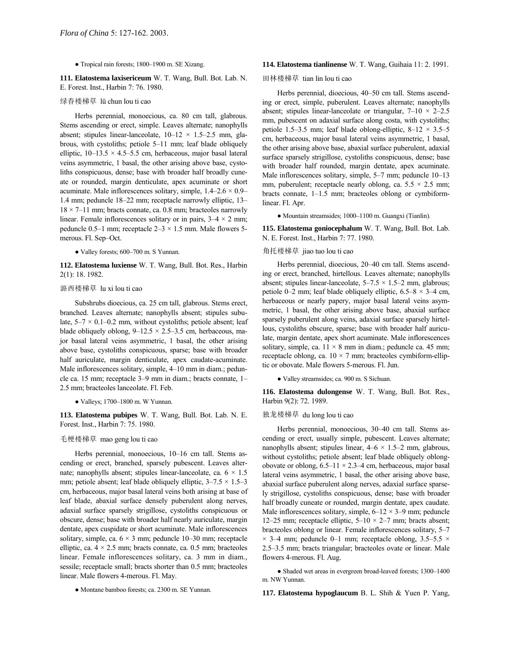### $\bullet$  Tropical rain forests; 1800-1900 m. SE Xizang.

**111. Elatostema laxisericeum** W. T. Wang, Bull. Bot. Lab. N. E. Forest. Inst., Harbin 7: 76. 1980.

# 绿春楼梯草 lü chun lou ti cao

Herbs perennial, monoecious, ca. 80 cm tall, glabrous. Stems ascending or erect, simple. Leaves alternate; nanophylls absent; stipules linear-lanceolate,  $10-12 \times 1.5-2.5$  mm, glabrous, with cystoliths; petiole 5-11 mm; leaf blade obliquely elliptic,  $10-13.5 \times 4.5-5.5$  cm, herbaceous, major basal lateral veins asymmetric, 1 basal, the other arising above base, cystoliths conspicuous, dense; base with broader half broadly cuneate or rounded, margin denticulate, apex acuminate or short acuminate. Male inflorescences solitary, simple,  $1.4-2.6 \times 0.9$ 1.4 mm; peduncle  $18-22$  mm; receptacle narrowly elliptic,  $13 18 \times 7 - 11$  mm; bracts connate, ca. 0.8 mm; bracteoles narrowly linear. Female inflorescences solitary or in pairs,  $3-4 \times 2$  mm; peduncle 0.5–1 mm; receptacle  $2-3 \times 1.5$  mm. Male flowers 5merous. Fl. Sep-Oct.

• Valley forests; 600-700 m. S Yunnan.

**112. Elatostema luxiense** W. T. Wang, Bull. Bot. Res., Harbin 2(1): 18. 1982.

# 潞西楼梯草 lu xi lou ti cao

Subshrubs dioecious, ca. 25 cm tall, glabrous. Stems erect, branched. Leaves alternate; nanophylls absent; stipules subulate,  $5-7 \times 0.1-0.2$  mm, without cystoliths; petiole absent; leaf blade obliquely oblong,  $9-12.5 \times 2.5-3.5$  cm, herbaceous, major basal lateral veins asymmetric, 1 basal, the other arising above base, cystoliths conspicuous, sparse; base with broader half auriculate, margin denticulate, apex caudate-acuminate. Male inflorescences solitary, simple,  $4-10$  mm in diam.; peduncle ca. 15 mm; receptacle 3–9 mm in diam.; bracts connate, 1– 2.5 mm; bracteoles lanceolate. Fl. Feb.

 $\bullet$  Valleys; 1700-1800 m. W Yunnan.

**113. Elatostema pubipes** W. T. Wang, Bull. Bot. Lab. N. E. Forest. Inst., Harbin 7: 75. 1980.

# 毛梗楼梯草 mao geng lou ti cao

Herbs perennial, monoecious, 10-16 cm tall. Stems ascending or erect, branched, sparsely pubescent. Leaves alternate; nanophylls absent; stipules linear-lanceolate, ca.  $6 \times 1.5$ mm; petiole absent; leaf blade obliquely elliptic,  $3-7.5 \times 1.5-3$ cm, herbaceous, major basal lateral veins both arising at base of leaf blade, abaxial surface densely puberulent along nerves, adaxial surface sparsely strigillose, cystoliths conspicuous or obscure, dense; base with broader half nearly auriculate, margin dentate, apex cuspidate or short acuminate. Male inflorescences solitary, simple, ca.  $6 \times 3$  mm; peduncle 10–30 mm; receptacle elliptic, ca.  $4 \times 2.5$  mm; bracts connate, ca. 0.5 mm; bracteoles linear. Female inflorescences solitary, ca. 3 mm in diam., sessile; receptacle small; bracts shorter than 0.5 mm; bracteoles linear. Male flowers 4-merous. Fl. May.

● Montane bamboo forests; ca. 2300 m. SE Yunnan.

#### **114. Elatostema tianlinense** W. T. Wang, Guihaia 11: 2. 1991.

# 田林楼梯草 tian lin lou ti cao

Herbs perennial, dioecious, 40–50 cm tall. Stems ascending or erect, simple, puberulent. Leaves alternate; nanophylls absent; stipules linear-lanceolate or triangular,  $7-10 \times 2-2.5$ mm, pubescent on adaxial surface along costa, with cystoliths; petiole 1.5–3.5 mm; leaf blade oblong-elliptic,  $8-12 \times 3.5-5$ cm, herbaceous, major basal lateral veins asymmetric, 1 basal, the other arising above base, abaxial surface puberulent, adaxial surface sparsely strigillose, cystoliths conspicuous, dense; base with broader half rounded, margin dentate, apex acuminate. Male inflorescences solitary, simple,  $5-7$  mm; peduncle  $10-13$ mm, puberulent; receptacle nearly oblong, ca.  $5.5 \times 2.5$  mm; bracts connate,  $1-1.5$  mm; bracteoles oblong or cymbiformlinear. Fl. Apr.

 $\bullet$  Mountain streamsides; 1000–1100 m. Guangxi (Tianlin).

**115. Elatostema goniocephalum** W. T. Wang, Bull. Bot. Lab. N. E. Forest. Inst., Harbin 7: 77. 1980.

# 角托楼梯草 jiao tuo lou ti cao

Herbs perennial, dioecious, 20-40 cm tall. Stems ascending or erect, branched, hirtellous. Leaves alternate; nanophylls absent; stipules linear-lanceolate,  $5-7.5 \times 1.5-2$  mm, glabrous; petiole 0–2 mm; leaf blade obliquely elliptic,  $6.5-8 \times 3-4$  cm, herbaceous or nearly papery, major basal lateral veins asymmetric, 1 basal, the other arising above base, abaxial surface sparsely puberulent along veins, adaxial surface sparsely hirtellous, cystoliths obscure, sparse; base with broader half auriculate, margin dentate, apex short acuminate. Male inflorescences solitary, simple, ca.  $11 \times 8$  mm in diam.; peduncle ca. 45 mm; receptacle oblong, ca.  $10 \times 7$  mm; bracteoles cymbiform-elliptic or obovate. Male flowers 5-merous. Fl. Jun.

● Valley streamsides; ca. 900 m. S Sichuan.

**116. Elatostema dulongense** W. T. Wang, Bull. Bot. Res., Harbin 9(2): 72. 1989.

#### 独龙楼梯草 du long lou ti cao

Herbs perennial, monoecious, 30-40 cm tall. Stems ascending or erect, usually simple, pubescent. Leaves alternate; nanophylls absent; stipules linear,  $4-6 \times 1.5-2$  mm, glabrous, without cystoliths; petiole absent; leaf blade obliquely oblongobovate or oblong,  $6.5-11 \times 2.3-4$  cm, herbaceous, major basal lateral veins asymmetric, 1 basal, the other arising above base, abaxial surface puberulent along nerves, adaxial surface sparsely strigillose, cystoliths conspicuous, dense; base with broader half broadly cuneate or rounded, margin dentate, apex caudate. Male inflorescences solitary, simple,  $6-12 \times 3-9$  mm; peduncle 12–25 mm; receptacle elliptic,  $5-10 \times 2-7$  mm; bracts absent; bracteoles oblong or linear. Female inflorescences solitary, 5-7  $\times$  3–4 mm; peduncle 0–1 mm; receptacle oblong, 3.5–5.5  $\times$ 2.5–3.5 mm; bracts triangular; bracteoles ovate or linear. Male flowers 4-merous. Fl. Aug.

 $\bullet$  Shaded wet areas in evergreen broad-leaved forests; 1300-1400 m. NW Yunnan.

**117. Elatostema hypoglaucum** B. L. Shih & Yuen P. Yang,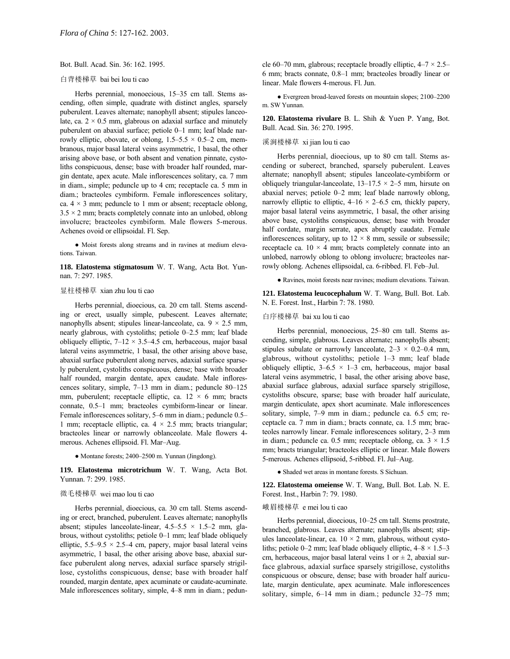Bot. Bull. Acad. Sin. 36: 162. 1995.

# 白背楼梯草 bai bei lou ti cao

Herbs perennial, monoecious, 15-35 cm tall. Stems ascending, often simple, quadrate with distinct angles, sparsely puberulent. Leaves alternate; nanophyll absent; stipules lanceolate, ca.  $2 \times 0.5$  mm, glabrous on adaxial surface and minutely puberulent on abaxial surface; petiole 0-1 mm; leaf blade narrowly elliptic, obovate, or oblong,  $1.5-5.5 \times 0.5-2$  cm, membranous, major basal lateral veins asymmetric, 1 basal, the other arising above base, or both absent and venation pinnate, cystoliths conspicuous, dense; base with broader half rounded, margin dentate, apex acute. Male inflorescences solitary, ca. 7 mm in diam., simple; peduncle up to 4 cm; receptacle ca. 5 mm in diam.; bracteoles cymbiform. Female inflorescences solitary, ca.  $4 \times 3$  mm; peduncle to 1 mm or absent; receptacle oblong,  $3.5 \times 2$  mm; bracts completely connate into an unlobed, oblong involucre; bracteoles cymbiform. Male flowers 5-merous. Achenes ovoid or ellipsoidal. Fl. Sep.

● Moist forests along streams and in ravines at medium elevations. Taiwan.

**118. Elatostema stigmatosum** W. T. Wang, Acta Bot. Yunnan. 7: 297. 1985.

# 显柱楼梯草 xian zhu lou ti cao

Herbs perennial, dioecious, ca. 20 cm tall. Stems ascending or erect, usually simple, pubescent. Leaves alternate; nanophylls absent; stipules linear-lanceolate, ca.  $9 \times 2.5$  mm, nearly glabrous, with cystoliths; petiole 0-2.5 mm; leaf blade obliquely elliptic,  $7-12 \times 3.5-4.5$  cm, herbaceous, major basal lateral veins asymmetric, 1 basal, the other arising above base, abaxial surface puberulent along nerves, adaxial surface sparsely puberulent, cystoliths conspicuous, dense; base with broader half rounded, margin dentate, apex caudate. Male inflorescences solitary, simple, 7-13 mm in diam.; peduncle 80-125 mm, puberulent; receptacle elliptic, ca.  $12 \times 6$  mm; bracts connate, 0.5-1 mm; bracteoles cymbiform-linear or linear. Female inflorescences solitary, 5–6 mm in diam.; peduncle 0.5– 1 mm; receptacle elliptic, ca.  $4 \times 2.5$  mm; bracts triangular; bracteoles linear or narrowly oblanceolate. Male flowers 4 merous. Achenes ellipsoid. Fl. Mar-Aug.

#### • Montane forests; 2400-2500 m. Yunnan (Jingdong).

**119. Elatostema microtrichum** W. T. Wang, Acta Bot. Yunnan. 7: 299. 1985.

### 微毛楼梯草 wei mao lou ti cao

Herbs perennial, dioecious, ca. 30 cm tall. Stems ascending or erect, branched, puberulent. Leaves alternate; nanophylls absent; stipules lanceolate-linear,  $4.5-5.5 \times 1.5-2$  mm, glabrous, without cystoliths; petiole 0-1 mm; leaf blade obliquely elliptic,  $5.5-9.5 \times 2.5-4$  cm, papery, major basal lateral veins asymmetric, 1 basal, the other arising above base, abaxial surface puberulent along nerves, adaxial surface sparsely strigillose, cystoliths conspicuous, dense; base with broader half rounded, margin dentate, apex acuminate or caudate-acuminate. Male inflorescences solitary, simple, 4-8 mm in diam.; peduncle 60–70 mm, glabrous; receptacle broadly elliptic,  $4-7 \times 2.5$ – 6 mm; bracts connate, 0.8-1 mm; bracteoles broadly linear or linear. Male flowers 4-merous. Fl. Jun.

 $\bullet$  Evergreen broad-leaved forests on mountain slopes; 2100–2200 m. SW Yunnan.

**120. Elatostema rivulare** B. L. Shih & Yuen P. Yang, Bot. Bull. Acad. Sin. 36: 270. 1995.

# 溪涧楼梯草 xi jian lou ti cao

Herbs perennial, dioecious, up to 80 cm tall. Stems ascending or suberect, branched, sparsely puberulent. Leaves alternate; nanophyll absent; stipules lanceolate-cymbiform or obliquely triangular-lanceolate,  $13-17.5 \times 2-5$  mm, hirsute on abaxial nerves; petiole  $0-2$  mm; leaf blade narrowly oblong, narrowly elliptic to elliptic,  $4-16 \times 2-6.5$  cm, thickly papery, major basal lateral veins asymmetric, 1 basal, the other arising above base, cystoliths conspicuous, dense; base with broader half cordate, margin serrate, apex abruptly caudate. Female inflorescences solitary, up to  $12 \times 8$  mm, sessile or subsessile; receptacle ca.  $10 \times 4$  mm; bracts completely connate into an unlobed, narrowly oblong to oblong involucre; bracteoles narrowly oblong. Achenes ellipsoidal, ca. 6-ribbed. Fl. Feb-Jul.

● Ravines, moist forests near ravines; medium elevations. Taiwan.

**121. Elatostema leucocephalum** W. T. Wang, Bull. Bot. Lab. N. E. Forest. Inst., Harbin 7: 78. 1980.

### 白序楼梯草 bai xu lou ti cao

Herbs perennial, monoecious, 25–80 cm tall. Stems ascending, simple, glabrous. Leaves alternate; nanophylls absent; stipules subulate or narrowly lanceolate,  $2-3 \times 0.2-0.4$  mm, glabrous, without cystoliths; petiole  $1-3$  mm; leaf blade obliquely elliptic,  $3-6.5 \times 1-3$  cm, herbaceous, major basal lateral veins asymmetric, 1 basal, the other arising above base, abaxial surface glabrous, adaxial surface sparsely strigillose, cystoliths obscure, sparse; base with broader half auriculate, margin denticulate, apex short acuminate. Male inflorescences solitary, simple, 7-9 mm in diam.; peduncle ca. 6.5 cm; receptacle ca. 7 mm in diam.; bracts connate, ca. 1.5 mm; bracteoles narrowly linear. Female inflorescences solitary, 2-3 mm in diam.; peduncle ca. 0.5 mm; receptacle oblong, ca.  $3 \times 1.5$ mm; bracts triangular; bracteoles elliptic or linear. Male flowers 5-merous. Achenes ellipsoid, 5-ribbed. Fl. Jul–Aug.

● Shaded wet areas in montane forests. S Sichuan.

**122. Elatostema omeiense** W. T. Wang, Bull. Bot. Lab. N. E. Forest. Inst., Harbin 7: 79. 1980.

# 峨眉楼梯草 e mei lou ti cao

Herbs perennial, dioecious, 10–25 cm tall. Stems prostrate, branched, glabrous. Leaves alternate; nanophylls absent; stipules lanceolate-linear, ca.  $10 \times 2$  mm, glabrous, without cystoliths; petiole 0–2 mm; leaf blade obliquely elliptic,  $4-8 \times 1.5-3$ cm, herbaceous, major basal lateral veins 1 or  $\pm$  2, abaxial surface glabrous, adaxial surface sparsely strigillose, cystoliths conspicuous or obscure, dense; base with broader half auriculate, margin denticulate, apex acuminate. Male inflorescences solitary, simple,  $6-14$  mm in diam.; peduncle  $32-75$  mm;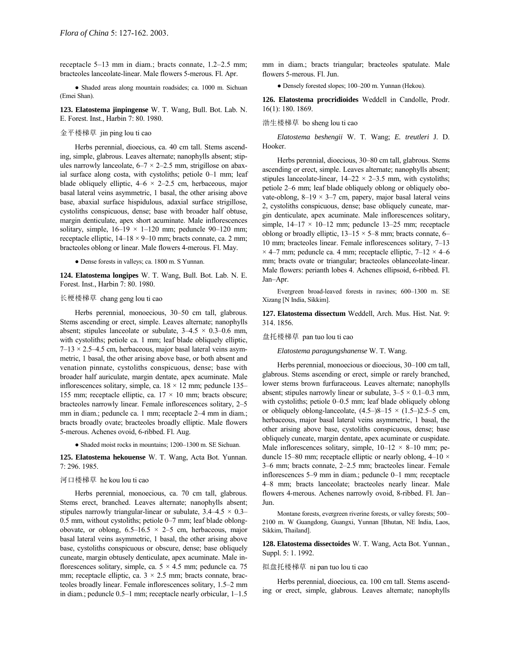receptacle  $5-13$  mm in diam.; bracts connate,  $1.2-2.5$  mm; bracteoles lanceolate-linear. Male flowers 5-merous. Fl. Apr.

● Shaded areas along mountain roadsides; ca. 1000 m. Sichuan (Emei Shan).

**123. Elatostema jinpingense** W. T. Wang, Bull. Bot. Lab. N. E. Forest. Inst., Harbin 7: 80. 1980.

# 金平楼梯草 jin ping lou ti cao

Herbs perennial, dioecious, ca. 40 cm tall. Stems ascending, simple, glabrous. Leaves alternate; nanophylls absent; stipules narrowly lanceolate,  $6-7 \times 2-2.5$  mm, strigillose on abaxial surface along costa, with cystoliths; petiole  $0-1$  mm; leaf blade obliquely elliptic,  $4-6 \times 2-2.5$  cm, herbaceous, major basal lateral veins asymmetric, 1 basal, the other arising above base, abaxial surface hispidulous, adaxial surface strigillose, cystoliths conspicuous, dense; base with broader half obtuse, margin denticulate, apex short acuminate. Male inflorescences solitary, simple,  $16-19 \times 1-120$  mm; peduncle 90-120 mm; receptacle elliptic,  $14-18 \times 9-10$  mm; bracts connate, ca. 2 mm; bracteoles oblong or linear. Male flowers 4-merous. Fl. May.

● Dense forests in valleys; ca. 1800 m. S Yunnan.

**124. Elatostema longipes** W. T. Wang, Bull. Bot. Lab. N. E. Forest. Inst., Harbin 7: 80. 1980.

### 长梗楼梯草 chang geng lou ti cao

Herbs perennial, monoecious, 30–50 cm tall, glabrous. Stems ascending or erect, simple. Leaves alternate; nanophylls absent; stipules lanceolate or subulate,  $3-4.5 \times 0.3-0.6$  mm, with cystoliths; petiole ca. 1 mm; leaf blade obliquely elliptic,  $7-13 \times 2.5-4.5$  cm, herbaceous, major basal lateral veins asymmetric, 1 basal, the other arising above base, or both absent and venation pinnate, cystoliths conspicuous, dense; base with broader half auriculate, margin dentate, apex acuminate. Male inflorescences solitary, simple, ca.  $18 \times 12$  mm; peduncle 135– 155 mm; receptacle elliptic, ca.  $17 \times 10$  mm; bracts obscure; bracteoles narrowly linear. Female inflorescences solitary, 2–5 mm in diam.; peduncle ca. 1 mm; receptacle 2–4 mm in diam.; bracts broadly ovate; bracteoles broadly elliptic. Male flowers 5-merous. Achenes ovoid, 6-ribbed. Fl. Aug.

 $\bullet$  Shaded moist rocks in mountains; 1200-1300 m. SE Sichuan.

**125. Elatostema hekouense** W. T. Wang, Acta Bot. Yunnan. 7: 296. 1985.

### 河口楼梯草 he kou lou ti cao

Herbs perennial, monoecious, ca. 70 cm tall, glabrous. Stems erect, branched. Leaves alternate; nanophylls absent; stipules narrowly triangular-linear or subulate,  $3.4-4.5 \times 0.3$ 0.5 mm, without cystoliths; petiole  $0-7$  mm; leaf blade oblongobovate, or oblong,  $6.5-16.5 \times 2-5$  cm, herbaceous, major basal lateral veins asymmetric, 1 basal, the other arising above base, cystoliths conspicuous or obscure, dense; base obliquely cuneate, margin obtusely denticulate, apex acuminate. Male inflorescences solitary, simple, ca.  $5 \times 4.5$  mm; peduncle ca. 75 mm; receptacle elliptic, ca.  $3 \times 2.5$  mm; bracts connate, bracteoles broadly linear. Female inflorescences solitary, 1.5-2 mm in diam.; peduncle 0.5-1 mm; receptacle nearly orbicular, 1-1.5

mm in diam.; bracts triangular; bracteoles spatulate. Male flowers 5-merous. Fl. Jun.

• Densely forested slopes; 100–200 m. Yunnan (Hekou).

**126. Elatostema procridioides** Weddell in Candolle, Prodr. 16(1): 180. 1869.

# 渤生楼梯草 bo sheng lou ti cao

*Elatostema beshengii* W. T. Wang; *E. treutleri* J. D. Hooker.

Herbs perennial, dioecious, 30–80 cm tall, glabrous. Stems ascending or erect, simple. Leaves alternate; nanophylls absent; stipules lanceolate-linear,  $14-22 \times 2-3.5$  mm, with cystoliths; petiole 2–6 mm; leaf blade obliquely oblong or obliquely obovate-oblong,  $8-19 \times 3-7$  cm, papery, major basal lateral veins 2, cystoliths conspicuous, dense; base obliquely cuneate, margin denticulate, apex acuminate. Male inflorescences solitary, simple,  $14-17 \times 10-12$  mm; peduncle 13-25 mm; receptacle oblong or broadly elliptic,  $13-15 \times 5-8$  mm; bracts connate, 6-10 mm; bracteoles linear. Female inflorescences solitary, 7-13  $\times$  4–7 mm; peduncle ca. 4 mm; receptacle elliptic, 7–12  $\times$  4–6 mm; bracts ovate or triangular; bracteoles oblanceolate-linear. Male flowers: perianth lobes 4. Achenes ellipsoid, 6-ribbed. Fl. Jan-Apr.

Evergreen broad-leaved forests in ravines; 600-1300 m. SE Xizang [N India, Sikkim].

**127. Elatostema dissectum** Weddell, Arch. Mus. Hist. Nat. 9: 314. 1856.

盘托楼梯草 pan tuo lou ti cao

*Elatostema paragungshanense* W. T. Wang.

Herbs perennial, monoecious or dioecious, 30–100 cm tall, glabrous. Stems ascending or erect, simple or rarely branched, lower stems brown furfuraceous. Leaves alternate; nanophylls absent; stipules narrowly linear or subulate,  $3-5 \times 0.1-0.3$  mm, with cystoliths; petiole  $0-0.5$  mm; leaf blade obliquely oblong or obliquely oblong-lanceolate,  $(4.5–)8–15 \times (1.5–)2.5–5$  cm, herbaceous, major basal lateral veins asymmetric, 1 basal, the other arising above base, cystoliths conspicuous, dense; base obliquely cuneate, margin dentate, apex acuminate or cuspidate. Male inflorescences solitary, simple,  $10-12 \times 8-10$  mm; peduncle 15–80 mm; receptacle elliptic or nearly oblong,  $4-10 \times$ 3-6 mm; bracts connate, 2-2.5 mm; bracteoles linear. Female inflorescences 5–9 mm in diam.; peduncle 0–1 mm; receptacle 4-8 mm; bracts lanceolate; bracteoles nearly linear. Male flowers 4-merous. Achenes narrowly ovoid, 8-ribbed. Fl. Jan-Jun.

Montane forests, evergreen riverine forests, or valley forests; 500– 2100 m. W Guangdong, Guangxi, Yunnan [Bhutan, NE India, Laos, Sikkim, Thailand].

**128. Elatostema dissectoides** W. T. Wang, Acta Bot. Yunnan., Suppl. 5: 1. 1992.

# 拟盘托楼梯草 ni pan tuo lou ti cao

Herbs perennial, dioecious, ca. 100 cm tall. Stems ascending or erect, simple, glabrous. Leaves alternate; nanophylls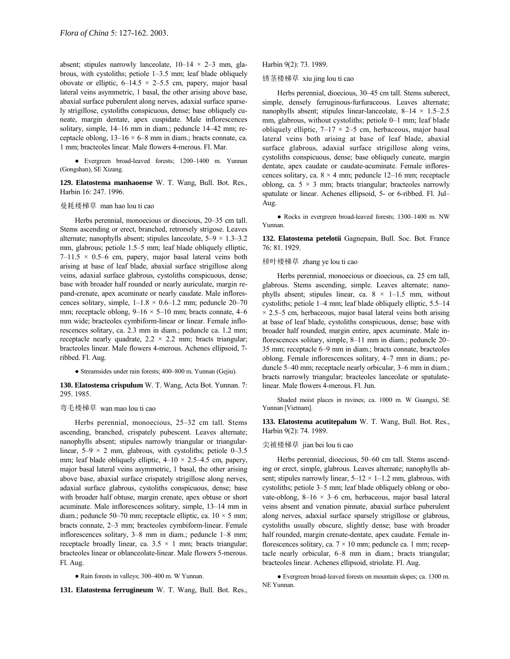absent; stipules narrowly lanceolate,  $10-14 \times 2-3$  mm, glabrous, with cystoliths; petiole  $1-3.5$  mm; leaf blade obliquely obovate or elliptic,  $6-14.5 \times 2-5.5$  cm, papery, major basal lateral veins asymmetric, 1 basal, the other arising above base, abaxial surface puberulent along nerves, adaxial surface sparsely strigillose, cystoliths conspicuous, dense; base obliquely cuneate, margin dentate, apex cuspidate. Male inflorescences solitary, simple, 14-16 mm in diam.; peduncle 14-42 mm; receptacle oblong,  $13-16 \times 6-8$  mm in diam.; bracts connate, ca. 1 mm; bracteoles linear. Male flowers 4-merous. Fl. Mar.

• Evergreen broad-leaved forests; 1200–1400 m. Yunnan (Gongshan), SE Xizang.

**129. Elatostema manhaoense** W. T. Wang, Bull. Bot. Res., Harbin 16: 247. 1996.

# 曼耗楼梯草 man hao lou ti cao

Herbs perennial, monoecious or dioecious, 20–35 cm tall. Stems ascending or erect, branched, retrorsely strigose. Leaves alternate; nanophylls absent; stipules lanceolate,  $5-9 \times 1.3-3.2$ mm, glabrous; petiole 1.5–5 mm; leaf blade obliquely elliptic,  $7-11.5 \times 0.5-6$  cm, papery, major basal lateral veins both arising at base of leaf blade, abaxial surface strigillose along veins, adaxial surface glabrous, cystoliths conspicuous, dense; base with broader half rounded or nearly auriculate, margin repand-crenate, apex acuminate or nearly caudate. Male inflorescences solitary, simple,  $1-1.8 \times 0.6-1.2$  mm; peduncle 20-70 mm; receptacle oblong,  $9-16 \times 5-10$  mm; bracts connate, 4–6 mm wide; bracteoles cymbiform-linear or linear. Female inflorescences solitary, ca. 2.3 mm in diam.; peduncle ca. 1.2 mm; receptacle nearly quadrate,  $2.2 \times 2.2$  mm; bracts triangular; bracteoles linear. Male flowers 4-merous. Achenes ellipsoid, 7 ribbed. Fl. Aug.

• Streamsides under rain forests; 400–800 m. Yunnan (Gejiu).

**130. Elatostema crispulum** W. T. Wang, Acta Bot. Yunnan. 7: 295. 1985.

### 弯毛楼梯草 wan mao lou ti cao

Herbs perennial, monoecious, 25-32 cm tall. Stems ascending, branched, crispately pubescent. Leaves alternate; nanophylls absent; stipules narrowly triangular or triangularlinear,  $5-9 \times 2$  mm, glabrous, with cystoliths; petiole 0–3.5 mm; leaf blade obliquely elliptic,  $4-10 \times 2.5-4.5$  cm, papery, major basal lateral veins asymmetric, 1 basal, the other arising above base, abaxial surface crispately strigillose along nerves, adaxial surface glabrous, cystoliths conspicuous, dense; base with broader half obtuse, margin crenate, apex obtuse or short acuminate. Male inflorescences solitary, simple, 13-14 mm in diam.; peduncle 50–70 mm; receptacle elliptic, ca.  $10 \times 5$  mm; bracts connate, 2-3 mm; bracteoles cymbiform-linear. Female inflorescences solitary, 3-8 mm in diam.; peduncle 1-8 mm; receptacle broadly linear, ca.  $3.5 \times 1$  mm; bracts triangular; bracteoles linear or oblanceolate-linear. Male flowers 5-merous. Fl. Aug.

### • Rain forests in valleys; 300-400 m. W Yunnan.

**131. Elatostema ferrugineum** W. T. Wang, Bull. Bot. Res.,

Harbin 9(2): 73. 1989.

锈茎楼梯草 xiu jing lou ti cao

Herbs perennial, dioecious, 30–45 cm tall. Stems suberect, simple, densely ferruginous-furfuraceous. Leaves alternate; nanophylls absent; stipules linear-lanceolate,  $8-14 \times 1.5-2.5$ mm, glabrous, without cystoliths; petiole 0–1 mm; leaf blade obliquely elliptic,  $7-17 \times 2-5$  cm, herbaceous, major basal lateral veins both arising at base of leaf blade, abaxial surface glabrous, adaxial surface strigillose along veins, cystoliths conspicuous, dense; base obliquely cuneate, margin dentate, apex caudate or caudate-acuminate. Female inflorescences solitary, ca.  $8 \times 4$  mm; peduncle 12–16 mm; receptacle oblong, ca.  $5 \times 3$  mm; bracts triangular; bracteoles narrowly spatulate or linear. Achenes ellipsoid, 5- or 6-ribbed. Fl. Jul-Aug.

• Rocks in evergreen broad-leaved forests; 1300–1400 m. NW Yunnan.

**132. Elatostema petelotii** Gagnepain, Bull. Soc. Bot. France 76: 81. 1929.

### 樟叶楼梯草 zhang ye lou ti cao

Herbs perennial, monoecious or dioecious, ca. 25 cm tall, glabrous. Stems ascending, simple. Leaves alternate; nanophylls absent; stipules linear, ca.  $8 \times 1-1.5$  mm, without cystoliths; petiole  $1-4$  mm; leaf blade obliquely elliptic,  $5.5-14$  $\times$  2.5–5 cm, herbaceous, major basal lateral veins both arising at base of leaf blade, cystoliths conspicuous, dense; base with broader half rounded, margin entire, apex acuminate. Male inflorescences solitary, simple,  $8-11$  mm in diam.; peduncle  $20-$ 35 mm; receptacle 6–9 mm in diam.; bracts connate, bracteoles oblong. Female inflorescences solitary,  $4-7$  mm in diam.; peduncle  $5-40$  mm; receptacle nearly orbicular,  $3-6$  mm in diam.; bracts narrowly triangular; bracteoles lanceolate or spatulatelinear. Male flowers 4-merous. Fl. Jun.

Shaded moist places in ravines; ca. 1000 m. W Guangxi, SE Yunnan [Vietnam].

**133. Elatostema acutitepalum** W. T. Wang, Bull. Bot. Res., Harbin 9(2): 74. 1989.

# 尖被楼梯草 jian bei lou ti cao

Herbs perennial, dioecious, 50–60 cm tall. Stems ascending or erect, simple, glabrous. Leaves alternate; nanophylls absent; stipules narrowly linear,  $5-12 \times 1-1.2$  mm, glabrous, with cystoliths; petiole  $3-5$  mm; leaf blade obliquely oblong or obovate-oblong,  $8-16 \times 3-6$  cm, herbaceous, major basal lateral veins absent and venation pinnate, abaxial surface puberulent along nerves, adaxial surface sparsely strigillose or glabrous, cystoliths usually obscure, slightly dense; base with broader half rounded, margin crenate-dentate, apex caudate. Female inflorescences solitary, ca.  $7 \times 10$  mm; peduncle ca. 1 mm; receptacle nearly orbicular,  $6-8$  mm in diam.; bracts triangular; bracteoles linear. Achenes ellipsoid, striolate. Fl. Aug.

● Evergreen broad-leaved forests on mountain slopes; ca. 1300 m. NE Yunnan.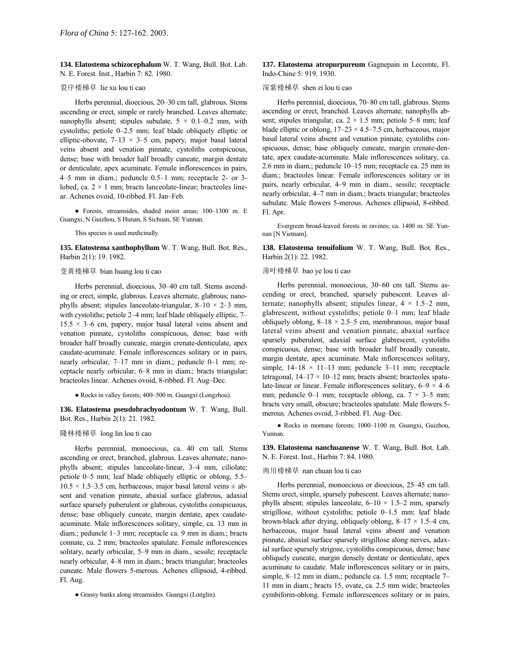**134. Elatostema schizocephalum** W. T. Wang, Bull. Bot. Lab. N. E. Forest. Inst., Harbin 7: 82. 1980.

# 裂序楼梯草 lie xu lou ti cao

Herbs perennial, dioecious, 20–30 cm tall, glabrous. Stems ascending or erect, simple or rarely branched. Leaves alternate; nanophylls absent; stipules subulate,  $5 \times 0.1 - 0.2$  mm, with cystoliths; petiole  $0-2.5$  mm; leaf blade obliquely elliptic or elliptic-obovate,  $7-13 \times 3-5$  cm, papery, major basal lateral veins absent and venation pinnate, cystoliths conspicuous, dense; base with broader half broadly cuneate, margin dentate or denticulate, apex acuminate. Female inflorescences in pairs, 4–5 mm in diam.; peduncle  $0.5-1$  mm; receptacle 2- or 3lobed, ca.  $2 \times 1$  mm; bracts lanceolate-linear; bracteoles linear. Achenes ovoid, 10-ribbed. Fl. Jan-Feb.

• Forests, streamsides, shaded moist areas; 100-1300 m. E Guangxi, N Guizhou, S Hunan, S Sichuan, SE Yunnan.

This species is used medicinally.

**135. Elatostema xanthophyllum** W. T. Wang, Bull. Bot. Res., Harbin 2(1): 19. 1982.

# 变黄楼梯草 bian huang lou ti cao

Herbs perennial, dioecious, 30-40 cm tall. Stems ascending or erect, simple, glabrous. Leaves alternate, glabrous; nanophylls absent; stipules lanceolate-triangular,  $8-10 \times 2-3$  mm, with cystoliths; petiole  $2-4$  mm; leaf blade obliquely elliptic,  $7-$ 15.5  $\times$  3–6 cm, papery, major basal lateral veins absent and venation pinnate, cystoliths conspicuous, dense; base with broader half broadly cuneate, margin crenate-denticulate, apex caudate-acuminate. Female inflorescences solitary or in pairs, nearly orbicular, 7-17 mm in diam.; peduncle 0-1 mm; receptacle nearly orbicular, 6–8 mm in diam.; bracts triangular; bracteoles linear. Achenes ovoid, 8-ribbed. Fl. Aug-Dec.

● Rocks in valley forests; 400–500 m. Guangxi (Longzhou).

**136. Elatostema pseudobrachyodontum** W. T. Wang, Bull. Bot. Res., Harbin 2(1): 21. 1982.

# 隆林楼梯草 long lin lou ti cao

Herbs perennial, monoecious, ca. 40 cm tall. Stems ascending or erect, branched, glabrous. Leaves alternate; nanophylls absent; stipules lanceolate-linear, 3-4 mm, ciliolate; petiole 0–5 mm; leaf blade obliquely elliptic or oblong,  $5.5$ –  $10.5 \times 1.5 - 3.5$  cm, herbaceous, major basal lateral veins  $\pm$  absent and venation pinnate, abaxial surface glabrous, adaxial surface sparsely puberulent or glabrous, cystoliths conspicuous, dense; base obliquely cuneate, margin dentate, apex caudateacuminate. Male inflorescences solitary, simple, ca. 13 mm in diam.; peduncle  $1-3$  mm; receptacle ca. 9 mm in diam.; bracts connate, ca. 2 mm; bracteoles spatulate. Female inflorescences solitary, nearly orbicular, 5–9 mm in diam., sessile; receptacle nearly orbicular, 4–8 mm in diam.; bracts triangular; bracteoles cuneate. Male flowers 5-merous. Achenes ellipsoid, 4-ribbed. Fl. Aug.

● Grassy banks along streamsides. Guangxi (Longlin).

**137. Elatostema atropurpureum** Gagnepain in Lecomte, Fl. Indo-Chine 5: 919. 1930.

### 深紫楼梯草 shen zi lou ti cao

Herbs perennial, dioecious, 70–80 cm tall, glabrous. Stems ascending or erect, branched. Leaves alternate; nanophylls absent; stipules triangular, ca.  $2 \times 1.5$  mm; petiole 5–8 mm; leaf blade elliptic or oblong,  $17-23 \times 4.5-7.5$  cm, herbaceous, major basal lateral veins absent and venation pinnate, cystoliths conspicuous, dense; base obliquely cuneate, margin crenate-dentate, apex caudate-acuminate. Male inflorescences solitary, ca.  $2.6$  mm in diam.; peduncle  $10-15$  mm; receptacle ca.  $25$  mm in diam.; bracteoles linear. Female inflorescences solitary or in pairs, nearly orbicular, 4–9 mm in diam., sessile; receptacle nearly orbicular, 4–7 mm in diam.; bracts triangular; bracteoles subulate. Male flowers 5-merous. Achenes ellipsoid, 8-ribbed. Fl. Apr.

Evergreen broad-leaved forests in ravines; ca. 1400 m. SE Yunnan [N Vietnam].

**138. Elatostema tenuifolium** W. T. Wang, Bull. Bot. Res., Harbin 2(1): 22. 1982.

# 薄叶楼梯草 bao ye lou ti cao

Herbs perennial, monoecious, 30-60 cm tall. Stems ascending or erect, branched, sparsely pubescent. Leaves alternate; nanophylls absent; stipules linear,  $4 \times 1.5-2$  mm, glabrescent, without cystoliths; petiole  $0-1$  mm; leaf blade obliquely oblong,  $8-18 \times 2.5-5$  cm, membranous, major basal lateral veins absent and venation pinnate, abaxial surface sparsely puberulent, adaxial surface glabrescent, cystoliths conspicuous, dense; base with broader half broadly cuneate, margin dentate, apex acuminate. Male inflorescences solitary, simple,  $14-18 \times 11-13$  mm; peduncle 3-11 mm; receptacle tetragonal,  $14-17 \times 10-12$  mm; bracts absent; bracteoles spatulate-linear or linear. Female inflorescences solitary,  $6-9 \times 4-6$ mm; peduncle 0–1 mm; receptacle oblong, ca.  $7 \times 3$ –5 mm; bracts very small, obscure; bracteoles spatulate. Male flowers 5 merous. Achenes ovoid, 3-ribbed. Fl. Aug-Dec.

● Rocks in montane forests; 1000-1100 m. Guangxi, Guizhou, Yunnan.

**139. Elatostema nanchuanense** W. T. Wang, Bull. Bot. Lab. N. E. Forest. Inst., Harbin 7: 84. 1980.

### 南川楼梯草 nan chuan lou ti cao

Herbs perennial, monoecious or dioecious, 25–45 cm tall. Stems erect, simple, sparsely pubescent. Leaves alternate; nanophylls absent; stipules lanceolate,  $6-10 \times 1.5-2$  mm, sparsely strigillose, without cystoliths; petiole  $0-1.5$  mm; leaf blade brown-black after drying, obliquely oblong,  $8-17 \times 1.5-4$  cm, herbaceous, major basal lateral veins absent and venation pinnate, abaxial surface sparsely strigillose along nerves, adaxial surface sparsely strigose, cystoliths conspicuous, dense; base obliquely cuneate, margin densely dentate or denticulate, apex acuminate to caudate. Male inflorescences solitary or in pairs, simple, 8-12 mm in diam.; peduncle ca. 1.5 mm; receptacle 7-11 mm in diam.; bracts 15, ovate, ca. 2.5 mm wide; bracteoles cymbiform-oblong. Female inflorescences solitary or in pairs,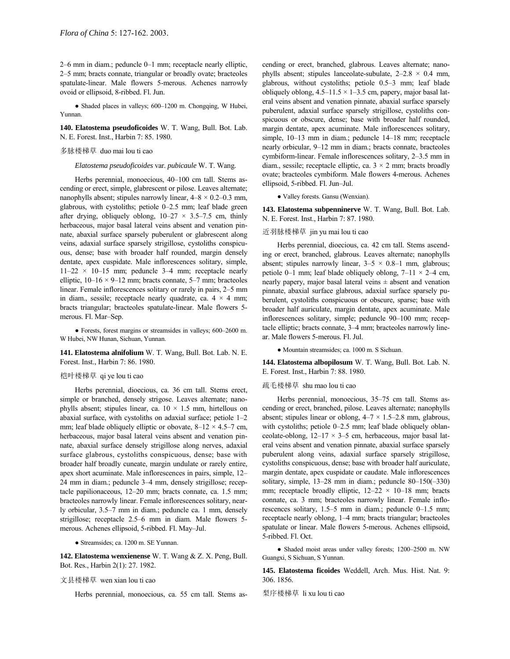$2-6$  mm in diam.; peduncle  $0-1$  mm; receptacle nearly elliptic, 2-5 mm; bracts connate, triangular or broadly ovate; bracteoles spatulate-linear. Male flowers 5-merous. Achenes narrowly ovoid or ellipsoid, 8-ribbed. Fl. Jun.

• Shaded places in valleys; 600-1200 m. Chongqing, W Hubei, Yunnan.

**140. Elatostema pseudoficoides** W. T. Wang, Bull. Bot. Lab. N. E. Forest. Inst., Harbin 7: 85. 1980.

# 多脉楼梯草 duo mai lou ti cao

*Elatostema pseudoficoides* var. *pubicaule* W. T. Wang.

Herbs perennial, monoecious, 40-100 cm tall. Stems ascending or erect, simple, glabrescent or pilose. Leaves alternate; nanophylls absent; stipules narrowly linear,  $4-8 \times 0.2-0.3$  mm, glabrous, with cystoliths; petiole  $0-2.5$  mm; leaf blade green after drying, obliquely oblong,  $10-27 \times 3.5-7.5$  cm, thinly herbaceous, major basal lateral veins absent and venation pinnate, abaxial surface sparsely puberulent or glabrescent along veins, adaxial surface sparsely strigillose, cystoliths conspicuous, dense; base with broader half rounded, margin densely dentate, apex cuspidate. Male inflorescences solitary, simple,  $11-22 \times 10-15$  mm; peduncle 3-4 mm; receptacle nearly elliptic,  $10-16 \times 9-12$  mm; bracts connate, 5–7 mm; bracteoles linear. Female inflorescences solitary or rarely in pairs, 2–5 mm in diam., sessile; receptacle nearly quadrate, ca.  $4 \times 4$  mm; bracts triangular; bracteoles spatulate-linear. Male flowers 5 merous. Fl. Mar-Sep.

 $\bullet$  Forests, forest margins or streamsides in valleys; 600–2600 m. W Hubei, NW Hunan, Sichuan, Yunnan.

**141. Elatostema alnifolium** W. T. Wang, Bull. Bot. Lab. N. E. Forest. Inst., Harbin 7: 86. 1980.

# 桤叶楼梯草 qi ye lou ti cao

Herbs perennial, dioecious, ca. 36 cm tall. Stems erect, simple or branched, densely strigose. Leaves alternate; nanophylls absent; stipules linear, ca.  $10 \times 1.5$  mm, hirtellous on abaxial surface, with cystoliths on adaxial surface; petiole  $1-2$ mm; leaf blade obliquely elliptic or obovate,  $8-12 \times 4.5-7$  cm, herbaceous, major basal lateral veins absent and venation pinnate, abaxial surface densely strigillose along nerves, adaxial surface glabrous, cystoliths conspicuous, dense; base with broader half broadly cuneate, margin undulate or rarely entire, apex short acuminate. Male inflorescences in pairs, simple, 12-24 mm in diam.; peduncle 3-4 mm, densely strigillose; receptacle papilionaceous,  $12-20$  mm; bracts connate, ca. 1.5 mm; bracteoles narrowly linear. Female inflorescences solitary, nearly orbicular, 3.5–7 mm in diam.; peduncle ca. 1 mm, densely strigillose; receptacle 2.5–6 mm in diam. Male flowers 5merous. Achenes ellipsoid, 5-ribbed. Fl. May-Jul.

● Streamsides; ca. 1200 m. SE Yunnan.

**142. Elatostema wenxienense** W. T. Wang & Z. X. Peng, Bull. Bot. Res., Harbin 2(1): 27. 1982.

### 文县楼梯草 wen xian lou ti cao

Herbs perennial, monoecious, ca. 55 cm tall. Stems as-

cending or erect, branched, glabrous. Leaves alternate; nanophylls absent; stipules lanceolate-subulate,  $2-2.8 \times 0.4$  mm, glabrous, without cystoliths; petiole 0.5-3 mm; leaf blade obliquely oblong,  $4.5-11.5 \times 1-3.5$  cm, papery, major basal lateral veins absent and venation pinnate, abaxial surface sparsely puberulent, adaxial surface sparsely strigillose, cystoliths conspicuous or obscure, dense; base with broader half rounded, margin dentate, apex acuminate. Male inflorescences solitary, simple, 10-13 mm in diam.; peduncle 14-18 mm; receptacle nearly orbicular, 9-12 mm in diam.; bracts connate, bracteoles cymbiform-linear. Female inflorescences solitary, 2-3.5 mm in diam., sessile; receptacle elliptic, ca.  $3 \times 2$  mm; bracts broadly ovate; bracteoles cymbiform. Male flowers 4-merous. Achenes ellipsoid, 5-ribbed. Fl. Jun-Jul.

● Valley forests. Gansu (Wenxian).

**143. Elatostema subpenninerve** W. T. Wang, Bull. Bot. Lab. N. E. Forest. Inst., Harbin 7: 87. 1980.

### 近羽脉楼梯草 jin yu mai lou ti cao

Herbs perennial, dioecious, ca. 42 cm tall. Stems ascending or erect, branched, glabrous. Leaves alternate; nanophylls absent; stipules narrowly linear,  $3-5 \times 0.8-1$  mm, glabrous; petiole 0–1 mm; leaf blade obliquely oblong,  $7-11 \times 2-4$  cm, nearly papery, major basal lateral veins  $\pm$  absent and venation pinnate, abaxial surface glabrous, adaxial surface sparsely puberulent, cystoliths conspicuous or obscure, sparse; base with broader half auriculate, margin dentate, apex acuminate. Male inflorescences solitary, simple; peduncle  $90-100$  mm; receptacle elliptic; bracts connate, 3–4 mm; bracteoles narrowly linear. Male flowers 5-merous. Fl. Jul.

● Mountain streamsides; ca. 1000 m. S Sichuan.

**144. Elatostema albopilosum** W. T. Wang, Bull. Bot. Lab. N. E. Forest. Inst., Harbin 7: 88. 1980.

#### 疏毛楼梯草 shu mao lou ti cao

Herbs perennial, monoecious, 35–75 cm tall. Stems ascending or erect, branched, pilose. Leaves alternate; nanophylls absent; stipules linear or oblong,  $4-7 \times 1.5-2.8$  mm, glabrous, with cystoliths; petiole 0-2.5 mm; leaf blade obliquely oblanceolate-oblong,  $12-17 \times 3-5$  cm, herbaceous, major basal lateral veins absent and venation pinnate, abaxial surface sparsely puberulent along veins, adaxial surface sparsely strigillose, cystoliths conspicuous, dense; base with broader half auriculate, margin dentate, apex cuspidate or caudate. Male inflorescences solitary, simple,  $13-28$  mm in diam.; peduncle  $80-150(-330)$ mm; receptacle broadly elliptic,  $12-22 \times 10-18$  mm; bracts connate, ca. 3 mm; bracteoles narrowly linear. Female inflorescences solitary,  $1.5-5$  mm in diam.; peduncle 0-1.5 mm; receptacle nearly oblong, 1-4 mm; bracts triangular; bracteoles spatulate or linear. Male flowers 5-merous. Achenes ellipsoid, 5-ribbed. Fl. Oct.

• Shaded moist areas under valley forests; 1200-2500 m. NW Guangxi, S Sichuan, S Yunnan.

**145. Elatostema ficoides** Weddell, Arch. Mus. Hist. Nat. 9: 306. 1856.

梨序楼梯草 li xu lou ti cao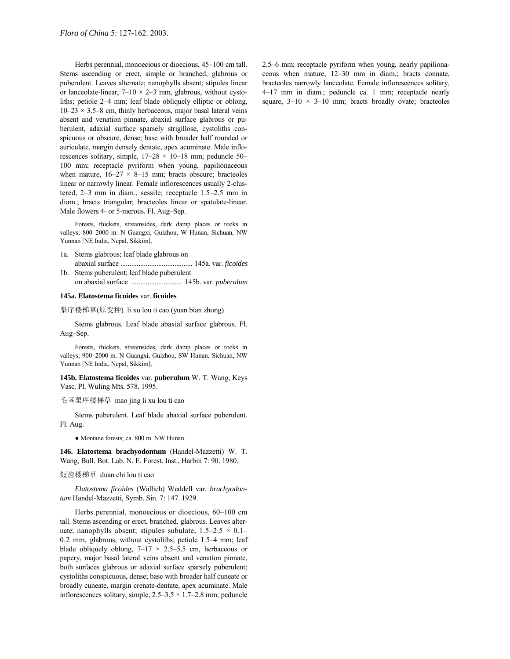Herbs perennial, monoecious or dioecious, 45-100 cm tall. Stems ascending or erect, simple or branched, glabrous or puberulent. Leaves alternate; nanophylls absent; stipules linear or lanceolate-linear,  $7-10 \times 2-3$  mm, glabrous, without cystoliths; petiole 2–4 mm; leaf blade obliquely elliptic or oblong,  $10-23 \times 3.5-8$  cm, thinly herbaceous, major basal lateral veins absent and venation pinnate, abaxial surface glabrous or puberulent, adaxial surface sparsely strigillose, cystoliths conspicuous or obscure, dense; base with broader half rounded or auriculate, margin densely dentate, apex acuminate. Male inflorescences solitary, simple,  $17-28 \times 10-18$  mm; peduncle 50-100 mm; receptacle pyriform when young, papilionaceous when mature,  $16-27 \times 8-15$  mm; bracts obscure; bracteoles linear or narrowly linear. Female inflorescences usually 2-clustered,  $2-3$  mm in diam., sessile; receptacle  $1.5-2.5$  mm in diam.; bracts triangular; bracteoles linear or spatulate-linear. Male flowers 4- or 5-merous. Fl. Aug-Sep.

Forests, thickets, streamsides, dark damp places or rocks in valleys; 800-2000 m. N Guangxi, Guizhou, W Hunan, Sichuan, NW Yunnan [NE India, Nepal, Sikkim].

- 1a. Stems glabrous; leaf blade glabrous on abaxial surface ........................................ 145a. var. *ficoides*
- 1b. Stems puberulent; leaf blade puberulent on abaxial surface ............................ 145b. var. *puberulum*

#### **145a. Elatostema ficoides** var. **ficoides**

梨序楼梯草(原变种) li xu lou ti cao (yuan bian zhong)

Stems glabrous. Leaf blade abaxial surface glabrous. Fl. Aug-Sep.

Forests, thickets, streamsides, dark damp places or rocks in valleys; 900-2000 m. N Guangxi, Guizhou, SW Hunan, Sichuan, NW Yunnan [NE India, Nepal, Sikkim].

**145b. Elatostema ficoides** var. **puberulum** W. T. Wang, Keys Vasc. Pl. Wuling Mts. 578. 1995.

### 毛茎梨序楼梯草 mao jing li xu lou ti cao

Stems puberulent. Leaf blade abaxial surface puberulent. Fl. Aug.

● Montane forests; ca. 800 m. NW Hunan.

**146. Elatostema brachyodontum** (Handel-Mazzetti) W. T. Wang, Bull. Bot. Lab. N. E. Forest. Inst., Harbin 7: 90. 1980.

# 短齿楼梯草 duan chi lou ti cao

*Elatostema ficoides* (Wallich) Weddell var. *brachyodontum* Handel-Mazzetti, Symb. Sin. 7: 147. 1929.

Herbs perennial, monoecious or dioecious, 60-100 cm tall. Stems ascending or erect, branched, glabrous. Leaves alternate; nanophylls absent; stipules subulate,  $1.5-2.5 \times 0.1$ –  $0.2$  mm, glabrous, without cystoliths; petiole  $1.5-4$  mm; leaf blade obliquely oblong,  $7-17 \times 2.5-5.5$  cm, herbaceous or papery, major basal lateral veins absent and venation pinnate, both surfaces glabrous or adaxial surface sparsely puberulent; cystoliths conspicuous, dense; base with broader half cuneate or broadly cuneate, margin crenate-dentate, apex acuminate. Male inflorescences solitary, simple,  $2.5-3.5 \times 1.7-2.8$  mm; peduncle

2.5–6 mm; receptacle pyriform when young, nearly papilionaceous when mature, 12-30 mm in diam.; bracts connate, bracteoles narrowly lanceolate. Female inflorescences solitary, 4–17 mm in diam.; peduncle ca. 1 mm; receptacle nearly square,  $3-10 \times 3-10$  mm; bracts broadly ovate; bracteoles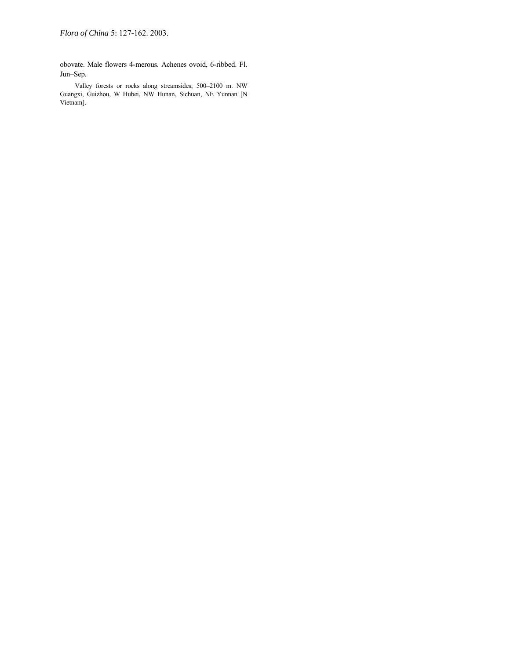obovate. Male flowers 4-merous. Achenes ovoid, 6-ribbed. Fl. Jun-Sep.

Valley forests or rocks along streamsides; 500-2100 m. NW Guangxi, Guizhou, W Hubei, NW Hunan, Sichuan, NE Yunnan [N Vietnam].